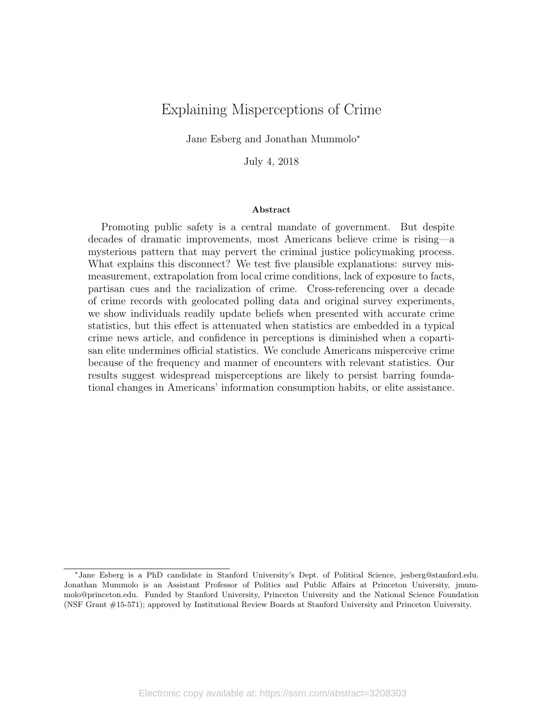# <span id="page-0-0"></span>Explaining Misperceptions of Crime

Jane Esberg and Jonathan Mummolo<sup>∗</sup>

July 4, 2018

#### Abstract

Promoting public safety is a central mandate of government. But despite decades of dramatic improvements, most Americans believe crime is rising—a mysterious pattern that may pervert the criminal justice policymaking process. What explains this disconnect? We test five plausible explanations: survey mismeasurement, extrapolation from local crime conditions, lack of exposure to facts, partisan cues and the racialization of crime. Cross-referencing over a decade of crime records with geolocated polling data and original survey experiments, we show individuals readily update beliefs when presented with accurate crime statistics, but this effect is attenuated when statistics are embedded in a typical crime news article, and confidence in perceptions is diminished when a copartisan elite undermines official statistics. We conclude Americans misperceive crime because of the frequency and manner of encounters with relevant statistics. Our results suggest widespread misperceptions are likely to persist barring foundational changes in Americans' information consumption habits, or elite assistance.

<sup>∗</sup> Jane Esberg is a PhD candidate in Stanford University's Dept. of Political Science, jesberg@stanford.edu. Jonathan Mummolo is an Assistant Professor of Politics and Public Affairs at Princeton University, jmummolo@princeton.edu. Funded by Stanford University, Princeton University and the National Science Foundation (NSF Grant #15-571); approved by Institutional Review Boards at Stanford University and Princeton University.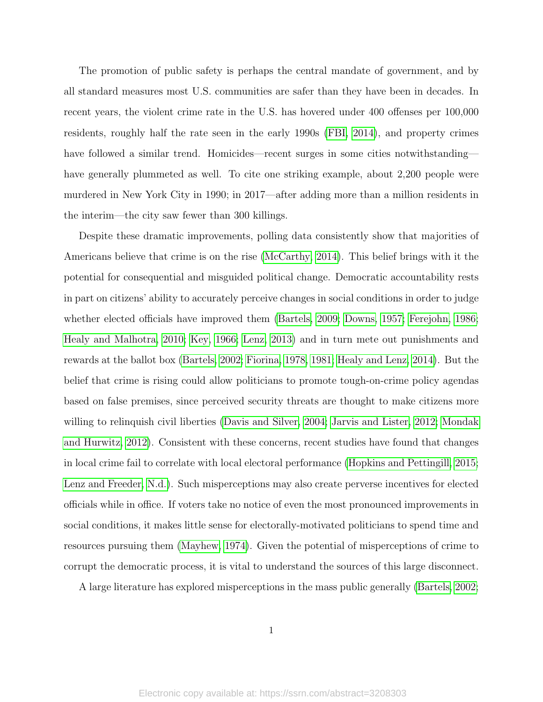The promotion of public safety is perhaps the central mandate of government, and by all standard measures most U.S. communities are safer than they have been in decades. In recent years, the violent crime rate in the U.S. has hovered under 400 offenses per 100,000 residents, roughly half the rate seen in the early 1990s [\(FBI, 2014\)](#page-38-0), and property crimes have followed a similar trend. Homicides—recent surges in some cities notwithstanding have generally plummeted as well. To cite one striking example, about 2,200 people were murdered in New York City in 1990; in 2017—after adding more than a million residents in the interim—the city saw fewer than 300 killings.

Despite these dramatic improvements, polling data consistently show that majorities of Americans believe that crime is on the rise [\(McCarthy, 2014\)](#page-41-0). This belief brings with it the potential for consequential and misguided political change. Democratic accountability rests in part on citizens' ability to accurately perceive changes in social conditions in order to judge whether elected officials have improved them [\(Bartels, 2009;](#page-37-0) [Downs, 1957;](#page-38-1) [Ferejohn, 1986;](#page-38-2) [Healy and Malhotra, 2010;](#page-39-0) [Key, 1966;](#page-40-0) [Lenz, 2013\)](#page-40-1) and in turn mete out punishments and rewards at the ballot box [\(Bartels, 2002;](#page-37-1) [Fiorina, 1978,](#page-38-3) [1981;](#page-38-4) [Healy and Lenz, 2014\)](#page-39-1). But the belief that crime is rising could allow politicians to promote tough-on-crime policy agendas based on false premises, since perceived security threats are thought to make citizens more willing to relinquish civil liberties [\(Davis and Silver, 2004;](#page-38-5) [Jarvis and Lister, 2012;](#page-40-2) [Mondak](#page-41-1) [and Hurwitz, 2012\)](#page-41-1). Consistent with these concerns, recent studies have found that changes in local crime fail to correlate with local electoral performance [\(Hopkins and Pettingill, 2015;](#page-39-2) [Lenz and Freeder, N.d.\)](#page-41-2). Such misperceptions may also create perverse incentives for elected officials while in office. If voters take no notice of even the most pronounced improvements in social conditions, it makes little sense for electorally-motivated politicians to spend time and resources pursuing them [\(Mayhew, 1974\)](#page-41-3). Given the potential of misperceptions of crime to corrupt the democratic process, it is vital to understand the sources of this large disconnect.

A large literature has explored misperceptions in the mass public generally [\(Bartels, 2002;](#page-37-1)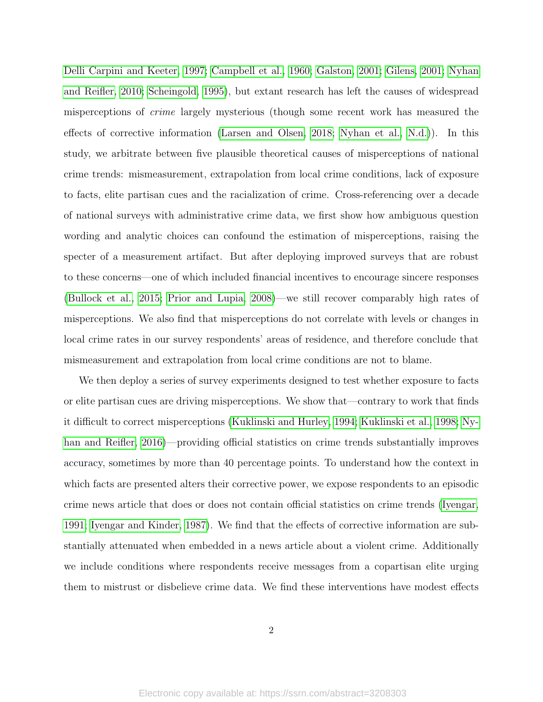[Delli Carpini and Keeter, 1997;](#page-38-6) [Campbell et al., 1960;](#page-38-7) [Galston, 2001;](#page-38-8) [Gilens, 2001;](#page-39-3) [Nyhan](#page-41-4) [and Reifler, 2010;](#page-41-4) [Scheingold, 1995\)](#page-42-0), but extant research has left the causes of widespread misperceptions of crime largely mysterious (though some recent work has measured the effects of corrective information [\(Larsen and Olsen, 2018;](#page-40-3) [Nyhan et al., N.d.\)](#page-41-5)). In this study, we arbitrate between five plausible theoretical causes of misperceptions of national crime trends: mismeasurement, extrapolation from local crime conditions, lack of exposure to facts, elite partisan cues and the racialization of crime. Cross-referencing over a decade of national surveys with administrative crime data, we first show how ambiguous question wording and analytic choices can confound the estimation of misperceptions, raising the specter of a measurement artifact. But after deploying improved surveys that are robust to these concerns—one of which included financial incentives to encourage sincere responses [\(Bullock et al., 2015;](#page-37-2) [Prior and Lupia, 2008\)](#page-42-1)—we still recover comparably high rates of misperceptions. We also find that misperceptions do not correlate with levels or changes in local crime rates in our survey respondents' areas of residence, and therefore conclude that mismeasurement and extrapolation from local crime conditions are not to blame.

We then deploy a series of survey experiments designed to test whether exposure to facts or elite partisan cues are driving misperceptions. We show that—contrary to work that finds it difficult to correct misperceptions [\(Kuklinski and Hurley, 1994;](#page-40-4) [Kuklinski et al., 1998;](#page-40-5) [Ny](#page-41-6)[han and Reifler, 2016\)](#page-41-6)—providing official statistics on crime trends substantially improves accuracy, sometimes by more than 40 percentage points. To understand how the context in which facts are presented alters their corrective power, we expose respondents to an episodic crime news article that does or does not contain official statistics on crime trends [\(Iyengar,](#page-39-4) [1991;](#page-39-4) [Iyengar and Kinder, 1987\)](#page-40-6). We find that the effects of corrective information are substantially attenuated when embedded in a news article about a violent crime. Additionally we include conditions where respondents receive messages from a copartisan elite urging them to mistrust or disbelieve crime data. We find these interventions have modest effects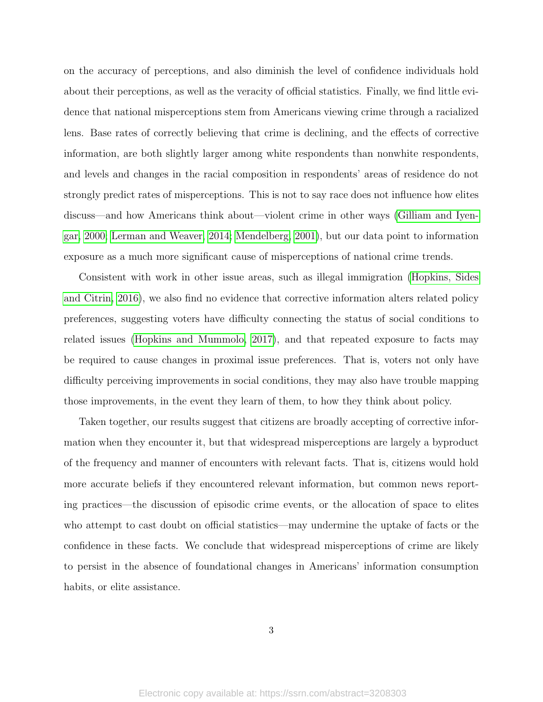on the accuracy of perceptions, and also diminish the level of confidence individuals hold about their perceptions, as well as the veracity of official statistics. Finally, we find little evidence that national misperceptions stem from Americans viewing crime through a racialized lens. Base rates of correctly believing that crime is declining, and the effects of corrective information, are both slightly larger among white respondents than nonwhite respondents, and levels and changes in the racial composition in respondents' areas of residence do not strongly predict rates of misperceptions. This is not to say race does not influence how elites discuss—and how Americans think about—violent crime in other ways [\(Gilliam and Iyen](#page-39-5)[gar, 2000;](#page-39-5) [Lerman and Weaver, 2014;](#page-41-7) [Mendelberg, 2001\)](#page-41-8), but our data point to information exposure as a much more significant cause of misperceptions of national crime trends.

Consistent with work in other issue areas, such as illegal immigration [\(Hopkins, Sides](#page-39-6) [and Citrin, 2016\)](#page-39-6), we also find no evidence that corrective information alters related policy preferences, suggesting voters have difficulty connecting the status of social conditions to related issues [\(Hopkins and Mummolo, 2017\)](#page-39-7), and that repeated exposure to facts may be required to cause changes in proximal issue preferences. That is, voters not only have difficulty perceiving improvements in social conditions, they may also have trouble mapping those improvements, in the event they learn of them, to how they think about policy.

Taken together, our results suggest that citizens are broadly accepting of corrective information when they encounter it, but that widespread misperceptions are largely a byproduct of the frequency and manner of encounters with relevant facts. That is, citizens would hold more accurate beliefs if they encountered relevant information, but common news reporting practices—the discussion of episodic crime events, or the allocation of space to elites who attempt to cast doubt on official statistics—may undermine the uptake of facts or the confidence in these facts. We conclude that widespread misperceptions of crime are likely to persist in the absence of foundational changes in Americans' information consumption habits, or elite assistance.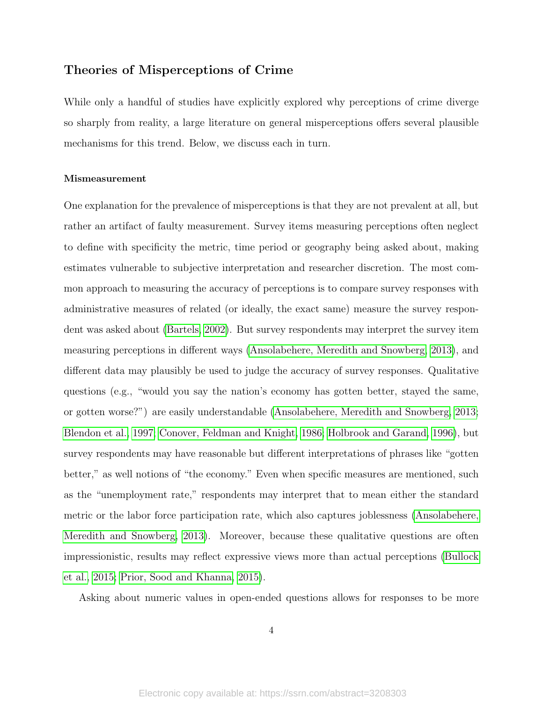## Theories of Misperceptions of Crime

While only a handful of studies have explicitly explored why perceptions of crime diverge so sharply from reality, a large literature on general misperceptions offers several plausible mechanisms for this trend. Below, we discuss each in turn.

#### Mismeasurement

One explanation for the prevalence of misperceptions is that they are not prevalent at all, but rather an artifact of faulty measurement. Survey items measuring perceptions often neglect to define with specificity the metric, time period or geography being asked about, making estimates vulnerable to subjective interpretation and researcher discretion. The most common approach to measuring the accuracy of perceptions is to compare survey responses with administrative measures of related (or ideally, the exact same) measure the survey respondent was asked about [\(Bartels, 2002\)](#page-37-1). But survey respondents may interpret the survey item measuring perceptions in different ways [\(Ansolabehere, Meredith and Snowberg, 2013\)](#page-37-3), and different data may plausibly be used to judge the accuracy of survey responses. Qualitative questions (e.g., "would you say the nation's economy has gotten better, stayed the same, or gotten worse?") are easily understandable [\(Ansolabehere, Meredith and Snowberg, 2013;](#page-37-3) [Blendon et al., 1997;](#page-37-4) [Conover, Feldman and Knight, 1986;](#page-38-9) [Holbrook and Garand, 1996\)](#page-39-8), but survey respondents may have reasonable but different interpretations of phrases like "gotten better," as well notions of "the economy." Even when specific measures are mentioned, such as the "unemployment rate," respondents may interpret that to mean either the standard metric or the labor force participation rate, which also captures joblessness [\(Ansolabehere,](#page-37-3) [Meredith and Snowberg, 2013\)](#page-37-3). Moreover, because these qualitative questions are often impressionistic, results may reflect expressive views more than actual perceptions [\(Bullock](#page-37-2) [et al., 2015;](#page-37-2) [Prior, Sood and Khanna, 2015\)](#page-42-2).

Asking about numeric values in open-ended questions allows for responses to be more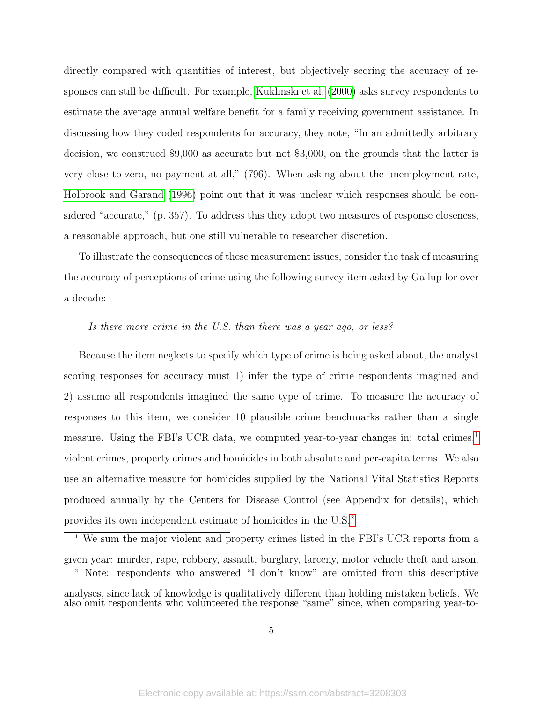directly compared with quantities of interest, but objectively scoring the accuracy of responses can still be difficult. For example, [Kuklinski et al.](#page-40-7) [\(2000\)](#page-40-7) asks survey respondents to estimate the average annual welfare benefit for a family receiving government assistance. In discussing how they coded respondents for accuracy, they note, "In an admittedly arbitrary decision, we construed \$9,000 as accurate but not \$3,000, on the grounds that the latter is very close to zero, no payment at all," (796). When asking about the unemployment rate, [Holbrook and Garand](#page-39-8) [\(1996\)](#page-39-8) point out that it was unclear which responses should be considered "accurate," (p. 357). To address this they adopt two measures of response closeness, a reasonable approach, but one still vulnerable to researcher discretion.

To illustrate the consequences of these measurement issues, consider the task of measuring the accuracy of perceptions of crime using the following survey item asked by Gallup for over a decade:

### Is there more crime in the U.S. than there was a year ago, or less?

Because the item neglects to specify which type of crime is being asked about, the analyst scoring responses for accuracy must 1) infer the type of crime respondents imagined and 2) assume all respondents imagined the same type of crime. To measure the accuracy of responses to this item, we consider 10 plausible crime benchmarks rather than a single measure. Using the FBI's UCR data, we computed year-to-year changes in: total crimes,<sup>[1](#page-5-0)</sup> violent crimes, property crimes and homicides in both absolute and per-capita terms. We also use an alternative measure for homicides supplied by the National Vital Statistics Reports produced annually by the Centers for Disease Control (see Appendix for details), which provides its own independent estimate of homicides in the U.S.[2](#page-5-1)

<span id="page-5-0"></span><sup>1</sup> We sum the major violent and property crimes listed in the FBI's UCR reports from a given year: murder, rape, robbery, assault, burglary, larceny, motor vehicle theft and arson. <sup>2</sup> Note: respondents who answered "I don't know" are omitted from this descriptive

<span id="page-5-1"></span>analyses, since lack of knowledge is qualitatively different than holding mistaken beliefs. We also omit respondents who volunteered the response "same" since, when comparing year-to-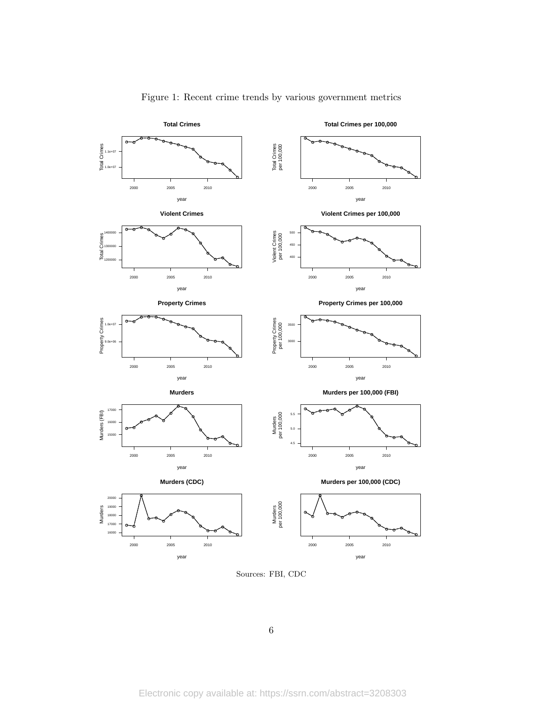<span id="page-6-0"></span>

### Figure 1: Recent crime trends by various government metrics

Sources: FBI, CDC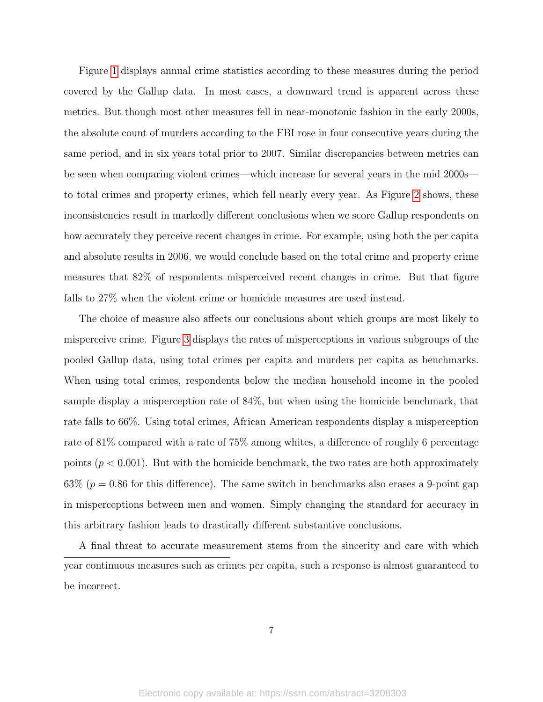Figure [1](#page-6-0) displays annual crime statistics according to these measures during the period covered by the Gallup data. In most cases, a downward trend is apparent across these metrics. But though most other measures fell in near-monotonic fashion in the early 2000s, the absolute count of murders according to the FBI rose in four consecutive years during the same period, and in six years total prior to 2007. Similar discrepancies between metrics can be seen when comparing violent crimes—which increase for several years in the mid 2000s to total crimes and property crimes, which fell nearly every year. As Figure [2](#page-8-0) shows, these inconsistencies result in markedly different conclusions when we score Gallup respondents on how accurately they perceive recent changes in crime. For example, using both the per capita and absolute results in 2006, we would conclude based on the total crime and property crime measures that 82% of respondents misperceived recent changes in crime. But that figure falls to 27% when the violent crime or homicide measures are used instead.

The choice of measure also affects our conclusions about which groups are most likely to misperceive crime. Figure [3](#page-9-0) displays the rates of misperceptions in various subgroups of the pooled Gallup data, using total crimes per capita and murders per capita as benchmarks. When using total crimes, respondents below the median household income in the pooled sample display a misperception rate of 84%, but when using the homicide benchmark, that rate falls to 66%. Using total crimes, African American respondents display a misperception rate of 81% compared with a rate of 75% among whites, a difference of roughly 6 percentage points  $(p < 0.001)$ . But with the homicide benchmark, the two rates are both approximately 63% ( $p = 0.86$  for this difference). The same switch in benchmarks also erases a 9-point gap in misperceptions between men and women. Simply changing the standard for accuracy in this arbitrary fashion leads to drastically different substantive conclusions.

A final threat to accurate measurement stems from the sincerity and care with which year continuous measures such as crimes per capita, such a response is almost guaranteed to be incorrect.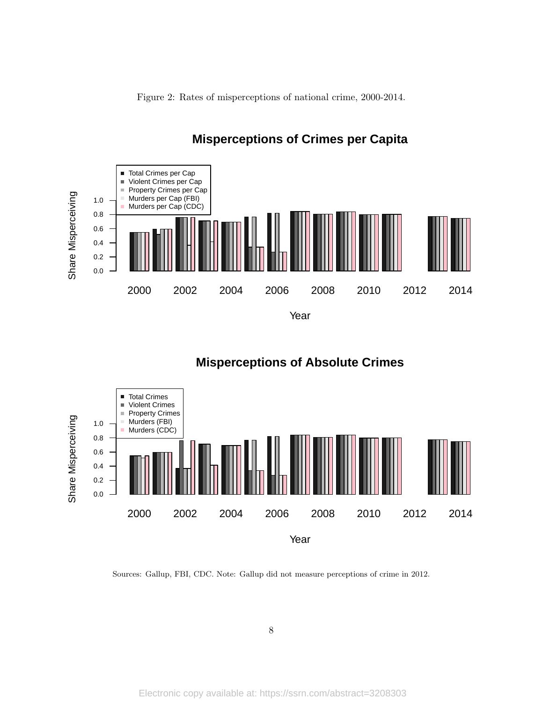

<span id="page-8-0"></span>

## **Misperceptions of Crimes per Capita**





### Sources: Gallup, FBI, CDC. Note: Gallup did not measure perceptions of crime in 2012.

8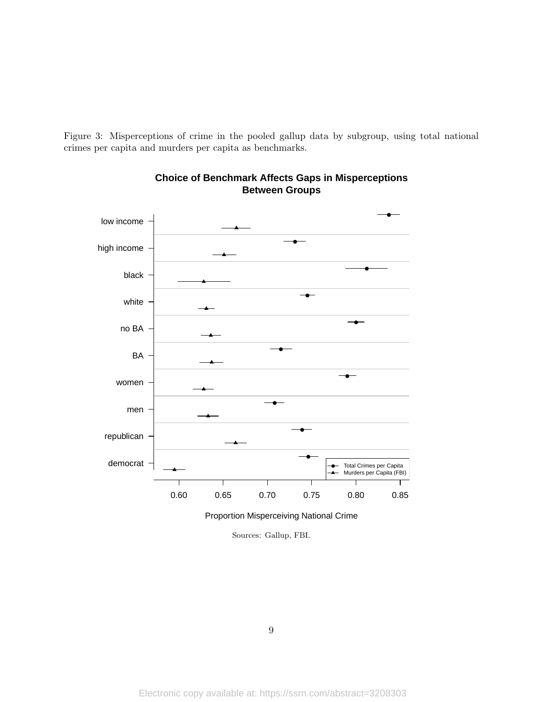<span id="page-9-0"></span>Figure 3: Misperceptions of crime in the pooled gallup data by subgroup, using total national crimes per capita and murders per capita as benchmarks.



**Choice of Benchmark Affects Gaps in Misperceptions Between Groups**

Sources: Gallup, FBI.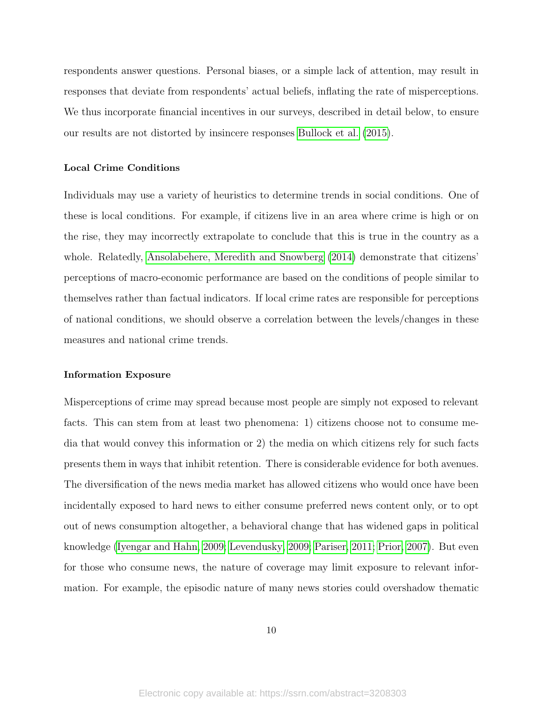respondents answer questions. Personal biases, or a simple lack of attention, may result in responses that deviate from respondents' actual beliefs, inflating the rate of misperceptions. We thus incorporate financial incentives in our surveys, described in detail below, to ensure our results are not distorted by insincere responses [Bullock et al.](#page-37-2) [\(2015\)](#page-37-2).

### Local Crime Conditions

Individuals may use a variety of heuristics to determine trends in social conditions. One of these is local conditions. For example, if citizens live in an area where crime is high or on the rise, they may incorrectly extrapolate to conclude that this is true in the country as a whole. Relatedly, [Ansolabehere, Meredith and Snowberg](#page-37-5) [\(2014\)](#page-37-5) demonstrate that citizens' perceptions of macro-economic performance are based on the conditions of people similar to themselves rather than factual indicators. If local crime rates are responsible for perceptions of national conditions, we should observe a correlation between the levels/changes in these measures and national crime trends.

### Information Exposure

Misperceptions of crime may spread because most people are simply not exposed to relevant facts. This can stem from at least two phenomena: 1) citizens choose not to consume media that would convey this information or 2) the media on which citizens rely for such facts presents them in ways that inhibit retention. There is considerable evidence for both avenues. The diversification of the news media market has allowed citizens who would once have been incidentally exposed to hard news to either consume preferred news content only, or to opt out of news consumption altogether, a behavioral change that has widened gaps in political knowledge [\(Iyengar and Hahn, 2009;](#page-40-8) [Levendusky, 2009;](#page-41-9) [Pariser, 2011;](#page-42-3) [Prior, 2007\)](#page-42-4). But even for those who consume news, the nature of coverage may limit exposure to relevant information. For example, the episodic nature of many news stories could overshadow thematic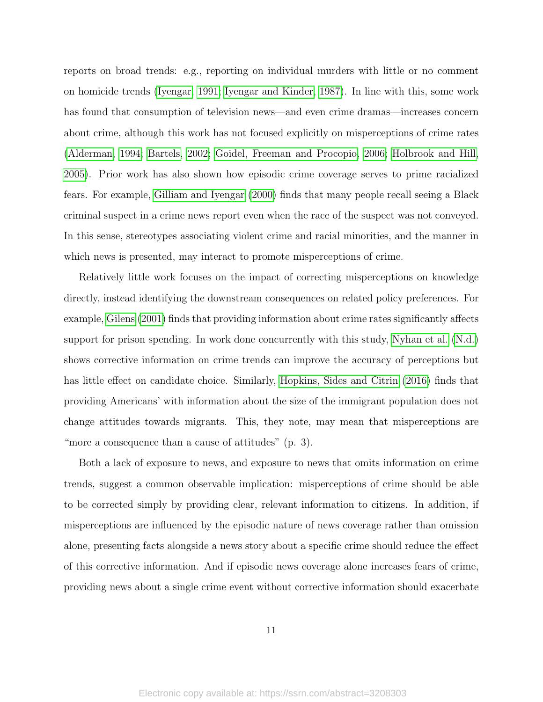reports on broad trends: e.g., reporting on individual murders with little or no comment on homicide trends [\(Iyengar, 1991;](#page-39-4) [Iyengar and Kinder, 1987\)](#page-40-6). In line with this, some work has found that consumption of television news—and even crime dramas—increases concern about crime, although this work has not focused explicitly on misperceptions of crime rates [\(Alderman, 1994;](#page-37-6) [Bartels, 2002;](#page-37-1) [Goidel, Freeman and Procopio, 2006;](#page-39-9) [Holbrook and Hill,](#page-39-10) [2005\)](#page-39-10). Prior work has also shown how episodic crime coverage serves to prime racialized fears. For example, [Gilliam and Iyengar](#page-39-5) [\(2000\)](#page-39-5) finds that many people recall seeing a Black criminal suspect in a crime news report even when the race of the suspect was not conveyed. In this sense, stereotypes associating violent crime and racial minorities, and the manner in which news is presented, may interact to promote misperceptions of crime.

Relatively little work focuses on the impact of correcting misperceptions on knowledge directly, instead identifying the downstream consequences on related policy preferences. For example, [Gilens](#page-39-3) [\(2001\)](#page-39-3) finds that providing information about crime rates significantly affects support for prison spending. In work done concurrently with this study, [Nyhan et al.](#page-41-5) [\(N.d.\)](#page-41-5) shows corrective information on crime trends can improve the accuracy of perceptions but has little effect on candidate choice. Similarly, [Hopkins, Sides and Citrin](#page-39-6) [\(2016\)](#page-39-6) finds that providing Americans' with information about the size of the immigrant population does not change attitudes towards migrants. This, they note, may mean that misperceptions are "more a consequence than a cause of attitudes" (p. 3).

Both a lack of exposure to news, and exposure to news that omits information on crime trends, suggest a common observable implication: misperceptions of crime should be able to be corrected simply by providing clear, relevant information to citizens. In addition, if misperceptions are influenced by the episodic nature of news coverage rather than omission alone, presenting facts alongside a news story about a specific crime should reduce the effect of this corrective information. And if episodic news coverage alone increases fears of crime, providing news about a single crime event without corrective information should exacerbate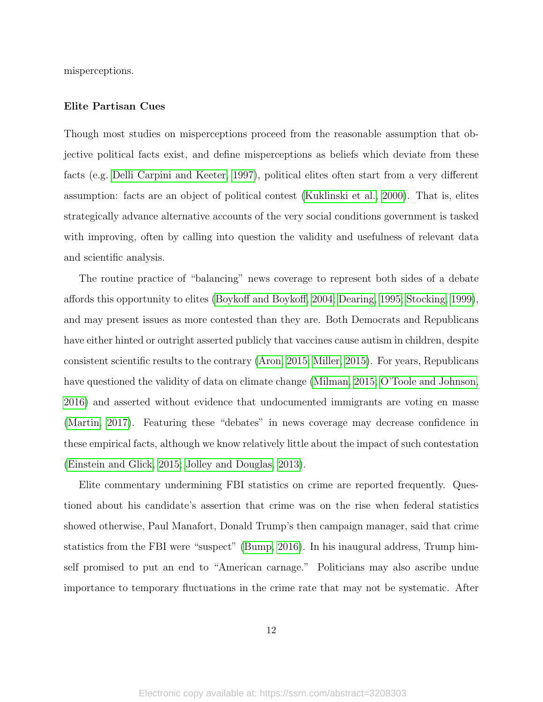misperceptions.

### Elite Partisan Cues

Though most studies on misperceptions proceed from the reasonable assumption that objective political facts exist, and define misperceptions as beliefs which deviate from these facts (e.g. [Delli Carpini and Keeter, 1997\)](#page-38-6), political elites often start from a very different assumption: facts are an object of political contest [\(Kuklinski et al., 2000\)](#page-40-7). That is, elites strategically advance alternative accounts of the very social conditions government is tasked with improving, often by calling into question the validity and usefulness of relevant data and scientific analysis.

The routine practice of "balancing" news coverage to represent both sides of a debate affords this opportunity to elites [\(Boykoff and Boykoff, 2004;](#page-37-7) [Dearing, 1995;](#page-38-10) [Stocking, 1999\)](#page-42-5), and may present issues as more contested than they are. Both Democrats and Republicans have either hinted or outright asserted publicly that vaccines cause autism in children, despite consistent scientific results to the contrary [\(Aron, 2015;](#page-37-8) [Miller, 2015\)](#page-41-10). For years, Republicans have questioned the validity of data on climate change [\(Milman, 2015;](#page-41-11) [O'Toole and Johnson,](#page-42-6) [2016\)](#page-42-6) and asserted without evidence that undocumented immigrants are voting en masse [\(Martin, 2017\)](#page-41-12). Featuring these "debates" in news coverage may decrease confidence in these empirical facts, although we know relatively little about the impact of such contestation [\(Einstein and Glick, 2015;](#page-38-11) [Jolley and Douglas, 2013\)](#page-40-9).

Elite commentary undermining FBI statistics on crime are reported frequently. Questioned about his candidate's assertion that crime was on the rise when federal statistics showed otherwise, Paul Manafort, Donald Trump's then campaign manager, said that crime statistics from the FBI were "suspect" [\(Bump, 2016\)](#page-37-9). In his inaugural address, Trump himself promised to put an end to "American carnage." Politicians may also ascribe undue importance to temporary fluctuations in the crime rate that may not be systematic. After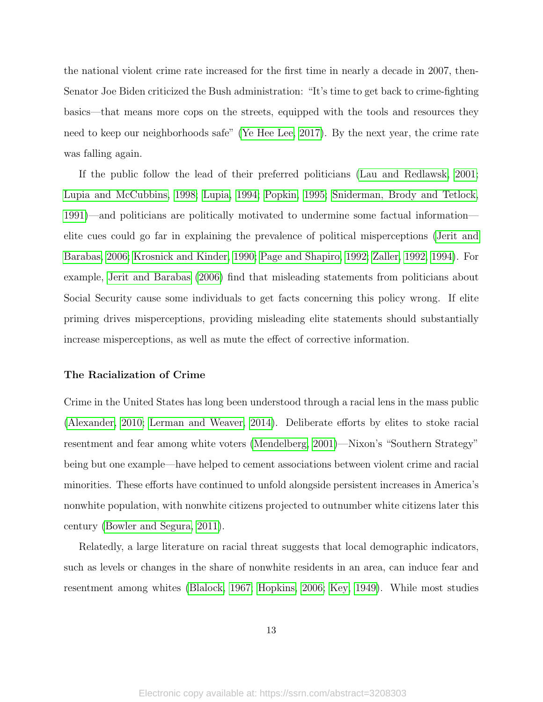the national violent crime rate increased for the first time in nearly a decade in 2007, then-Senator Joe Biden criticized the Bush administration: "It's time to get back to crime-fighting basics—that means more cops on the streets, equipped with the tools and resources they need to keep our neighborhoods safe" [\(Ye Hee Lee, 2017\)](#page-43-0). By the next year, the crime rate was falling again.

If the public follow the lead of their preferred politicians [\(Lau and Redlawsk, 2001;](#page-40-10) [Lupia and McCubbins, 1998;](#page-41-13) [Lupia, 1994;](#page-41-14) [Popkin, 1995;](#page-42-7) [Sniderman, Brody and Tetlock,](#page-42-8) [1991\)](#page-42-8)—and politicians are politically motivated to undermine some factual information elite cues could go far in explaining the prevalence of political misperceptions [\(Jerit and](#page-40-11) [Barabas, 2006;](#page-40-11) [Krosnick and Kinder, 1990;](#page-40-12) [Page and Shapiro, 1992;](#page-42-9) [Zaller, 1992,](#page-43-1) [1994\)](#page-43-2). For example, [Jerit and Barabas](#page-40-11) [\(2006\)](#page-40-11) find that misleading statements from politicians about Social Security cause some individuals to get facts concerning this policy wrong. If elite priming drives misperceptions, providing misleading elite statements should substantially increase misperceptions, as well as mute the effect of corrective information.

### The Racialization of Crime

Crime in the United States has long been understood through a racial lens in the mass public [\(Alexander, 2010;](#page-37-10) [Lerman and Weaver, 2014\)](#page-41-7). Deliberate efforts by elites to stoke racial resentment and fear among white voters [\(Mendelberg, 2001\)](#page-41-8)—Nixon's "Southern Strategy" being but one example—have helped to cement associations between violent crime and racial minorities. These efforts have continued to unfold alongside persistent increases in America's nonwhite population, with nonwhite citizens projected to outnumber white citizens later this century [\(Bowler and Segura, 2011\)](#page-37-11).

Relatedly, a large literature on racial threat suggests that local demographic indicators, such as levels or changes in the share of nonwhite residents in an area, can induce fear and resentment among whites [\(Blalock, 1967;](#page-37-12) [Hopkins, 2006;](#page-39-11) [Key, 1949\)](#page-40-13). While most studies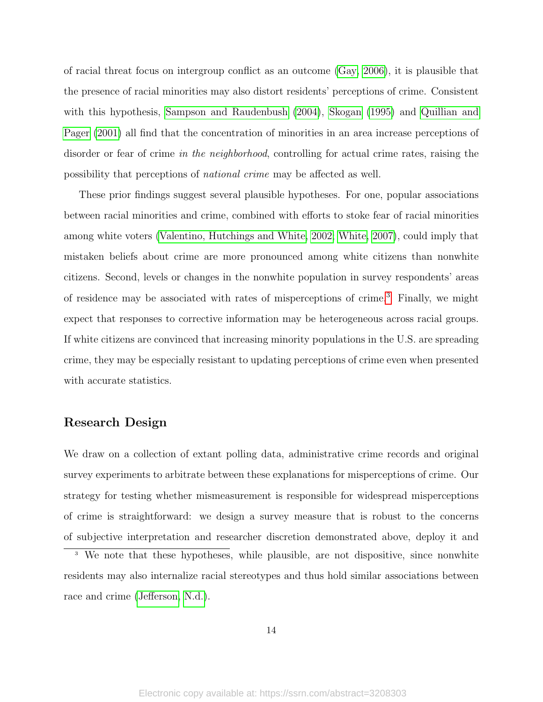of racial threat focus on intergroup conflict as an outcome [\(Gay, 2006\)](#page-38-12), it is plausible that the presence of racial minorities may also distort residents' perceptions of crime. Consistent with this hypothesis, [Sampson and Raudenbush](#page-42-10) [\(2004\)](#page-42-10), [Skogan](#page-42-11) [\(1995\)](#page-42-11) and [Quillian and](#page-42-12) [Pager](#page-42-12) [\(2001\)](#page-42-12) all find that the concentration of minorities in an area increase perceptions of disorder or fear of crime in the neighborhood, controlling for actual crime rates, raising the possibility that perceptions of national crime may be affected as well.

These prior findings suggest several plausible hypotheses. For one, popular associations between racial minorities and crime, combined with efforts to stoke fear of racial minorities among white voters [\(Valentino, Hutchings and White, 2002;](#page-42-13) [White, 2007\)](#page-42-14), could imply that mistaken beliefs about crime are more pronounced among white citizens than nonwhite citizens. Second, levels or changes in the nonwhite population in survey respondents' areas of residence may be associated with rates of misperceptions of crime.<sup>[3](#page-14-0)</sup> Finally, we might expect that responses to corrective information may be heterogeneous across racial groups. If white citizens are convinced that increasing minority populations in the U.S. are spreading crime, they may be especially resistant to updating perceptions of crime even when presented with accurate statistics.

### Research Design

We draw on a collection of extant polling data, administrative crime records and original survey experiments to arbitrate between these explanations for misperceptions of crime. Our strategy for testing whether mismeasurement is responsible for widespread misperceptions of crime is straightforward: we design a survey measure that is robust to the concerns of subjective interpretation and researcher discretion demonstrated above, deploy it and

<span id="page-14-0"></span><sup>&</sup>lt;sup>3</sup> We note that these hypotheses, while plausible, are not dispositive, since nonwhite residents may also internalize racial stereotypes and thus hold similar associations between race and crime [\(Jefferson, N.d.\)](#page-40-14).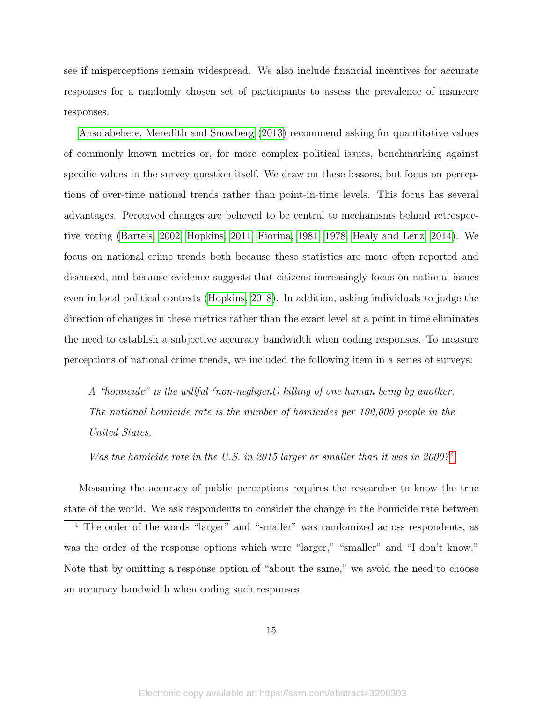see if misperceptions remain widespread. We also include financial incentives for accurate responses for a randomly chosen set of participants to assess the prevalence of insincere responses.

[Ansolabehere, Meredith and Snowberg](#page-37-3) [\(2013\)](#page-37-3) recommend asking for quantitative values of commonly known metrics or, for more complex political issues, benchmarking against specific values in the survey question itself. We draw on these lessons, but focus on perceptions of over-time national trends rather than point-in-time levels. This focus has several advantages. Perceived changes are believed to be central to mechanisms behind retrospective voting [\(Bartels, 2002;](#page-37-1) [Hopkins, 2011;](#page-39-12) [Fiorina, 1981,](#page-38-4) [1978;](#page-38-3) [Healy and Lenz, 2014\)](#page-39-1). We focus on national crime trends both because these statistics are more often reported and discussed, and because evidence suggests that citizens increasingly focus on national issues even in local political contexts [\(Hopkins, 2018\)](#page-39-13). In addition, asking individuals to judge the direction of changes in these metrics rather than the exact level at a point in time eliminates the need to establish a subjective accuracy bandwidth when coding responses. To measure perceptions of national crime trends, we included the following item in a series of surveys:

A "homicide" is the willful (non-negligent) killing of one human being by another. The national homicide rate is the number of homicides per 100,000 people in the United States.

Was the homicide rate in the U.S. in 2015 larger or smaller than it was in 2000?<sup>[4](#page-15-0)</sup>

Measuring the accuracy of public perceptions requires the researcher to know the true state of the world. We ask respondents to consider the change in the homicide rate between

<span id="page-15-0"></span><sup>4</sup> The order of the words "larger" and "smaller" was randomized across respondents, as was the order of the response options which were "larger," "smaller" and "I don't know." Note that by omitting a response option of "about the same," we avoid the need to choose an accuracy bandwidth when coding such responses.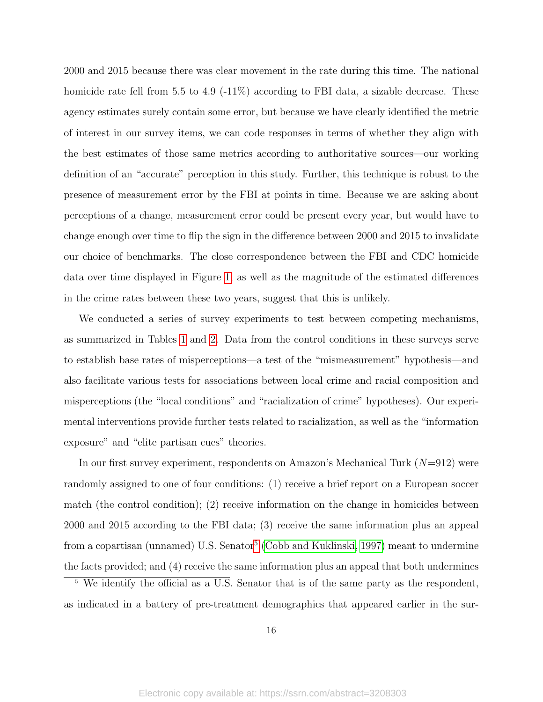2000 and 2015 because there was clear movement in the rate during this time. The national homicide rate fell from 5.5 to 4.9 (-11%) according to FBI data, a sizable decrease. These agency estimates surely contain some error, but because we have clearly identified the metric of interest in our survey items, we can code responses in terms of whether they align with the best estimates of those same metrics according to authoritative sources—our working definition of an "accurate" perception in this study. Further, this technique is robust to the presence of measurement error by the FBI at points in time. Because we are asking about perceptions of a change, measurement error could be present every year, but would have to change enough over time to flip the sign in the difference between 2000 and 2015 to invalidate our choice of benchmarks. The close correspondence between the FBI and CDC homicide data over time displayed in Figure [1,](#page-6-0) as well as the magnitude of the estimated differences in the crime rates between these two years, suggest that this is unlikely.

We conducted a series of survey experiments to test between competing mechanisms, as summarized in Tables [1](#page-17-0) and [2.](#page-19-0) Data from the control conditions in these surveys serve to establish base rates of misperceptions—a test of the "mismeasurement" hypothesis—and also facilitate various tests for associations between local crime and racial composition and misperceptions (the "local conditions" and "racialization of crime" hypotheses). Our experimental interventions provide further tests related to racialization, as well as the "information exposure" and "elite partisan cues" theories.

In our first survey experiment, respondents on Amazon's Mechanical Turk  $(N=912)$  were randomly assigned to one of four conditions: (1) receive a brief report on a European soccer match (the control condition); (2) receive information on the change in homicides between 2000 and 2015 according to the FBI data; (3) receive the same information plus an appeal from a copartisan (unnamed) U.S. Senator<sup>[5](#page-16-0)</sup> [\(Cobb and Kuklinski, 1997\)](#page-38-13) meant to undermine the facts provided; and (4) receive the same information plus an appeal that both undermines

<span id="page-16-0"></span> $\frac{5}{5}$  We identify the official as a U.S. Senator that is of the same party as the respondent, as indicated in a battery of pre-treatment demographics that appeared earlier in the sur-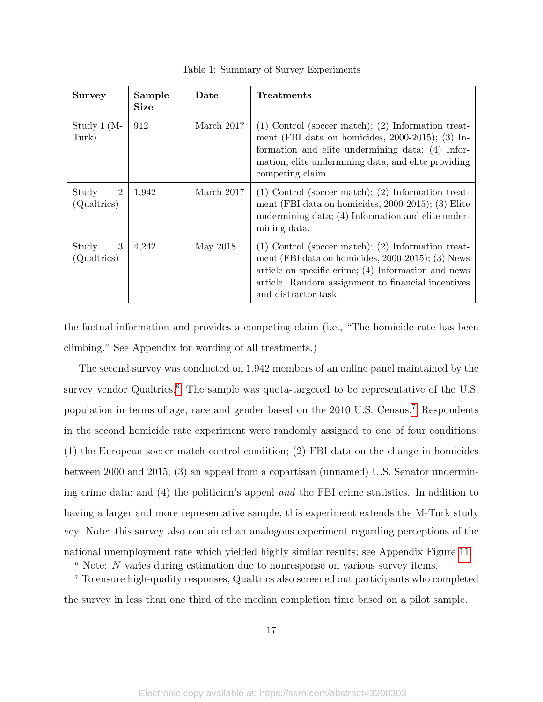<span id="page-17-0"></span>

| <b>Survey</b>             | Sample<br><b>Size</b> | Date       | Treatments                                                                                                                                                                                                                                            |
|---------------------------|-----------------------|------------|-------------------------------------------------------------------------------------------------------------------------------------------------------------------------------------------------------------------------------------------------------|
| Study $1$ (M-<br>Turk)    | 912                   | March 2017 | $(1)$ Control (soccer match); $(2)$ Information treat-<br>ment (FBI data on homicides, $2000-2015$ ); (3) In-<br>formation and elite undermining data; (4) Infor-<br>mation, elite undermining data, and elite providing<br>competing claim.          |
| Study<br>2<br>(Qualtrics) | 1,942                 | March 2017 | $(1)$ Control (soccer match); $(2)$ Information treat-<br>ment (FBI data on homicides, 2000-2015); (3) Elite<br>undermining data; (4) Information and elite under-<br>mining data.                                                                    |
| 3<br>Study<br>(Qualtrics) | 4,242                 | May 2018   | $(1)$ Control (soccer match); $(2)$ Information treat-<br>ment (FBI data on homicides, $2000-2015$ ); (3) News<br>article on specific crime; $(4)$ Information and news<br>article. Random assignment to financial incentives<br>and distractor task. |

Table 1: Summary of Survey Experiments

the factual information and provides a competing claim (i.e., "The homicide rate has been climbing." See Appendix for wording of all treatments.)

The second survey was conducted on 1,942 members of an online panel maintained by the survey vendor Qualtrics.<sup>[6](#page-17-1)</sup> The sample was quota-targeted to be representative of the U.S. population in terms of age, race and gender based on the 2010 U.S. Census.[7](#page-17-2) Respondents in the second homicide rate experiment were randomly assigned to one of four conditions: (1) the European soccer match control condition; (2) FBI data on the change in homicides between 2000 and 2015; (3) an appeal from a copartisan (unnamed) U.S. Senator undermining crime data; and (4) the politician's appeal and the FBI crime statistics. In addition to having a larger and more representative sample, this experiment extends the M-Turk study vey. Note: this survey also contained an analogous experiment regarding perceptions of the

national unemployment rate which yielded highly similar results; see Appendix Figure [11.](#page-19-0)

<span id="page-17-2"></span><span id="page-17-1"></span><sup>6</sup> Note: N varies during estimation due to nonresponse on various survey items.

<sup>7</sup> To ensure high-quality responses, Qualtrics also screened out participants who completed the survey in less than one third of the median completion time based on a pilot sample.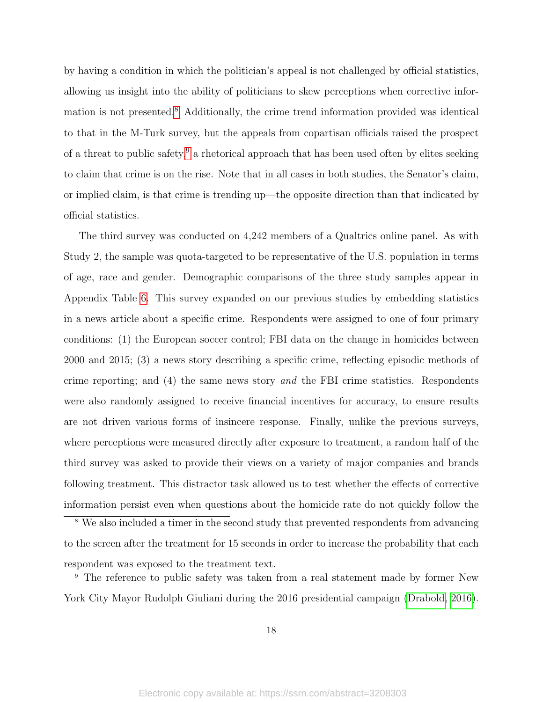by having a condition in which the politician's appeal is not challenged by official statistics, allowing us insight into the ability of politicians to skew perceptions when corrective infor-mation is not presented.<sup>[8](#page-18-0)</sup> Additionally, the crime trend information provided was identical to that in the M-Turk survey, but the appeals from copartisan officials raised the prospect of a threat to public safety, $9$  a rhetorical approach that has been used often by elites seeking to claim that crime is on the rise. Note that in all cases in both studies, the Senator's claim, or implied claim, is that crime is trending up—the opposite direction than that indicated by official statistics.

The third survey was conducted on 4,242 members of a Qualtrics online panel. As with Study 2, the sample was quota-targeted to be representative of the U.S. population in terms of age, race and gender. Demographic comparisons of the three study samples appear in Appendix Table [6.](#page-0-0) This survey expanded on our previous studies by embedding statistics in a news article about a specific crime. Respondents were assigned to one of four primary conditions: (1) the European soccer control; FBI data on the change in homicides between 2000 and 2015; (3) a news story describing a specific crime, reflecting episodic methods of crime reporting; and (4) the same news story and the FBI crime statistics. Respondents were also randomly assigned to receive financial incentives for accuracy, to ensure results are not driven various forms of insincere response. Finally, unlike the previous surveys, where perceptions were measured directly after exposure to treatment, a random half of the third survey was asked to provide their views on a variety of major companies and brands following treatment. This distractor task allowed us to test whether the effects of corrective information persist even when questions about the homicide rate do not quickly follow the

<span id="page-18-0"></span><sup>8</sup> We also included a timer in the second study that prevented respondents from advancing to the screen after the treatment for 15 seconds in order to increase the probability that each respondent was exposed to the treatment text.

<span id="page-18-1"></span><sup>9</sup> The reference to public safety was taken from a real statement made by former New York City Mayor Rudolph Giuliani during the 2016 presidential campaign [\(Drabold, 2016\)](#page-38-14).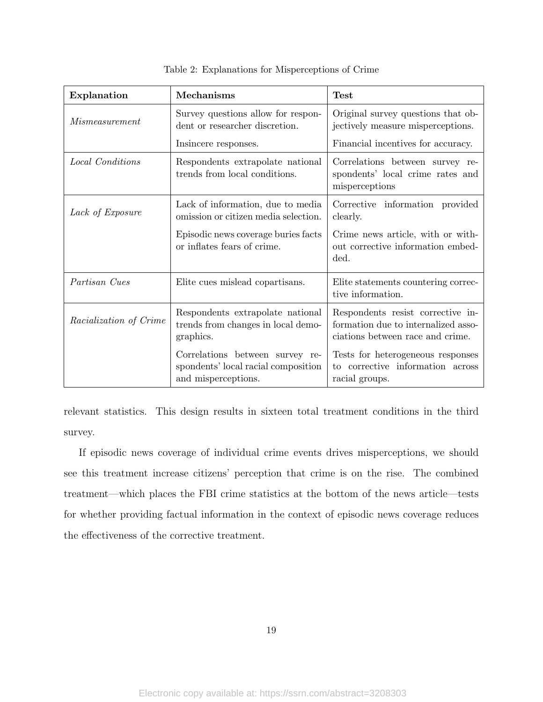<span id="page-19-0"></span>

| Explanation            | Mechanisms                                                                                    | <b>Test</b>                                                                                                  |
|------------------------|-----------------------------------------------------------------------------------------------|--------------------------------------------------------------------------------------------------------------|
| <i>Mismeasurement</i>  | Survey questions allow for respon-<br>dent or researcher discretion.                          | Original survey questions that ob-<br>jectively measure misperceptions.                                      |
|                        | Insincere responses.                                                                          | Financial incentives for accuracy.                                                                           |
| Local Conditions       | Respondents extrapolate national<br>trends from local conditions.                             | Correlations between survey re-<br>spondents' local crime rates and<br>misperceptions                        |
| Lack of Exposure       | Lack of information, due to media<br>omission or citizen media selection.                     | Corrective information provided<br>clearly.                                                                  |
|                        | Episodic news coverage buries facts<br>or inflates fears of crime.                            | Crime news article, with or with-<br>out corrective information embed-<br>ded.                               |
| Partisan Cues          | Elite cues mislead copartisans.                                                               | Elite statements countering correc-<br>tive information.                                                     |
| Racialization of Crime | Respondents extrapolate national<br>trends from changes in local demo-<br>graphics.           | Respondents resist corrective in-<br>formation due to internalized asso-<br>ciations between race and crime. |
|                        | Correlations between survey re-<br>spondents' local racial composition<br>and misperceptions. | Tests for heterogeneous responses<br>to corrective information across<br>racial groups.                      |

Table 2: Explanations for Misperceptions of Crime

relevant statistics. This design results in sixteen total treatment conditions in the third survey.

If episodic news coverage of individual crime events drives misperceptions, we should see this treatment increase citizens' perception that crime is on the rise. The combined treatment—which places the FBI crime statistics at the bottom of the news article—tests for whether providing factual information in the context of episodic news coverage reduces the effectiveness of the corrective treatment.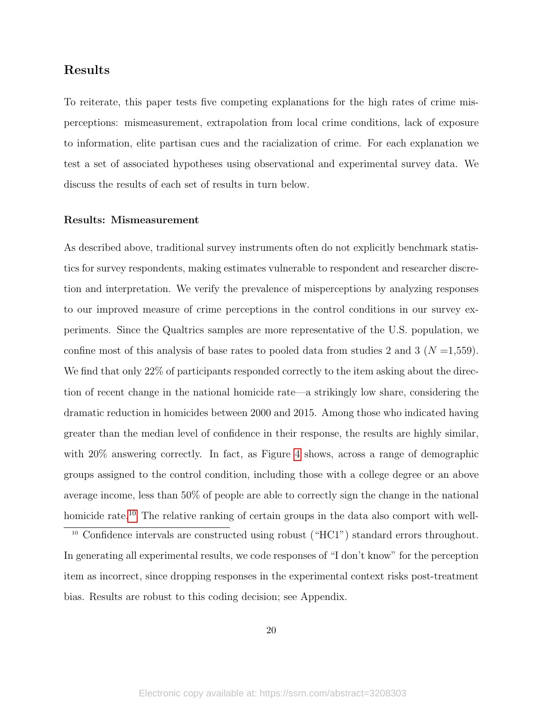## Results

To reiterate, this paper tests five competing explanations for the high rates of crime misperceptions: mismeasurement, extrapolation from local crime conditions, lack of exposure to information, elite partisan cues and the racialization of crime. For each explanation we test a set of associated hypotheses using observational and experimental survey data. We discuss the results of each set of results in turn below.

### Results: Mismeasurement

As described above, traditional survey instruments often do not explicitly benchmark statistics for survey respondents, making estimates vulnerable to respondent and researcher discretion and interpretation. We verify the prevalence of misperceptions by analyzing responses to our improved measure of crime perceptions in the control conditions in our survey experiments. Since the Qualtrics samples are more representative of the U.S. population, we confine most of this analysis of base rates to pooled data from studies 2 and 3 ( $N = 1,559$ ). We find that only 22% of participants responded correctly to the item asking about the direction of recent change in the national homicide rate—a strikingly low share, considering the dramatic reduction in homicides between 2000 and 2015. Among those who indicated having greater than the median level of confidence in their response, the results are highly similar, with  $20\%$  answering correctly. In fact, as Figure [4](#page-22-0) shows, across a range of demographic groups assigned to the control condition, including those with a college degree or an above average income, less than 50% of people are able to correctly sign the change in the national homicide rate.<sup>[10](#page-20-0)</sup> The relative ranking of certain groups in the data also comport with well-

<span id="page-20-0"></span><sup>10</sup> Confidence intervals are constructed using robust ("HC1") standard errors throughout. In generating all experimental results, we code responses of "I don't know" for the perception item as incorrect, since dropping responses in the experimental context risks post-treatment bias. Results are robust to this coding decision; see Appendix.

20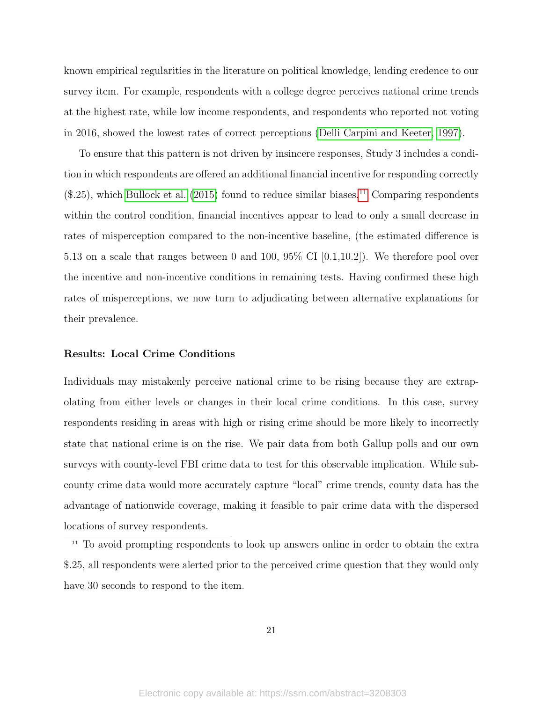known empirical regularities in the literature on political knowledge, lending credence to our survey item. For example, respondents with a college degree perceives national crime trends at the highest rate, while low income respondents, and respondents who reported not voting in 2016, showed the lowest rates of correct perceptions [\(Delli Carpini and Keeter, 1997\)](#page-38-6).

To ensure that this pattern is not driven by insincere responses, Study 3 includes a condition in which respondents are offered an additional financial incentive for responding correctly  $($.25)$ , which [Bullock et al.](#page-37-2)  $(2015)$  found to reduce similar biases.<sup>[11](#page-21-0)</sup> Comparing respondents within the control condition, financial incentives appear to lead to only a small decrease in rates of misperception compared to the non-incentive baseline, (the estimated difference is 5.13 on a scale that ranges between 0 and 100, 95% CI [0.1,10.2]). We therefore pool over the incentive and non-incentive conditions in remaining tests. Having confirmed these high rates of misperceptions, we now turn to adjudicating between alternative explanations for their prevalence.

#### Results: Local Crime Conditions

Individuals may mistakenly perceive national crime to be rising because they are extrapolating from either levels or changes in their local crime conditions. In this case, survey respondents residing in areas with high or rising crime should be more likely to incorrectly state that national crime is on the rise. We pair data from both Gallup polls and our own surveys with county-level FBI crime data to test for this observable implication. While subcounty crime data would more accurately capture "local" crime trends, county data has the advantage of nationwide coverage, making it feasible to pair crime data with the dispersed locations of survey respondents.

<span id="page-21-0"></span> $\frac{11}{11}$  To avoid prompting respondents to look up answers online in order to obtain the extra \$.25, all respondents were alerted prior to the perceived crime question that they would only have 30 seconds to respond to the item.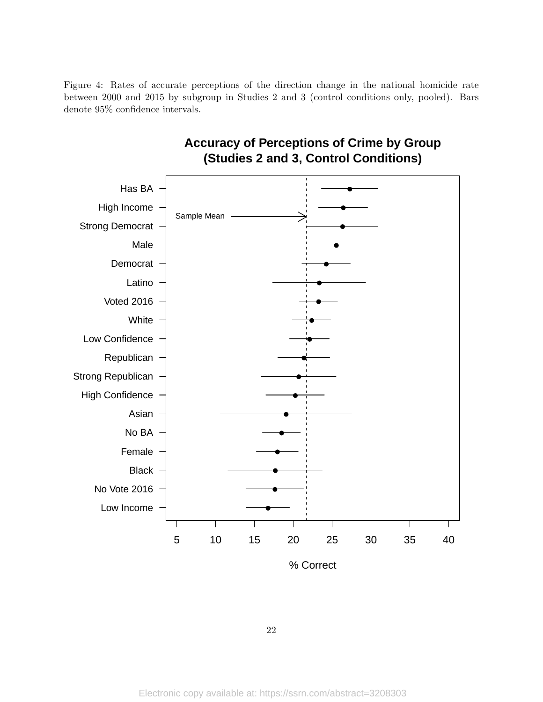<span id="page-22-0"></span>Figure 4: Rates of accurate perceptions of the direction change in the national homicide rate between 2000 and 2015 by subgroup in Studies 2 and 3 (control conditions only, pooled). Bars denote 95% confidence intervals.



# **Accuracy of Perceptions of Crime by Group (Studies 2 and 3, Control Conditions)**

22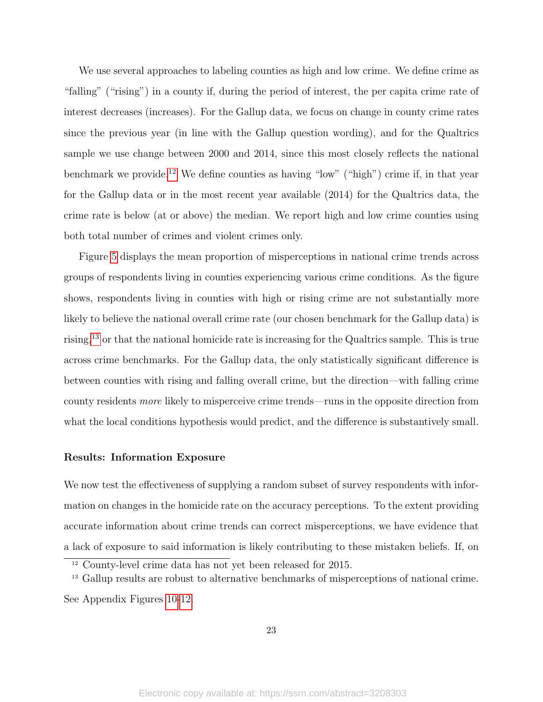We use several approaches to labeling counties as high and low crime. We define crime as "falling" ("rising") in a county if, during the period of interest, the per capita crime rate of interest decreases (increases). For the Gallup data, we focus on change in county crime rates since the previous year (in line with the Gallup question wording), and for the Qualtrics sample we use change between 2000 and 2014, since this most closely reflects the national benchmark we provide.<sup>[12](#page-23-0)</sup> We define counties as having "low" ("high") crime if, in that year for the Gallup data or in the most recent year available (2014) for the Qualtrics data, the crime rate is below (at or above) the median. We report high and low crime counties using both total number of crimes and violent crimes only.

Figure [5](#page-24-0) displays the mean proportion of misperceptions in national crime trends across groups of respondents living in counties experiencing various crime conditions. As the figure shows, respondents living in counties with high or rising crime are not substantially more likely to believe the national overall crime rate (our chosen benchmark for the Gallup data) is rising, $13$  or that the national homicide rate is increasing for the Qualtrics sample. This is true across crime benchmarks. For the Gallup data, the only statistically significant difference is between counties with rising and falling overall crime, but the direction—with falling crime county residents more likely to misperceive crime trends—runs in the opposite direction from what the local conditions hypothesis would predict, and the difference is substantively small.

### Results: Information Exposure

We now test the effectiveness of supplying a random subset of survey respondents with information on changes in the homicide rate on the accuracy perceptions. To the extent providing accurate information about crime trends can correct misperceptions, we have evidence that a lack of exposure to said information is likely contributing to these mistaken beliefs. If, on

See Appendix Figures [10-](#page-33-0)[12.](#page-0-0)

<span id="page-23-0"></span> $12$  County-level crime data has not yet been released for 2015.

<span id="page-23-1"></span><sup>&</sup>lt;sup>13</sup> Gallup results are robust to alternative benchmarks of misperceptions of national crime.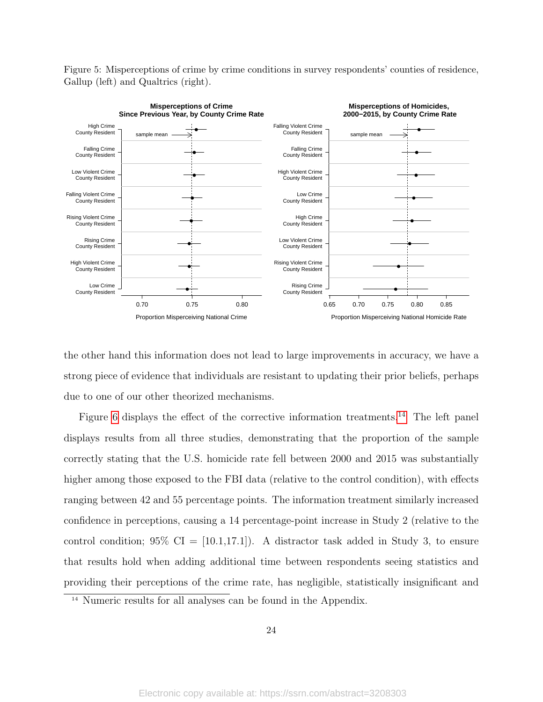Figure 5: Misperceptions of crime by crime conditions in survey respondents' counties of residence, Gallup (left) and Qualtrics (right).

<span id="page-24-0"></span>

the other hand this information does not lead to large improvements in accuracy, we have a strong piece of evidence that individuals are resistant to updating their prior beliefs, perhaps due to one of our other theorized mechanisms.

Figure [6](#page-26-0) displays the effect of the corrective information treatments.<sup>[14](#page-24-1)</sup> The left panel displays results from all three studies, demonstrating that the proportion of the sample correctly stating that the U.S. homicide rate fell between 2000 and 2015 was substantially higher among those exposed to the FBI data (relative to the control condition), with effects ranging between 42 and 55 percentage points. The information treatment similarly increased confidence in perceptions, causing a 14 percentage-point increase in Study 2 (relative to the control condition; 95%  $CI = [10.1, 17.1]$ . A distractor task added in Study 3, to ensure that results hold when adding additional time between respondents seeing statistics and providing their perceptions of the crime rate, has negligible, statistically insignificant and

<span id="page-24-1"></span><sup>14</sup> Numeric results for all analyses can be found in the Appendix.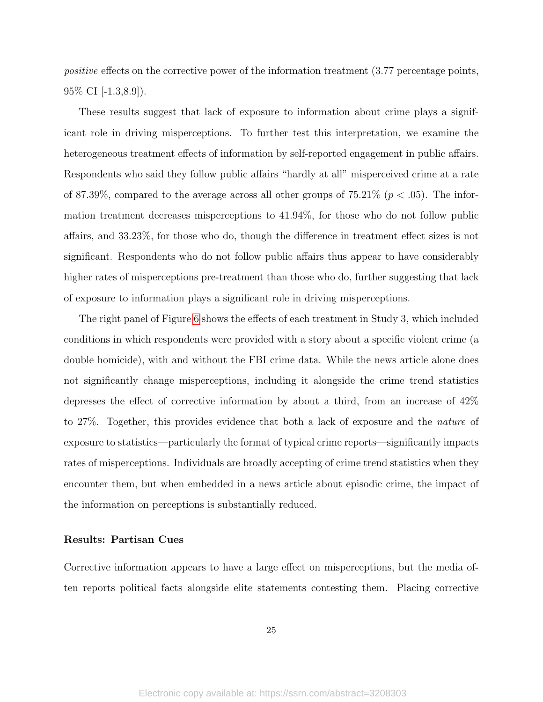positive effects on the corrective power of the information treatment (3.77 percentage points,  $95\%$  CI  $[-1.3, 8.9]$ ).

These results suggest that lack of exposure to information about crime plays a significant role in driving misperceptions. To further test this interpretation, we examine the heterogeneous treatment effects of information by self-reported engagement in public affairs. Respondents who said they follow public affairs "hardly at all" misperceived crime at a rate of 87.39%, compared to the average across all other groups of  $75.21\%$  ( $p < .05$ ). The information treatment decreases misperceptions to 41.94%, for those who do not follow public affairs, and 33.23%, for those who do, though the difference in treatment effect sizes is not significant. Respondents who do not follow public affairs thus appear to have considerably higher rates of misperceptions pre-treatment than those who do, further suggesting that lack of exposure to information plays a significant role in driving misperceptions.

The right panel of Figure [6](#page-26-0) shows the effects of each treatment in Study 3, which included conditions in which respondents were provided with a story about a specific violent crime (a double homicide), with and without the FBI crime data. While the news article alone does not significantly change misperceptions, including it alongside the crime trend statistics depresses the effect of corrective information by about a third, from an increase of 42% to 27%. Together, this provides evidence that both a lack of exposure and the nature of exposure to statistics—particularly the format of typical crime reports—significantly impacts rates of misperceptions. Individuals are broadly accepting of crime trend statistics when they encounter them, but when embedded in a news article about episodic crime, the impact of the information on perceptions is substantially reduced.

#### Results: Partisan Cues

Corrective information appears to have a large effect on misperceptions, but the media often reports political facts alongside elite statements contesting them. Placing corrective

25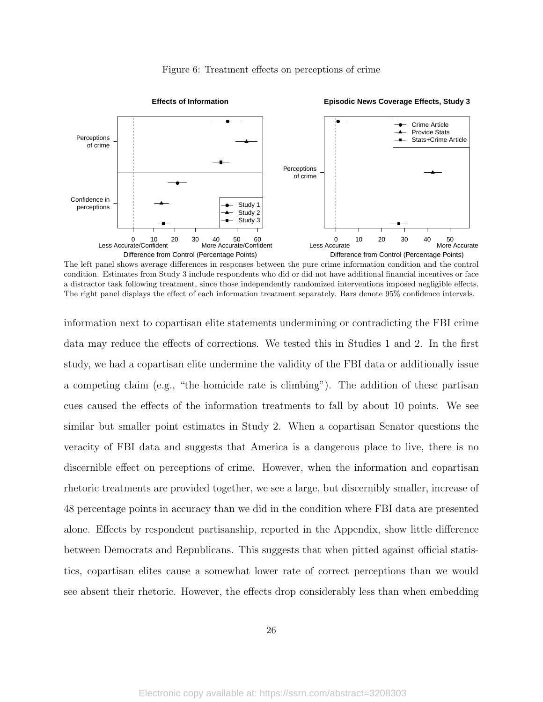<span id="page-26-0"></span>

#### Figure 6: Treatment effects on perceptions of crime

The left panel shows average differences in responses between the pure crime information condition and the control condition. Estimates from Study 3 include respondents who did or did not have additional financial incentives or face a distractor task following treatment, since those independently randomized interventions imposed negligible effects. The right panel displays the effect of each information treatment separately. Bars denote 95% confidence intervals.

information next to copartisan elite statements undermining or contradicting the FBI crime data may reduce the effects of corrections. We tested this in Studies 1 and 2. In the first study, we had a copartisan elite undermine the validity of the FBI data or additionally issue a competing claim (e.g., "the homicide rate is climbing"). The addition of these partisan cues caused the effects of the information treatments to fall by about 10 points. We see similar but smaller point estimates in Study 2. When a copartisan Senator questions the veracity of FBI data and suggests that America is a dangerous place to live, there is no discernible effect on perceptions of crime. However, when the information and copartisan rhetoric treatments are provided together, we see a large, but discernibly smaller, increase of 48 percentage points in accuracy than we did in the condition where FBI data are presented alone. Effects by respondent partisanship, reported in the Appendix, show little difference between Democrats and Republicans. This suggests that when pitted against official statistics, copartisan elites cause a somewhat lower rate of correct perceptions than we would see absent their rhetoric. However, the effects drop considerably less than when embedding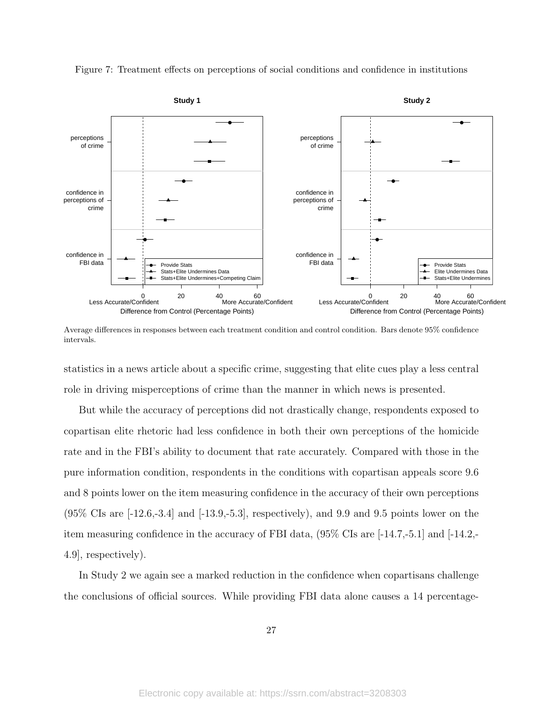<span id="page-27-0"></span>

Figure 7: Treatment effects on perceptions of social conditions and confidence in institutions

Average differences in responses between each treatment condition and control condition. Bars denote 95% confidence intervals.

statistics in a news article about a specific crime, suggesting that elite cues play a less central role in driving misperceptions of crime than the manner in which news is presented.

But while the accuracy of perceptions did not drastically change, respondents exposed to copartisan elite rhetoric had less confidence in both their own perceptions of the homicide rate and in the FBI's ability to document that rate accurately. Compared with those in the pure information condition, respondents in the conditions with copartisan appeals score 9.6 and 8 points lower on the item measuring confidence in the accuracy of their own perceptions  $(95\% \text{ CIs are } [-12.6, -3.4] \text{ and } [-13.9, -5.3],$  respectively), and 9.9 and 9.5 points lower on the item measuring confidence in the accuracy of FBI data, (95% CIs are [-14.7,-5.1] and [-14.2,- 4.9], respectively).

In Study 2 we again see a marked reduction in the confidence when copartisans challenge the conclusions of official sources. While providing FBI data alone causes a 14 percentage-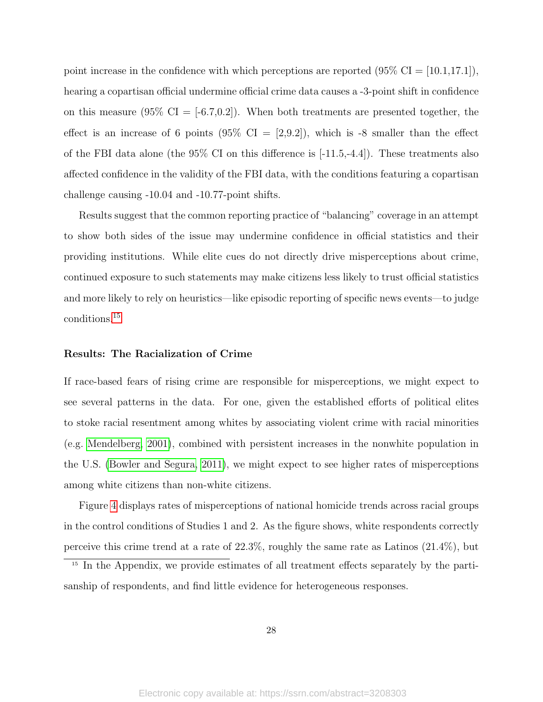point increase in the confidence with which perceptions are reported  $(95\% \text{ CI} = |10.1,17.1|)$ , hearing a copartisan official undermine official crime data causes a -3-point shift in confidence on this measure  $(95\% \text{ CI} = [-6.7, 0.2])$ . When both treatments are presented together, the effect is an increase of 6 points (95% CI =  $[2,9.2]$ ), which is -8 smaller than the effect of the FBI data alone (the  $95\%$  CI on this difference is  $[-11.5,-4.4]$ ). These treatments also affected confidence in the validity of the FBI data, with the conditions featuring a copartisan challenge causing -10.04 and -10.77-point shifts.

Results suggest that the common reporting practice of "balancing" coverage in an attempt to show both sides of the issue may undermine confidence in official statistics and their providing institutions. While elite cues do not directly drive misperceptions about crime, continued exposure to such statements may make citizens less likely to trust official statistics and more likely to rely on heuristics—like episodic reporting of specific news events—to judge conditions.[15](#page-28-0)

#### Results: The Racialization of Crime

If race-based fears of rising crime are responsible for misperceptions, we might expect to see several patterns in the data. For one, given the established efforts of political elites to stoke racial resentment among whites by associating violent crime with racial minorities (e.g. [Mendelberg, 2001\)](#page-41-8), combined with persistent increases in the nonwhite population in the U.S. [\(Bowler and Segura, 2011\)](#page-37-11), we might expect to see higher rates of misperceptions among white citizens than non-white citizens.

Figure [4](#page-22-0) displays rates of misperceptions of national homicide trends across racial groups in the control conditions of Studies 1 and 2. As the figure shows, white respondents correctly perceive this crime trend at a rate of 22.3%, roughly the same rate as Latinos (21.4%), but

<span id="page-28-0"></span><sup>&</sup>lt;sup>15</sup> In the Appendix, we provide estimates of all treatment effects separately by the partisanship of respondents, and find little evidence for heterogeneous responses.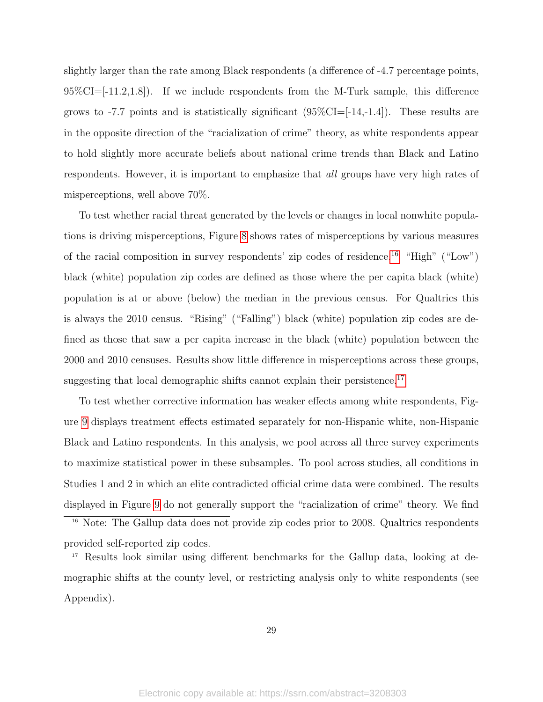slightly larger than the rate among Black respondents (a difference of -4.7 percentage points,  $95\%CI = [-11.2, 1.8]$ . If we include respondents from the M-Turk sample, this difference grows to -7.7 points and is statistically significant  $(95\%CI=[-14,-1.4])$ . These results are in the opposite direction of the "racialization of crime" theory, as white respondents appear to hold slightly more accurate beliefs about national crime trends than Black and Latino respondents. However, it is important to emphasize that all groups have very high rates of misperceptions, well above 70%.

To test whether racial threat generated by the levels or changes in local nonwhite populations is driving misperceptions, Figure [8](#page-30-0) shows rates of misperceptions by various measures of the racial composition in survey respondents' zip codes of residence.[16](#page-29-0) "High" ("Low") black (white) population zip codes are defined as those where the per capita black (white) population is at or above (below) the median in the previous census. For Qualtrics this is always the 2010 census. "Rising" ("Falling") black (white) population zip codes are defined as those that saw a per capita increase in the black (white) population between the 2000 and 2010 censuses. Results show little difference in misperceptions across these groups, suggesting that local demographic shifts cannot explain their persistence.<sup>[17](#page-29-1)</sup>

To test whether corrective information has weaker effects among white respondents, Figure [9](#page-31-0) displays treatment effects estimated separately for non-Hispanic white, non-Hispanic Black and Latino respondents. In this analysis, we pool across all three survey experiments to maximize statistical power in these subsamples. To pool across studies, all conditions in Studies 1 and 2 in which an elite contradicted official crime data were combined. The results displayed in Figure [9](#page-31-0) do not generally support the "racialization of crime" theory. We find

<span id="page-29-0"></span><sup>16</sup> Note: The Gallup data does not provide zip codes prior to 2008. Qualtrics respondents provided self-reported zip codes.

<span id="page-29-1"></span><sup>17</sup> Results look similar using different benchmarks for the Gallup data, looking at demographic shifts at the county level, or restricting analysis only to white respondents (see Appendix).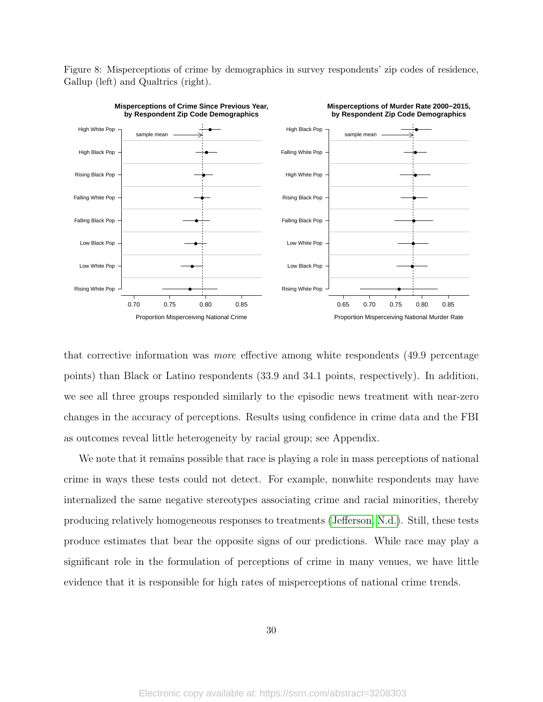Figure 8: Misperceptions of crime by demographics in survey respondents' zip codes of residence, Gallup (left) and Qualtrics (right).

<span id="page-30-0"></span>

that corrective information was more effective among white respondents (49.9 percentage points) than Black or Latino respondents (33.9 and 34.1 points, respectively). In addition, we see all three groups responded similarly to the episodic news treatment with near-zero changes in the accuracy of perceptions. Results using confidence in crime data and the FBI as outcomes reveal little heterogeneity by racial group; see Appendix.

We note that it remains possible that race is playing a role in mass perceptions of national crime in ways these tests could not detect. For example, nonwhite respondents may have internalized the same negative stereotypes associating crime and racial minorities, thereby producing relatively homogeneous responses to treatments [\(Jefferson, N.d.\)](#page-40-14). Still, these tests produce estimates that bear the opposite signs of our predictions. While race may play a significant role in the formulation of perceptions of crime in many venues, we have little evidence that it is responsible for high rates of misperceptions of national crime trends.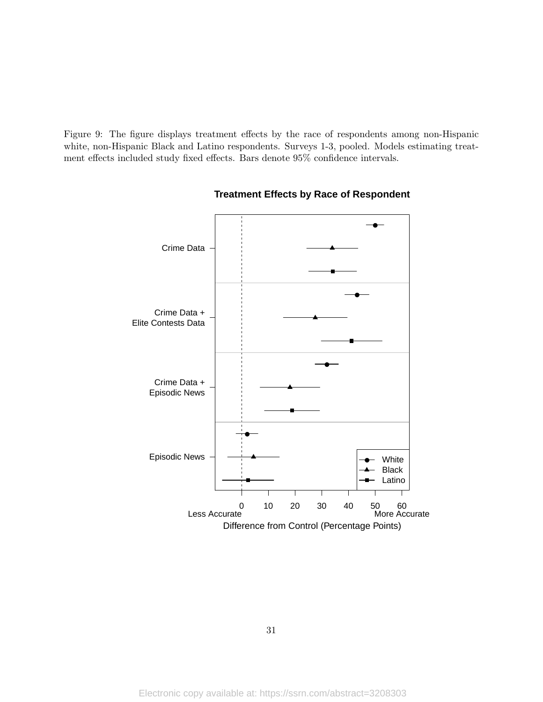<span id="page-31-0"></span>Figure 9: The figure displays treatment effects by the race of respondents among non-Hispanic white, non-Hispanic Black and Latino respondents. Surveys 1-3, pooled. Models estimating treatment effects included study fixed effects. Bars denote 95% confidence intervals.



### **Treatment Effects by Race of Respondent**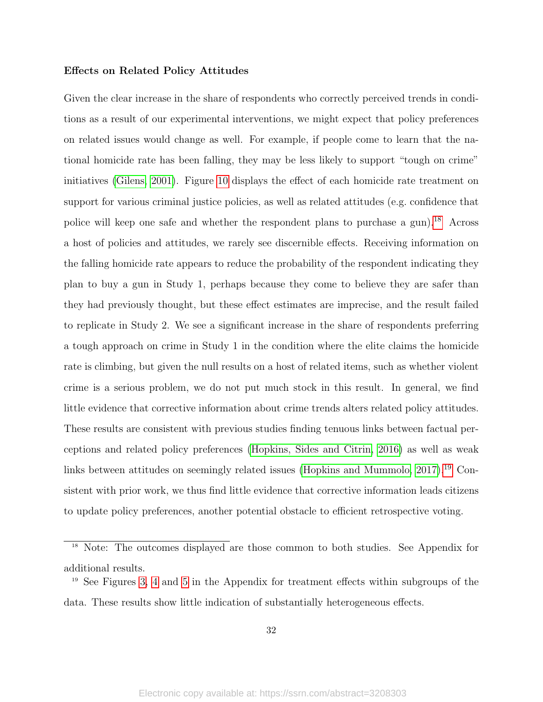### Effects on Related Policy Attitudes

Given the clear increase in the share of respondents who correctly perceived trends in conditions as a result of our experimental interventions, we might expect that policy preferences on related issues would change as well. For example, if people come to learn that the national homicide rate has been falling, they may be less likely to support "tough on crime" initiatives [\(Gilens, 2001\)](#page-39-3). Figure [10](#page-33-0) displays the effect of each homicide rate treatment on support for various criminal justice policies, as well as related attitudes (e.g. confidence that police will keep one safe and whether the respondent plans to purchase a gun).<sup>[18](#page-32-0)</sup> Across a host of policies and attitudes, we rarely see discernible effects. Receiving information on the falling homicide rate appears to reduce the probability of the respondent indicating they plan to buy a gun in Study 1, perhaps because they come to believe they are safer than they had previously thought, but these effect estimates are imprecise, and the result failed to replicate in Study 2. We see a significant increase in the share of respondents preferring a tough approach on crime in Study 1 in the condition where the elite claims the homicide rate is climbing, but given the null results on a host of related items, such as whether violent crime is a serious problem, we do not put much stock in this result. In general, we find little evidence that corrective information about crime trends alters related policy attitudes. These results are consistent with previous studies finding tenuous links between factual perceptions and related policy preferences [\(Hopkins, Sides and Citrin, 2016\)](#page-39-6) as well as weak links between attitudes on seemingly related issues [\(Hopkins and Mummolo, 2017\)](#page-39-7).<sup>[19](#page-32-1)</sup> Consistent with prior work, we thus find little evidence that corrective information leads citizens to update policy preferences, another potential obstacle to efficient retrospective voting.

<span id="page-32-0"></span><sup>18</sup> Note: The outcomes displayed are those common to both studies. See Appendix for additional results.

<span id="page-32-1"></span><sup>19</sup> See Figures [3,](#page-26-0) [4](#page-0-0) and [5](#page-27-0) in the Appendix for treatment effects within subgroups of the data. These results show little indication of substantially heterogeneous effects.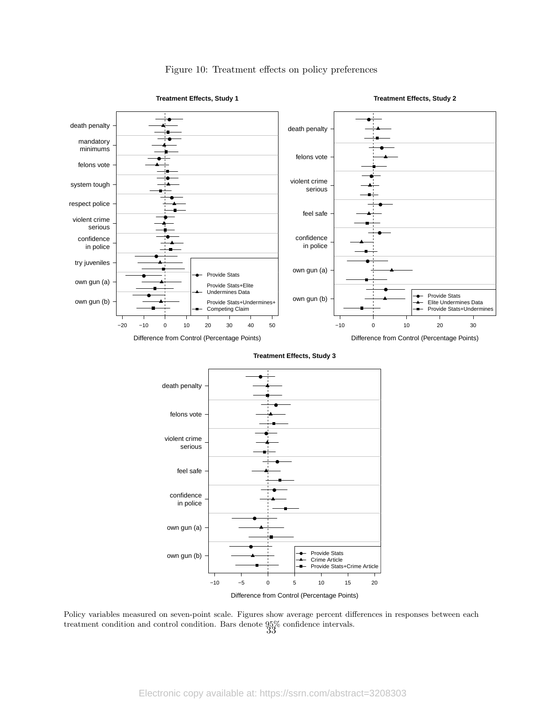<span id="page-33-0"></span>

### Figure 10: Treatment effects on policy preferences

Policy variables measured on seven-point scale. Figures show average percent differences in responses between each treatment condition and control condition. Bars denote  $95\%$  confidence intervals.<br>33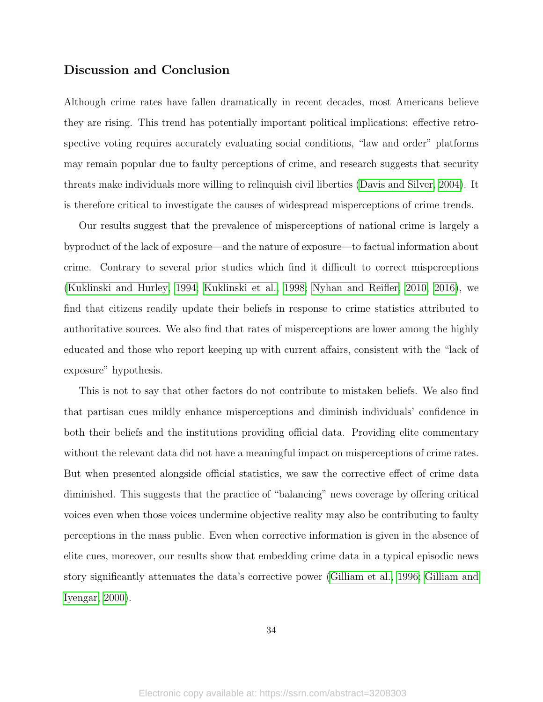## Discussion and Conclusion

Although crime rates have fallen dramatically in recent decades, most Americans believe they are rising. This trend has potentially important political implications: effective retrospective voting requires accurately evaluating social conditions, "law and order" platforms may remain popular due to faulty perceptions of crime, and research suggests that security threats make individuals more willing to relinquish civil liberties [\(Davis and Silver, 2004\)](#page-38-5). It is therefore critical to investigate the causes of widespread misperceptions of crime trends.

Our results suggest that the prevalence of misperceptions of national crime is largely a byproduct of the lack of exposure—and the nature of exposure—to factual information about crime. Contrary to several prior studies which find it difficult to correct misperceptions [\(Kuklinski and Hurley, 1994;](#page-40-4) [Kuklinski et al., 1998;](#page-40-5) [Nyhan and Reifler, 2010,](#page-41-4) [2016\)](#page-41-6), we find that citizens readily update their beliefs in response to crime statistics attributed to authoritative sources. We also find that rates of misperceptions are lower among the highly educated and those who report keeping up with current affairs, consistent with the "lack of exposure" hypothesis.

This is not to say that other factors do not contribute to mistaken beliefs. We also find that partisan cues mildly enhance misperceptions and diminish individuals' confidence in both their beliefs and the institutions providing official data. Providing elite commentary without the relevant data did not have a meaningful impact on misperceptions of crime rates. But when presented alongside official statistics, we saw the corrective effect of crime data diminished. This suggests that the practice of "balancing" news coverage by offering critical voices even when those voices undermine objective reality may also be contributing to faulty perceptions in the mass public. Even when corrective information is given in the absence of elite cues, moreover, our results show that embedding crime data in a typical episodic news story significantly attenuates the data's corrective power [\(Gilliam et al., 1996;](#page-39-14) [Gilliam and](#page-39-5) [Iyengar, 2000\)](#page-39-5).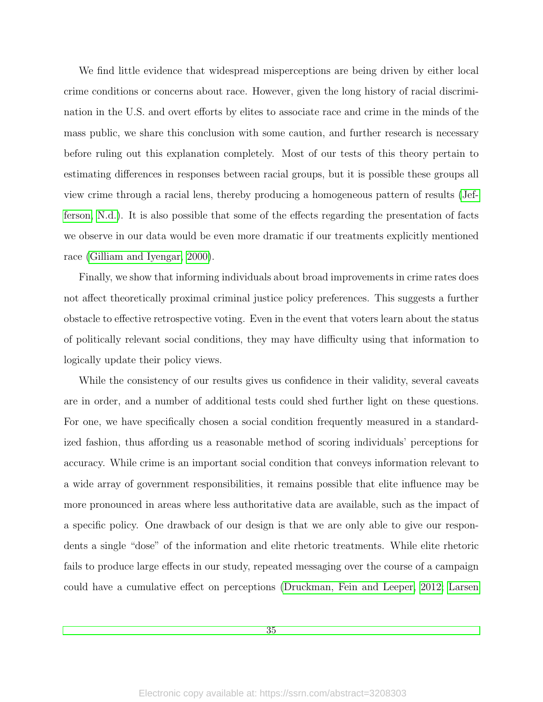We find little evidence that widespread misperceptions are being driven by either local crime conditions or concerns about race. However, given the long history of racial discrimination in the U.S. and overt efforts by elites to associate race and crime in the minds of the mass public, we share this conclusion with some caution, and further research is necessary before ruling out this explanation completely. Most of our tests of this theory pertain to estimating differences in responses between racial groups, but it is possible these groups all view crime through a racial lens, thereby producing a homogeneous pattern of results [\(Jef](#page-40-14)[ferson, N.d.\)](#page-40-14). It is also possible that some of the effects regarding the presentation of facts we observe in our data would be even more dramatic if our treatments explicitly mentioned race [\(Gilliam and Iyengar, 2000\)](#page-39-5).

Finally, we show that informing individuals about broad improvements in crime rates does not affect theoretically proximal criminal justice policy preferences. This suggests a further obstacle to effective retrospective voting. Even in the event that voters learn about the status of politically relevant social conditions, they may have difficulty using that information to logically update their policy views.

While the consistency of our results gives us confidence in their validity, several caveats are in order, and a number of additional tests could shed further light on these questions. For one, we have specifically chosen a social condition frequently measured in a standardized fashion, thus affording us a reasonable method of scoring individuals' perceptions for accuracy. While crime is an important social condition that conveys information relevant to a wide array of government responsibilities, it remains possible that elite influence may be more pronounced in areas where less authoritative data are available, such as the impact of a specific policy. One drawback of our design is that we are only able to give our respondents a single "dose" of the information and elite rhetoric treatments. While elite rhetoric fails to produce large effects in our study, repeated messaging over the course of a campaign could have a cumulative effect on perceptions [\(Druckman, Fein and Leeper, 2012;](#page-38-15) [Larsen](#page-40-3)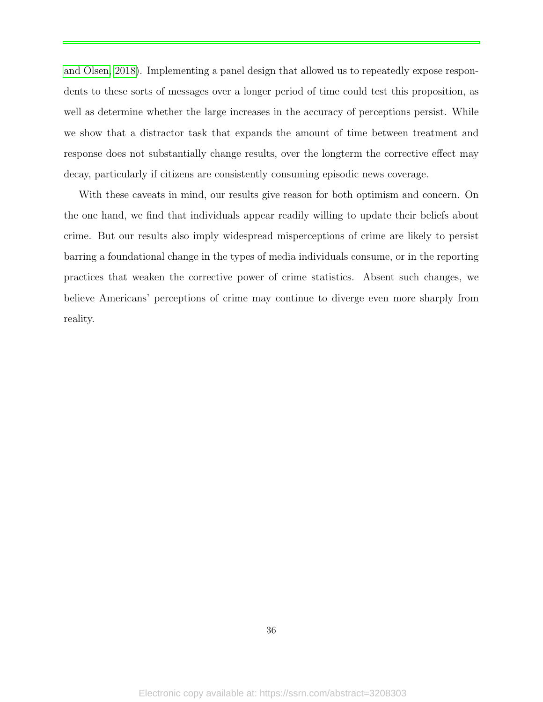[and Olsen, 2018\)](#page-40-0). Implementing a panel design that allowed us to repeatedly expose respondents to these sorts of messages over a longer period of time could test this proposition, as well as determine whether the large increases in the accuracy of perceptions persist. While we show that a distractor task that expands the amount of time between treatment and response does not substantially change results, over the longterm the corrective effect may decay, particularly if citizens are consistently consuming episodic news coverage.

With these caveats in mind, our results give reason for both optimism and concern. On the one hand, we find that individuals appear readily willing to update their beliefs about crime. But our results also imply widespread misperceptions of crime are likely to persist barring a foundational change in the types of media individuals consume, or in the reporting practices that weaken the corrective power of crime statistics. Absent such changes, we believe Americans' perceptions of crime may continue to diverge even more sharply from reality.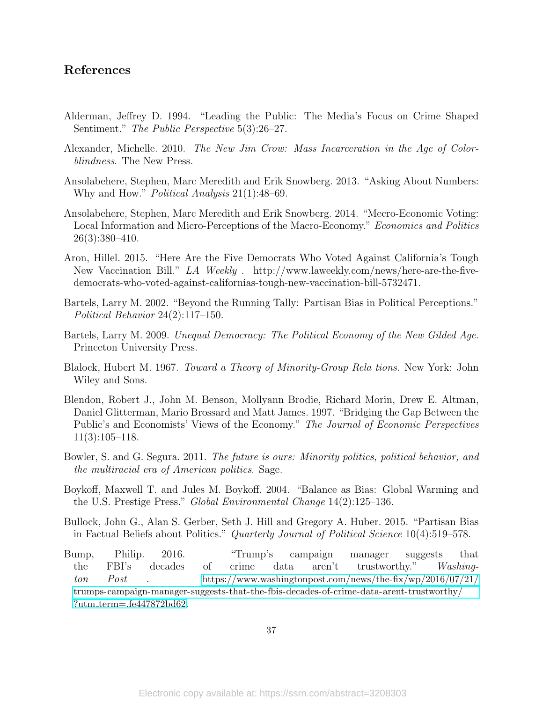# References

- Alderman, Jeffrey D. 1994. "Leading the Public: The Media's Focus on Crime Shaped Sentiment." The Public Perspective 5(3):26–27.
- Alexander, Michelle. 2010. The New Jim Crow: Mass Incarceration in the Age of Colorblindness. The New Press.
- Ansolabehere, Stephen, Marc Meredith and Erik Snowberg. 2013. "Asking About Numbers: Why and How." *Political Analysis* 21(1):48–69.
- Ansolabehere, Stephen, Marc Meredith and Erik Snowberg. 2014. "Mecro-Economic Voting: Local Information and Micro-Perceptions of the Macro-Economy." Economics and Politics 26(3):380–410.
- Aron, Hillel. 2015. "Here Are the Five Democrats Who Voted Against California's Tough New Vaccination Bill." LA Weekly . http://www.laweekly.com/news/here-are-the-fivedemocrats-who-voted-against-californias-tough-new-vaccination-bill-5732471.
- Bartels, Larry M. 2002. "Beyond the Running Tally: Partisan Bias in Political Perceptions." Political Behavior 24(2):117–150.
- Bartels, Larry M. 2009. Unequal Democracy: The Political Economy of the New Gilded Age. Princeton University Press.
- Blalock, Hubert M. 1967. Toward a Theory of Minority-Group Rela tions. New York: John Wiley and Sons.
- Blendon, Robert J., John M. Benson, Mollyann Brodie, Richard Morin, Drew E. Altman, Daniel Glitterman, Mario Brossard and Matt James. 1997. "Bridging the Gap Between the Public's and Economists' Views of the Economy." The Journal of Economic Perspectives 11(3):105–118.
- Bowler, S. and G. Segura. 2011. The future is ours: Minority politics, political behavior, and the multiracial era of American politics. Sage.
- Boykoff, Maxwell T. and Jules M. Boykoff. 2004. "Balance as Bias: Global Warming and the U.S. Prestige Press." Global Environmental Change 14(2):125–136.
- Bullock, John G., Alan S. Gerber, Seth J. Hill and Gregory A. Huber. 2015. "Partisan Bias in Factual Beliefs about Politics." Quarterly Journal of Political Science 10(4):519–578.
- Bump, Philip. 2016. "Trump's campaign manager suggests that the FBI's decades of crime data aren't trustworthy." Washington Post . [https://www.washingtonpost.com/news/the-fix/wp/2016/07/21/](https://www.washingtonpost.com/news/the-fix/wp/2016/07/21/trumps-campaign-manager-suggests-that-the-fbis-decades-of-crime-data-arent-trustworthy/?utm_term=.fe447872bd62) [trumps-campaign-manager-suggests-that-the-fbis-decades-of-crime-data-arent-trustworthy/](https://www.washingtonpost.com/news/the-fix/wp/2016/07/21/trumps-campaign-manager-suggests-that-the-fbis-decades-of-crime-data-arent-trustworthy/?utm_term=.fe447872bd62) ?utm\_[term=.fe447872bd62](https://www.washingtonpost.com/news/the-fix/wp/2016/07/21/trumps-campaign-manager-suggests-that-the-fbis-decades-of-crime-data-arent-trustworthy/?utm_term=.fe447872bd62).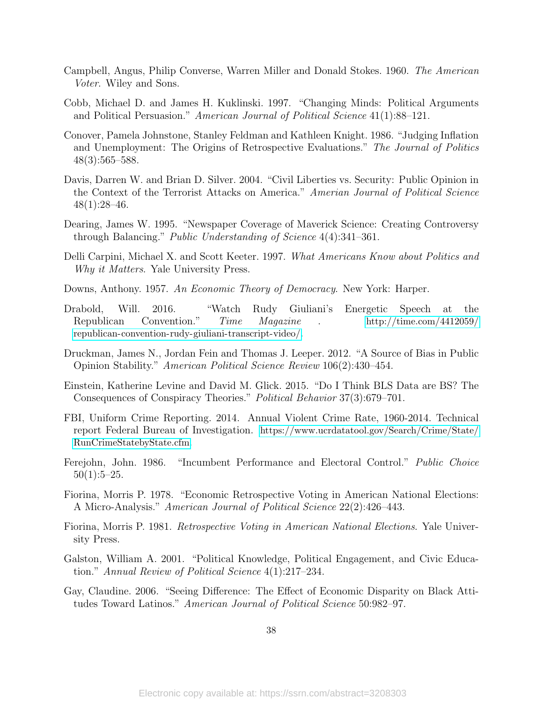- Campbell, Angus, Philip Converse, Warren Miller and Donald Stokes. 1960. The American Voter. Wiley and Sons.
- Cobb, Michael D. and James H. Kuklinski. 1997. "Changing Minds: Political Arguments and Political Persuasion." American Journal of Political Science 41(1):88–121.
- Conover, Pamela Johnstone, Stanley Feldman and Kathleen Knight. 1986. "Judging Inflation and Unemployment: The Origins of Retrospective Evaluations." The Journal of Politics 48(3):565–588.
- Davis, Darren W. and Brian D. Silver. 2004. "Civil Liberties vs. Security: Public Opinion in the Context of the Terrorist Attacks on America." Amerian Journal of Political Science  $48(1):28-46.$
- Dearing, James W. 1995. "Newspaper Coverage of Maverick Science: Creating Controversy through Balancing." Public Understanding of Science 4(4):341–361.
- Delli Carpini, Michael X. and Scott Keeter. 1997. What Americans Know about Politics and Why it Matters. Yale University Press.
- Downs, Anthony. 1957. An Economic Theory of Democracy. New York: Harper.
- Drabold, Will. 2016. "Watch Rudy Giuliani's Energetic Speech at the Republican Convention." Time Magazine . [http://time.com/4412059/](http://time.com/4412059/republican-convention-rudy-giuliani-transcript-video/) [republican-convention-rudy-giuliani-transcript-video/](http://time.com/4412059/republican-convention-rudy-giuliani-transcript-video/).
- Druckman, James N., Jordan Fein and Thomas J. Leeper. 2012. "A Source of Bias in Public Opinion Stability." American Political Science Review 106(2):430–454.
- Einstein, Katherine Levine and David M. Glick. 2015. "Do I Think BLS Data are BS? The Consequences of Conspiracy Theories." Political Behavior 37(3):679–701.
- FBI, Uniform Crime Reporting. 2014. Annual Violent Crime Rate, 1960-2014. Technical report Federal Bureau of Investigation. [https://www.ucrdatatool.gov/Search/Crime/State/](https://www.ucrdatatool.gov/Search/Crime/State/RunCrimeStatebyState.cfm) [RunCrimeStatebyState.cfm](https://www.ucrdatatool.gov/Search/Crime/State/RunCrimeStatebyState.cfm).
- Ferejohn, John. 1986. "Incumbent Performance and Electoral Control." Public Choice  $50(1):5-25.$
- Fiorina, Morris P. 1978. "Economic Retrospective Voting in American National Elections: A Micro-Analysis." American Journal of Political Science 22(2):426–443.
- Fiorina, Morris P. 1981. Retrospective Voting in American National Elections. Yale University Press.
- Galston, William A. 2001. "Political Knowledge, Political Engagement, and Civic Education." Annual Review of Political Science 4(1):217–234.
- Gay, Claudine. 2006. "Seeing Difference: The Effect of Economic Disparity on Black Attitudes Toward Latinos." American Journal of Political Science 50:982–97.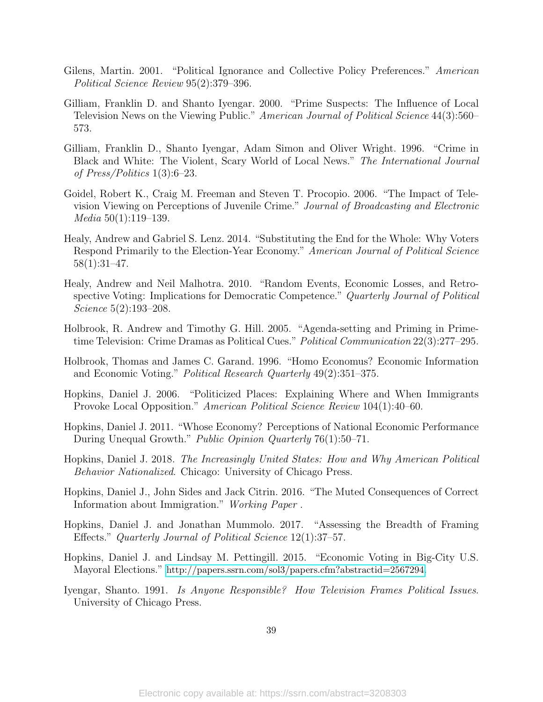- Gilens, Martin. 2001. "Political Ignorance and Collective Policy Preferences." American Political Science Review 95(2):379–396.
- Gilliam, Franklin D. and Shanto Iyengar. 2000. "Prime Suspects: The Influence of Local Television News on the Viewing Public." American Journal of Political Science 44(3):560– 573.
- Gilliam, Franklin D., Shanto Iyengar, Adam Simon and Oliver Wright. 1996. "Crime in Black and White: The Violent, Scary World of Local News." The International Journal of Press/Politics 1(3):6–23.
- Goidel, Robert K., Craig M. Freeman and Steven T. Procopio. 2006. "The Impact of Television Viewing on Perceptions of Juvenile Crime." Journal of Broadcasting and Electronic Media 50(1):119–139.
- Healy, Andrew and Gabriel S. Lenz. 2014. "Substituting the End for the Whole: Why Voters Respond Primarily to the Election-Year Economy." American Journal of Political Science 58(1):31–47.
- Healy, Andrew and Neil Malhotra. 2010. "Random Events, Economic Losses, and Retrospective Voting: Implications for Democratic Competence." Quarterly Journal of Political Science 5(2):193–208.
- Holbrook, R. Andrew and Timothy G. Hill. 2005. "Agenda-setting and Priming in Primetime Television: Crime Dramas as Political Cues." Political Communication 22(3):277-295.
- Holbrook, Thomas and James C. Garand. 1996. "Homo Economus? Economic Information and Economic Voting." Political Research Quarterly 49(2):351–375.
- Hopkins, Daniel J. 2006. "Politicized Places: Explaining Where and When Immigrants Provoke Local Opposition." American Political Science Review 104(1):40–60.
- Hopkins, Daniel J. 2011. "Whose Economy? Perceptions of National Economic Performance During Unequal Growth." *Public Opinion Quarterly* 76(1):50–71.
- Hopkins, Daniel J. 2018. The Increasingly United States: How and Why American Political Behavior Nationalized. Chicago: University of Chicago Press.
- Hopkins, Daniel J., John Sides and Jack Citrin. 2016. "The Muted Consequences of Correct Information about Immigration." Working Paper .
- Hopkins, Daniel J. and Jonathan Mummolo. 2017. "Assessing the Breadth of Framing Effects." Quarterly Journal of Political Science 12(1):37–57.
- Hopkins, Daniel J. and Lindsay M. Pettingill. 2015. "Economic Voting in Big-City U.S. Mayoral Elections." [http://papers.ssrn.com/sol3/papers.cfm?abstractid=2567294](http://papers.ssrn.com/sol3/papers.cfm?abstract id= 2567294).
- Iyengar, Shanto. 1991. Is Anyone Responsible? How Television Frames Political Issues. University of Chicago Press.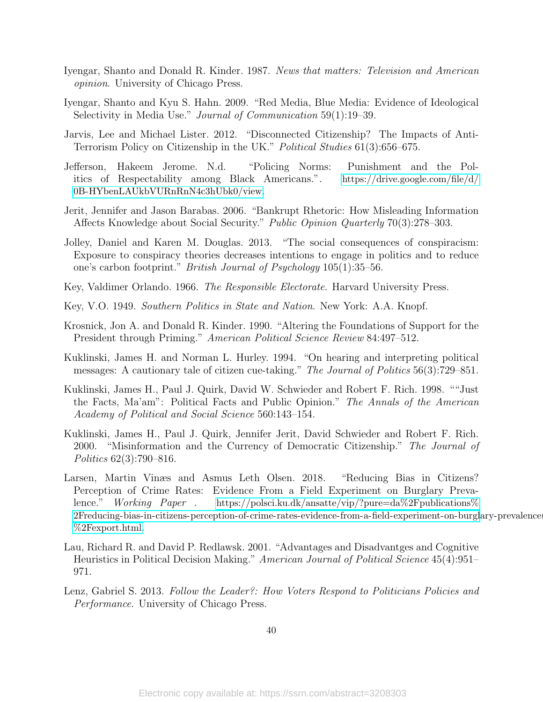- Iyengar, Shanto and Donald R. Kinder. 1987. News that matters: Television and American opinion. University of Chicago Press.
- Iyengar, Shanto and Kyu S. Hahn. 2009. "Red Media, Blue Media: Evidence of Ideological Selectivity in Media Use." Journal of Communication 59(1):19–39.
- Jarvis, Lee and Michael Lister. 2012. "Disconnected Citizenship? The Impacts of Anti-Terrorism Policy on Citizenship in the UK." Political Studies 61(3):656–675.
- Jefferson, Hakeem Jerome. N.d. "Policing Norms: Punishment and the Politics of Respectability among Black Americans.". [https://drive.google.com/file/d/](https://drive.google.com/file/d/0B-HYbenLAUkbVURnRnN4c3hUbk0/view) [0B-HYbenLAUkbVURnRnN4c3hUbk0/view](https://drive.google.com/file/d/0B-HYbenLAUkbVURnRnN4c3hUbk0/view).
- Jerit, Jennifer and Jason Barabas. 2006. "Bankrupt Rhetoric: How Misleading Information Affects Knowledge about Social Security." Public Opinion Quarterly 70(3):278–303.
- Jolley, Daniel and Karen M. Douglas. 2013. "The social consequences of conspiracism: Exposure to conspiracy theories decreases intentions to engage in politics and to reduce one's carbon footprint." British Journal of Psychology 105(1):35–56.
- Key, Valdimer Orlando. 1966. The Responsible Electorate. Harvard University Press.
- Key, V.O. 1949. Southern Politics in State and Nation. New York: A.A. Knopf.
- Krosnick, Jon A. and Donald R. Kinder. 1990. "Altering the Foundations of Support for the President through Priming." American Political Science Review 84:497–512.
- Kuklinski, James H. and Norman L. Hurley. 1994. "On hearing and interpreting political messages: A cautionary tale of citizen cue-taking." The Journal of Politics 56(3):729–851.
- Kuklinski, James H., Paul J. Quirk, David W. Schwieder and Robert F. Rich. 1998. ""Just the Facts, Ma'am": Political Facts and Public Opinion." The Annals of the American Academy of Political and Social Science 560:143–154.
- Kuklinski, James H., Paul J. Quirk, Jennifer Jerit, David Schwieder and Robert F. Rich. 2000. "Misinformation and the Currency of Democratic Citizenship." The Journal of Politics 62(3):790–816.
- <span id="page-40-0"></span>Larsen, Martin Vinæs and Asmus Leth Olsen. 2018. "Reducing Bias in Citizens? Perception of Crime Rates: Evidence From a Field Experiment on Burglary Prevalence." Working Paper . [https://polsci.ku.dk/ansatte/vip/?pure=da%2Fpublications%](https://polsci.ku.dk/ansatte/vip/?pure=da%2Fpublications%2Freducing-bias-in-citizens-perception-of-crime-rates-evidence-from-a-field-experiment-on-burglary-prevalence(6f3f45f1-337e-46bc-8ffd-b39f786255ed)%2Fexport.html) [2Freducing-bias-in-citizens-perception-of-crime-rates-evidence-from-a-field-experiment-on-burgl](https://polsci.ku.dk/ansatte/vip/?pure=da%2Fpublications%2Freducing-bias-in-citizens-perception-of-crime-rates-evidence-from-a-field-experiment-on-burglary-prevalence(6f3f45f1-337e-46bc-8ffd-b39f786255ed)%2Fexport.html)ary-prevalence [%2Fexport.html](https://polsci.ku.dk/ansatte/vip/?pure=da%2Fpublications%2Freducing-bias-in-citizens-perception-of-crime-rates-evidence-from-a-field-experiment-on-burglary-prevalence(6f3f45f1-337e-46bc-8ffd-b39f786255ed)%2Fexport.html).
- Lau, Richard R. and David P. Redlawsk. 2001. "Advantages and Disadvantges and Cognitive Heuristics in Political Decision Making." American Journal of Political Science 45(4):951– 971.
- Lenz, Gabriel S. 2013. Follow the Leader?: How Voters Respond to Politicians Policies and Performance. University of Chicago Press.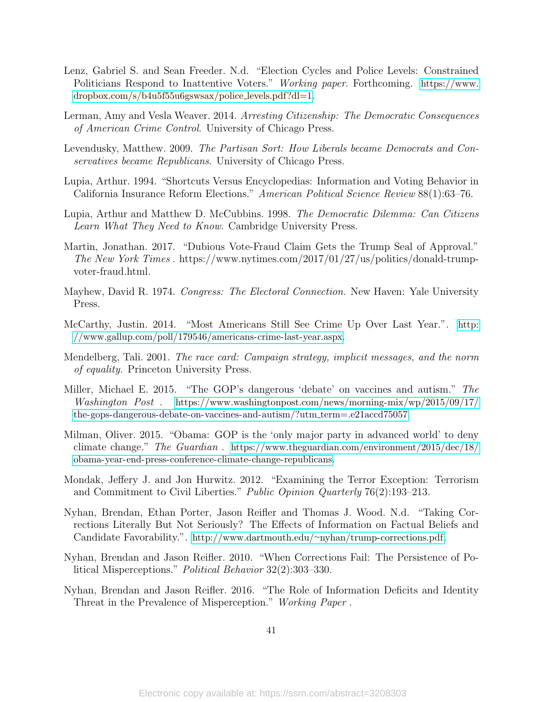- Lenz, Gabriel S. and Sean Freeder. N.d. "Election Cycles and Police Levels: Constrained Politicians Respond to Inattentive Voters." Working paper. Forthcoming. [https://www.](https://www.dropbox.com/s/b4u5f55u6gswsax/police_levels.pdf?dl=1) [dropbox.com/s/b4u5f55u6gswsax/police](https://www.dropbox.com/s/b4u5f55u6gswsax/police_levels.pdf?dl=1) levels.pdf?dl=1.
- Lerman, Amy and Vesla Weaver. 2014. Arresting Citizenship: The Democratic Consequences of American Crime Control. University of Chicago Press.
- Levendusky, Matthew. 2009. The Partisan Sort: How Liberals became Democrats and Conservatives became Republicans. University of Chicago Press.
- Lupia, Arthur. 1994. "Shortcuts Versus Encyclopedias: Information and Voting Behavior in California Insurance Reform Elections." American Political Science Review 88(1):63–76.
- Lupia, Arthur and Matthew D. McCubbins. 1998. The Democratic Dilemma: Can Citizens Learn What They Need to Know. Cambridge University Press.
- Martin, Jonathan. 2017. "Dubious Vote-Fraud Claim Gets the Trump Seal of Approval." The New York Times . https://www.nytimes.com/2017/01/27/us/politics/donald-trumpvoter-fraud.html.
- Mayhew, David R. 1974. Congress: The Electoral Connection. New Haven: Yale University Press.
- McCarthy, Justin. 2014. "Most Americans Still See Crime Up Over Last Year.". [http:](http://www.gallup.com/poll/179546/americans-crime-last-year.aspx) [//www.gallup.com/poll/179546/americans-crime-last-year.aspx](http://www.gallup.com/poll/179546/americans-crime-last-year.aspx).
- Mendelberg, Tali. 2001. The race card: Campaign strategy, implicit messages, and the norm of equality. Princeton University Press.
- Miller, Michael E. 2015. "The GOP's dangerous 'debate' on vaccines and autism." The Washington Post . [https://www.washingtonpost.com/news/morning-mix/wp/2015/09/17/](https://www.washingtonpost.com/news/morning-mix/wp/2015/09/17/the-gops-dangerous-debate-on-vaccines-and-autism/?utm_term=.e21accd75057) [the-gops-dangerous-debate-on-vaccines-and-autism/?utm](https://www.washingtonpost.com/news/morning-mix/wp/2015/09/17/the-gops-dangerous-debate-on-vaccines-and-autism/?utm_term=.e21accd75057)\_term=.e21accd75057.
- Milman, Oliver. 2015. "Obama: GOP is the 'only major party in advanced world' to deny climate change." The Guardian . [https://www.theguardian.com/environment/2015/dec/18/](https://www.theguardian.com/environment/2015/dec/18/obama-year-end-press-conference-climate-change-republicans) [obama-year-end-press-conference-climate-change-republicans](https://www.theguardian.com/environment/2015/dec/18/obama-year-end-press-conference-climate-change-republicans).
- Mondak, Jeffery J. and Jon Hurwitz. 2012. "Examining the Terror Exception: Terrorism and Commitment to Civil Liberties." Public Opinion Quarterly 76(2):193-213.
- Nyhan, Brendan, Ethan Porter, Jason Reifler and Thomas J. Wood. N.d. "Taking Corrections Literally But Not Seriously? The Effects of Information on Factual Beliefs and Candidate Favorability.". http://www.dartmouth.edu/∼[nyhan/trump-corrections.pdf](http://www.dartmouth.edu/~nyhan/trump-corrections.pdf).
- Nyhan, Brendan and Jason Reifler. 2010. "When Corrections Fail: The Persistence of Political Misperceptions." Political Behavior 32(2):303–330.
- Nyhan, Brendan and Jason Reifler. 2016. "The Role of Information Deficits and Identity Threat in the Prevalence of Misperception." Working Paper .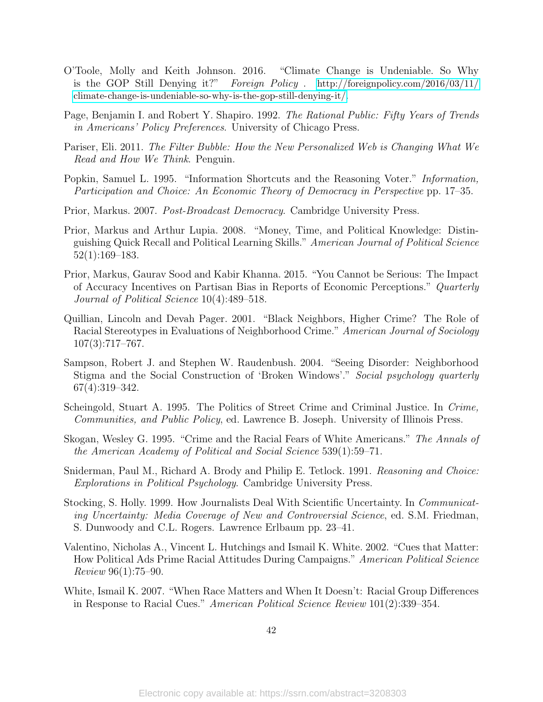- O'Toole, Molly and Keith Johnson. 2016. "Climate Change is Undeniable. So Why is the GOP Still Denying it?" Foreign Policy . [http://foreignpolicy.com/2016/03/11/](http://foreignpolicy.com/2016/03/11/climate-change-is-undeniable-so-why-is-the-gop-still-denying-it/) [climate-change-is-undeniable-so-why-is-the-gop-still-denying-it/](http://foreignpolicy.com/2016/03/11/climate-change-is-undeniable-so-why-is-the-gop-still-denying-it/).
- Page, Benjamin I. and Robert Y. Shapiro. 1992. The Rational Public: Fifty Years of Trends in Americans' Policy Preferences. University of Chicago Press.
- Pariser, Eli. 2011. The Filter Bubble: How the New Personalized Web is Changing What We Read and How We Think. Penguin.
- Popkin, Samuel L. 1995. "Information Shortcuts and the Reasoning Voter." Information, Participation and Choice: An Economic Theory of Democracy in Perspective pp. 17–35.
- Prior, Markus. 2007. Post-Broadcast Democracy. Cambridge University Press.
- Prior, Markus and Arthur Lupia. 2008. "Money, Time, and Political Knowledge: Distinguishing Quick Recall and Political Learning Skills." American Journal of Political Science 52(1):169–183.
- Prior, Markus, Gaurav Sood and Kabir Khanna. 2015. "You Cannot be Serious: The Impact of Accuracy Incentives on Partisan Bias in Reports of Economic Perceptions." Quarterly Journal of Political Science 10(4):489–518.
- Quillian, Lincoln and Devah Pager. 2001. "Black Neighbors, Higher Crime? The Role of Racial Stereotypes in Evaluations of Neighborhood Crime." American Journal of Sociology 107(3):717–767.
- Sampson, Robert J. and Stephen W. Raudenbush. 2004. "Seeing Disorder: Neighborhood Stigma and the Social Construction of 'Broken Windows'." Social psychology quarterly 67(4):319–342.
- Scheingold, Stuart A. 1995. The Politics of Street Crime and Criminal Justice. In Crime, Communities, and Public Policy, ed. Lawrence B. Joseph. University of Illinois Press.
- Skogan, Wesley G. 1995. "Crime and the Racial Fears of White Americans." The Annals of the American Academy of Political and Social Science 539(1):59–71.
- Sniderman, Paul M., Richard A. Brody and Philip E. Tetlock. 1991. Reasoning and Choice: Explorations in Political Psychology. Cambridge University Press.
- Stocking, S. Holly. 1999. How Journalists Deal With Scientific Uncertainty. In Communicating Uncertainty: Media Coverage of New and Controversial Science, ed. S.M. Friedman, S. Dunwoody and C.L. Rogers. Lawrence Erlbaum pp. 23–41.
- Valentino, Nicholas A., Vincent L. Hutchings and Ismail K. White. 2002. "Cues that Matter: How Political Ads Prime Racial Attitudes During Campaigns." American Political Science Review 96(1):75–90.
- White, Ismail K. 2007. "When Race Matters and When It Doesn't: Racial Group Differences in Response to Racial Cues." American Political Science Review 101(2):339–354.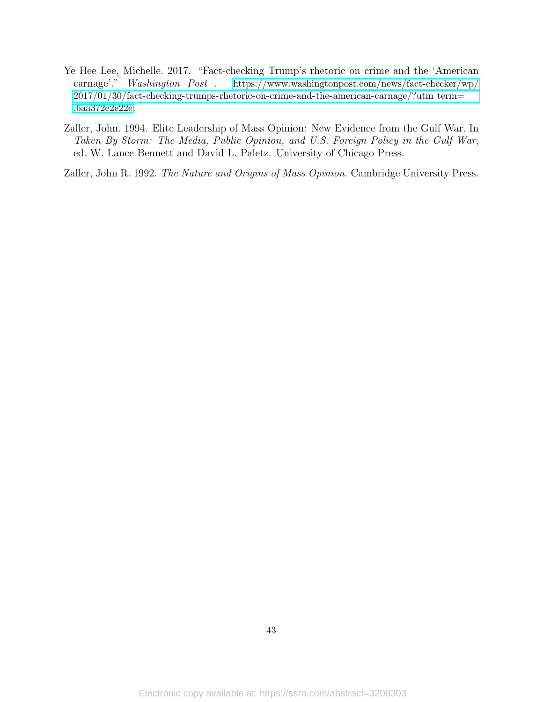- Ye Hee Lee, Michelle. 2017. "Fact-checking Trump's rhetoric on crime and the 'American carnage'." Washington Post . [https://www.washingtonpost.com/news/fact-checker/wp/](https://www.washingtonpost.com/news/fact-checker/wp/2017/01/30/fact-checking-trumps-rhetoric-on-crime-and-the-american-carnage/?utm_term=.6aa372e2e22e) [2017/01/30/fact-checking-trumps-rhetoric-on-crime-and-the-american-carnage/?utm](https://www.washingtonpost.com/news/fact-checker/wp/2017/01/30/fact-checking-trumps-rhetoric-on-crime-and-the-american-carnage/?utm_term=.6aa372e2e22e) term= [.6aa372e2e22e](https://www.washingtonpost.com/news/fact-checker/wp/2017/01/30/fact-checking-trumps-rhetoric-on-crime-and-the-american-carnage/?utm_term=.6aa372e2e22e).
- Zaller, John. 1994. Elite Leadership of Mass Opinion: New Evidence from the Gulf War. In Taken By Storm: The Media, Public Opinion, and U.S. Foreign Policy in the Gulf War, ed. W. Lance Bennett and David L. Paletz. University of Chicago Press.

Zaller, John R. 1992. The Nature and Origins of Mass Opinion. Cambridge University Press.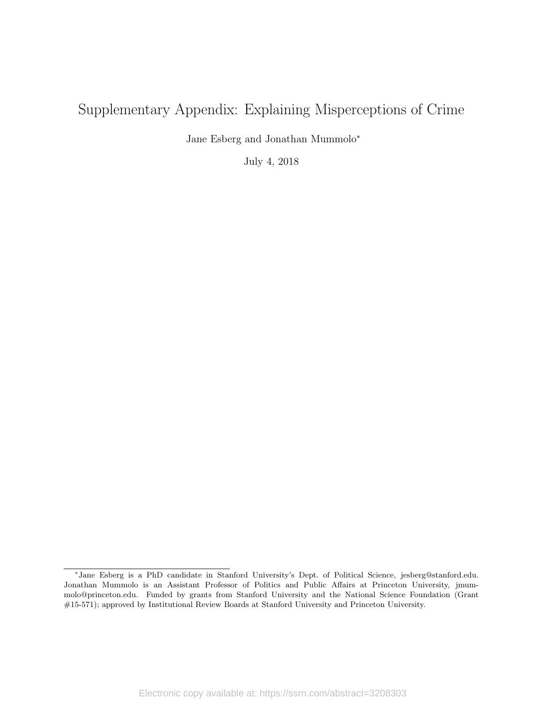# Supplementary Appendix: Explaining Misperceptions of Crime

Jane Esberg and Jonathan Mummolo<sup>∗</sup>

July 4, 2018

<sup>∗</sup> Jane Esberg is a PhD candidate in Stanford University's Dept. of Political Science, jesberg@stanford.edu. Jonathan Mummolo is an Assistant Professor of Politics and Public Affairs at Princeton University, jmummolo@princeton.edu. Funded by grants from Stanford University and the National Science Foundation (Grant #15-571); approved by Institutional Review Boards at Stanford University and Princeton University.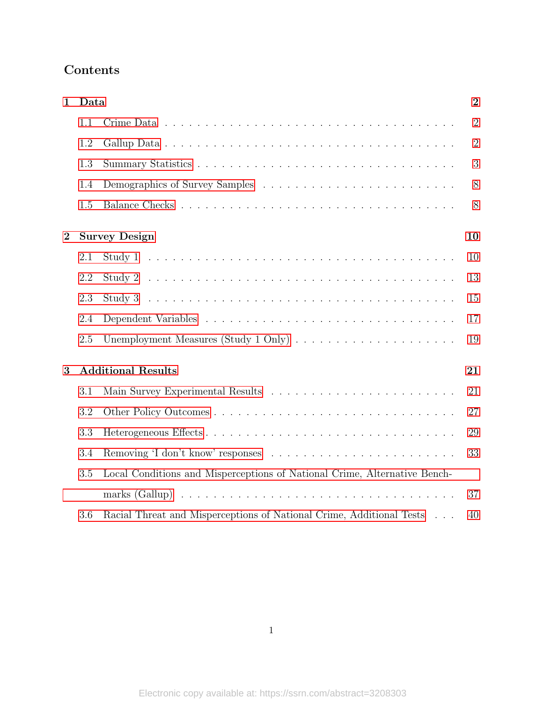# Contents

| $\mathbf{1}$   | Data |                                                                           | $\overline{2}$ |
|----------------|------|---------------------------------------------------------------------------|----------------|
|                | 1.1  |                                                                           | $\overline{2}$ |
|                | 1.2  |                                                                           | $\overline{2}$ |
|                | 1.3  |                                                                           | 3              |
|                | 1.4  |                                                                           | 8              |
|                | 1.5  |                                                                           | 8              |
| $\overline{2}$ |      | <b>Survey Design</b>                                                      | 10             |
|                | 2.1  |                                                                           | 10             |
|                | 2.2  |                                                                           | 13             |
|                | 2.3  |                                                                           | 15             |
|                | 2.4  |                                                                           | 17             |
|                | 2.5  |                                                                           | 19             |
| 3              |      | <b>Additional Results</b>                                                 | 21             |
|                | 3.1  |                                                                           | 21             |
|                | 3.2  |                                                                           | 27             |
|                | 3.3  |                                                                           | 29             |
|                | 3.4  |                                                                           | 33             |
|                | 3.5  | Local Conditions and Misperceptions of National Crime, Alternative Bench- |                |
|                |      |                                                                           | 37             |
|                | 3.6  | Racial Threat and Misperceptions of National Crime, Additional Tests      | 40             |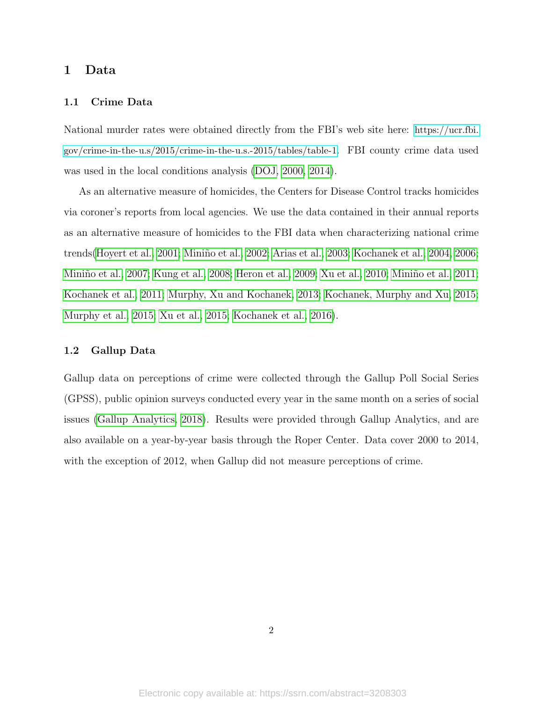# <span id="page-46-0"></span>1 Data

#### <span id="page-46-1"></span>1.1 Crime Data

National murder rates were obtained directly from the FBI's web site here: [https://ucr.fbi.](https://ucr.fbi.gov/crime-in-the-u.s/2015/crime-in-the-u.s.-2015/tables/table-1) [gov/crime-in-the-u.s/2015/crime-in-the-u.s.-2015/tables/table-1](https://ucr.fbi.gov/crime-in-the-u.s/2015/crime-in-the-u.s.-2015/tables/table-1). FBI county crime data used was used in the local conditions analysis [\(DOJ, 2000,](#page-90-0) [2014\)](#page-90-1).

As an alternative measure of homicides, the Centers for Disease Control tracks homicides via coroner's reports from local agencies. We use the data contained in their annual reports as an alternative measure of homicides to the FBI data when characterizing national crime trends[\(Hoyert et al., 2001;](#page-90-2) Miniño et al., 2002; [Arias et al., 2003;](#page-90-3) [Kochanek et al., 2004,](#page-91-1) [2006;](#page-91-2) Miniño et al., 2007; [Kung et al., 2008;](#page-91-4) [Heron et al., 2009;](#page-90-4) [Xu et al., 2010;](#page-92-0) Miniño et al., 2011; [Kochanek et al., 2011;](#page-90-5) [Murphy, Xu and Kochanek, 2013;](#page-92-1) [Kochanek, Murphy and Xu, 2015;](#page-91-6) [Murphy et al., 2015;](#page-92-2) [Xu et al., 2015;](#page-92-3) [Kochanek et al., 2016\)](#page-91-7).

#### <span id="page-46-2"></span>1.2 Gallup Data

Gallup data on perceptions of crime were collected through the Gallup Poll Social Series (GPSS), public opinion surveys conducted every year in the same month on a series of social issues [\(Gallup Analytics, 2018\)](#page-90-6). Results were provided through Gallup Analytics, and are also available on a year-by-year basis through the Roper Center. Data cover 2000 to 2014, with the exception of 2012, when Gallup did not measure perceptions of crime.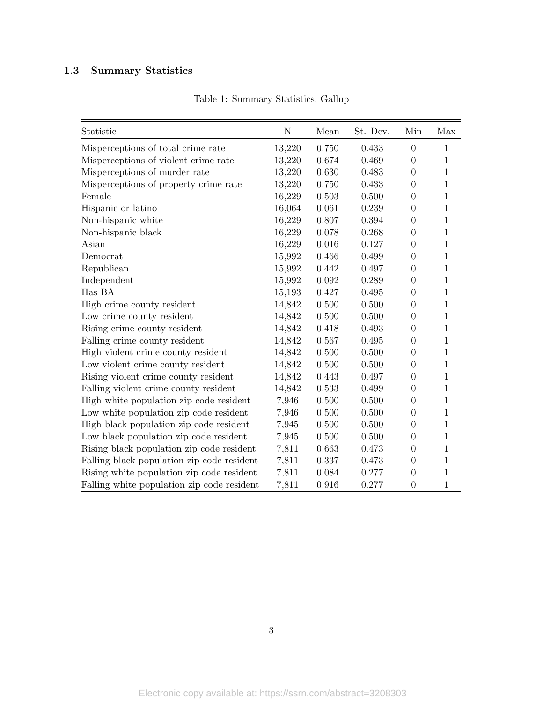# <span id="page-47-0"></span>1.3 Summary Statistics

| Statistic                                  | $\mathbf N$ | Mean  | St. Dev. | Min              | Max          |
|--------------------------------------------|-------------|-------|----------|------------------|--------------|
| Misperceptions of total crime rate         | 13,220      | 0.750 | 0.433    | $\overline{0}$   | 1            |
| Misperceptions of violent crime rate       | 13,220      | 0.674 | 0.469    | $\overline{0}$   | 1            |
| Misperceptions of murder rate              | 13,220      | 0.630 | 0.483    | $\overline{0}$   | $\mathbf{1}$ |
| Misperceptions of property crime rate      | 13,220      | 0.750 | 0.433    | $\overline{0}$   | $\mathbf{1}$ |
| Female                                     | 16,229      | 0.503 | 0.500    | $\overline{0}$   | 1            |
| Hispanic or latino                         | 16,064      | 0.061 | 0.239    | $\overline{0}$   | $\mathbf{1}$ |
| Non-hispanic white                         | 16,229      | 0.807 | 0.394    | $\overline{0}$   | 1            |
| Non-hispanic black                         | 16,229      | 0.078 | 0.268    | $\overline{0}$   | $\mathbf{1}$ |
| Asian                                      | 16,229      | 0.016 | 0.127    | $\overline{0}$   | $\mathbf{1}$ |
| Democrat                                   | 15,992      | 0.466 | 0.499    | $\overline{0}$   | 1            |
| Republican                                 | 15,992      | 0.442 | 0.497    | $\overline{0}$   | $\mathbf{1}$ |
| Independent                                | 15,992      | 0.092 | 0.289    | $\overline{0}$   | 1            |
| Has BA                                     | 15,193      | 0.427 | 0.495    | $\overline{0}$   | 1            |
| High crime county resident                 | 14,842      | 0.500 | 0.500    | $\overline{0}$   | $\mathbf{1}$ |
| Low crime county resident                  | 14,842      | 0.500 | 0.500    | $\overline{0}$   | 1            |
| Rising crime county resident               | 14,842      | 0.418 | 0.493    | $\overline{0}$   | $\mathbf{1}$ |
| Falling crime county resident              | 14,842      | 0.567 | 0.495    | $\overline{0}$   | $\mathbf{1}$ |
| High violent crime county resident         | 14,842      | 0.500 | 0.500    | $\overline{0}$   | 1            |
| Low violent crime county resident          | 14,842      | 0.500 | 0.500    | $\overline{0}$   | $\mathbf{1}$ |
| Rising violent crime county resident       | 14,842      | 0.443 | 0.497    | $\overline{0}$   | $\mathbf{1}$ |
| Falling violent crime county resident      | 14,842      | 0.533 | 0.499    | $\overline{0}$   | $\mathbf{1}$ |
| High white population zip code resident    | 7,946       | 0.500 | 0.500    | $\overline{0}$   | $\mathbf{1}$ |
| Low white population zip code resident     | 7,946       | 0.500 | 0.500    | $\boldsymbol{0}$ | 1            |
| High black population zip code resident    | 7,945       | 0.500 | 0.500    | $\theta$         | 1            |
| Low black population zip code resident     | 7,945       | 0.500 | 0.500    | $\overline{0}$   | $\mathbf{1}$ |
| Rising black population zip code resident  | 7,811       | 0.663 | 0.473    | $\boldsymbol{0}$ | $\mathbf{1}$ |
| Falling black population zip code resident | 7,811       | 0.337 | 0.473    | $\overline{0}$   | $\mathbf{1}$ |
| Rising white population zip code resident  | 7,811       | 0.084 | 0.277    | $\overline{0}$   | $\mathbf{1}$ |
| Falling white population zip code resident | 7,811       | 0.916 | 0.277    | $\overline{0}$   | $\mathbf{1}$ |

Table 1: Summary Statistics, Gallup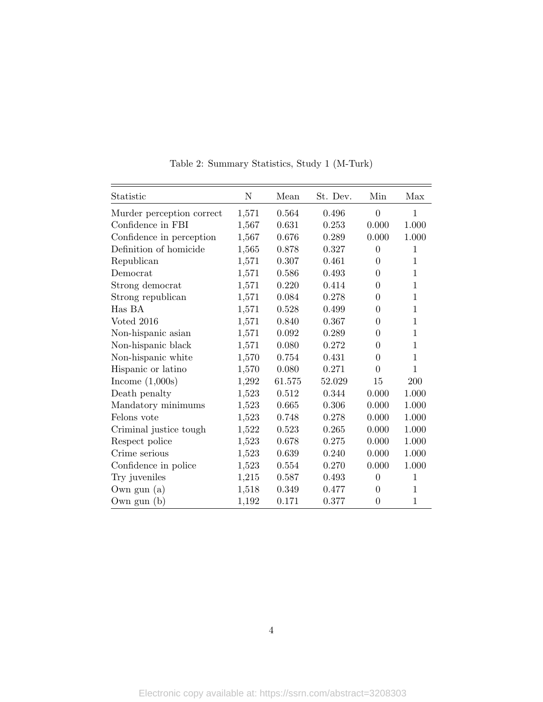| Statistic                 | N     | Mean      | St. Dev. | Min            | Max          |
|---------------------------|-------|-----------|----------|----------------|--------------|
| Murder perception correct | 1,571 | 0.564     | 0.496    | $\theta$       | 1            |
| Confidence in FBI         | 1,567 | 0.631     | 0.253    | 0.000          | 1.000        |
| Confidence in perception  | 1,567 | 0.676     | 0.289    | 0.000          | 1.000        |
| Definition of homicide    | 1,565 | 0.878     | 0.327    | $\overline{0}$ | 1            |
| Republican                | 1,571 | $0.307\,$ | 0.461    | $\overline{0}$ | $\mathbf{1}$ |
| Democrat                  | 1,571 | 0.586     | 0.493    | $\theta$       | 1            |
| Strong democrat           | 1,571 | 0.220     | 0.414    | 0              | 1            |
| Strong republican         | 1,571 | 0.084     | 0.278    | 0              | 1            |
| Has BA                    | 1,571 | 0.528     | 0.499    | $\overline{0}$ | $\mathbf 1$  |
| Voted 2016                | 1,571 | 0.840     | 0.367    | $\theta$       | 1            |
| Non-hispanic asian        | 1,571 | 0.092     | 0.289    | 0              | 1            |
| Non-hispanic black        | 1,571 | 0.080     | 0.272    | $\overline{0}$ | 1            |
| Non-hispanic white        | 1,570 | 0.754     | 0.431    | $\overline{0}$ | $\mathbf{1}$ |
| Hispanic or latino        | 1,570 | 0.080     | 0.271    | $\theta$       | $\mathbf 1$  |
| Income $(1,000s)$         | 1,292 | 61.575    | 52.029   | 15             | 200          |
| Death penalty             | 1,523 | 0.512     | 0.344    | 0.000          | 1.000        |
| Mandatory minimums        | 1,523 | 0.665     | 0.306    | 0.000          | 1.000        |
| Felons vote               | 1,523 | 0.748     | 0.278    | 0.000          | 1.000        |
| Criminal justice tough.   | 1,522 | 0.523     | 0.265    | 0.000          | 1.000        |
| Respect police            | 1,523 | 0.678     | 0.275    | 0.000          | 1.000        |
| Crime serious             | 1,523 | 0.639     | 0.240    | 0.000          | 1.000        |
| Confidence in police      | 1,523 | 0.554     | 0.270    | 0.000          | 1.000        |
| Try juveniles             | 1,215 | 0.587     | 0.493    | $\overline{0}$ | 1            |
| Own gun $(a)$             | 1,518 | 0.349     | 0.477    | $\theta$       | $\mathbf{1}$ |
| Own gun $(b)$             | 1,192 | 0.171     | 0.377    | $\overline{0}$ | $\mathbf{1}$ |

Table 2: Summary Statistics, Study 1 (M-Turk)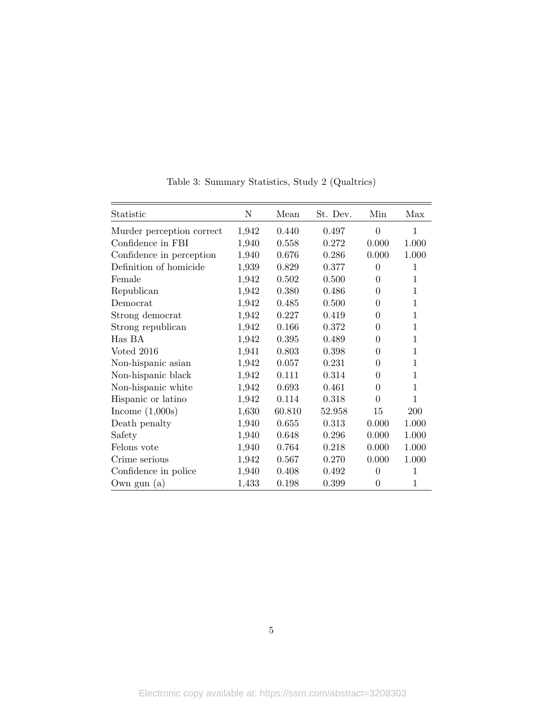| Statistic                 | N     | Mean   | St. Dev. | Min            | Max          |
|---------------------------|-------|--------|----------|----------------|--------------|
| Murder perception correct | 1,942 | 0.440  | 0.497    | $\overline{0}$ | $\mathbf{1}$ |
| Confidence in FBI         | 1,940 | 0.558  | 0.272    | 0.000          | 1.000        |
| Confidence in perception  | 1,940 | 0.676  | 0.286    | 0.000          | 1.000        |
| Definition of homicide    | 1,939 | 0.829  | 0.377    | $\theta$       | 1            |
| Female                    | 1,942 | 0.502  | 0.500    | $\overline{0}$ | 1            |
| Republican                | 1,942 | 0.380  | 0.486    | $\Omega$       | 1            |
| Democrat                  | 1,942 | 0.485  | 0.500    | $\Omega$       | 1            |
| Strong democrat           | 1,942 | 0.227  | 0.419    | 0              | 1            |
| Strong republican         | 1,942 | 0.166  | 0.372    | 0              | 1            |
| Has BA                    | 1,942 | 0.395  | 0.489    | 0              | 1            |
| Voted 2016                | 1,941 | 0.803  | 0.398    | 0              | 1            |
| Non-hispanic asian        | 1,942 | 0.057  | 0.231    | 0              | 1            |
| Non-hispanic black        | 1,942 | 0.111  | 0.314    | 0              | 1            |
| Non-hispanic white        | 1,942 | 0.693  | 0.461    | 0              | 1            |
| Hispanic or latino        | 1,942 | 0.114  | 0.318    | $\Omega$       | 1            |
| Income $(1,000s)$         | 1,630 | 60.810 | 52.958   | 15             | 200          |
| Death penalty             | 1,940 | 0.655  | 0.313    | 0.000          | 1.000        |
| Safety                    | 1,940 | 0.648  | 0.296    | 0.000          | 1.000        |
| Felons vote               | 1,940 | 0.764  | 0.218    | 0.000          | 1.000        |
| Crime serious             | 1,942 | 0.567  | 0.270    | 0.000          | 1.000        |
| Confidence in police      | 1,940 | 0.408  | 0.492    | $\theta$       | 1            |
| Own gun $(a)$             | 1,433 | 0.198  | 0.399    | $\overline{0}$ | 1            |

Table 3: Summary Statistics, Study 2 (Qualtrics)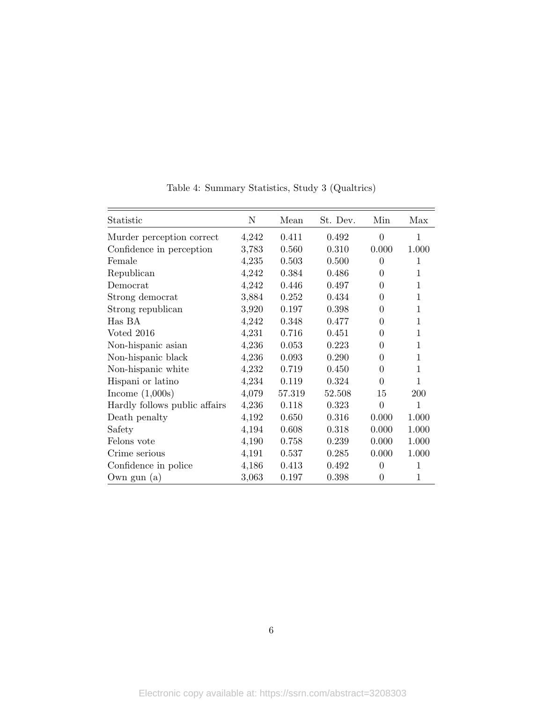| Statistic                     | $\mathbf N$ | Mean   | St. Dev. | Min            | Max   |
|-------------------------------|-------------|--------|----------|----------------|-------|
| Murder perception correct     | 4,242       | 0.411  | 0.492    | $\overline{0}$ | 1     |
| Confidence in perception      | 3,783       | 0.560  | 0.310    | 0.000          | 1.000 |
| Female                        | 4,235       | 0.503  | 0.500    | $\Omega$       | 1     |
| Republican                    | 4,242       | 0.384  | 0.486    | 0              | 1     |
| Democrat                      | 4,242       | 0.446  | 0.497    | 0              | 1     |
| Strong democrat               | 3,884       | 0.252  | 0.434    | $\theta$       | 1     |
| Strong republican             | 3,920       | 0.197  | 0.398    | $\Omega$       | 1     |
| Has BA                        | 4,242       | 0.348  | 0.477    | 0              | 1     |
| Voted 2016                    | 4,231       | 0.716  | 0.451    | 0              | 1     |
| Non-hispanic asian            | 4,236       | 0.053  | 0.223    | 0              | 1     |
| Non-hispanic black            | 4,236       | 0.093  | 0.290    | 0              | 1     |
| Non-hispanic white            | 4,232       | 0.719  | 0.450    | 0              | 1     |
| Hispani or latino             | 4,234       | 0.119  | 0.324    | $\Omega$       | 1     |
| Income $(1,000s)$             | 4,079       | 57.319 | 52.508   | 15             | 200   |
| Hardly follows public affairs | 4,236       | 0.118  | 0.323    | $\theta$       | 1     |
| Death penalty                 | 4,192       | 0.650  | 0.316    | 0.000          | 1.000 |
| Safety                        | 4,194       | 0.608  | 0.318    | 0.000          | 1.000 |
| Felons vote                   | 4,190       | 0.758  | 0.239    | 0.000          | 1.000 |
| Crime serious                 | 4,191       | 0.537  | 0.285    | 0.000          | 1.000 |
| Confidence in police          | 4,186       | 0.413  | 0.492    | $\theta$       | 1     |
| Own gun $(a)$                 | 3,063       | 0.197  | 0.398    | $\theta$       | 1     |

Table 4: Summary Statistics, Study 3 (Qualtrics)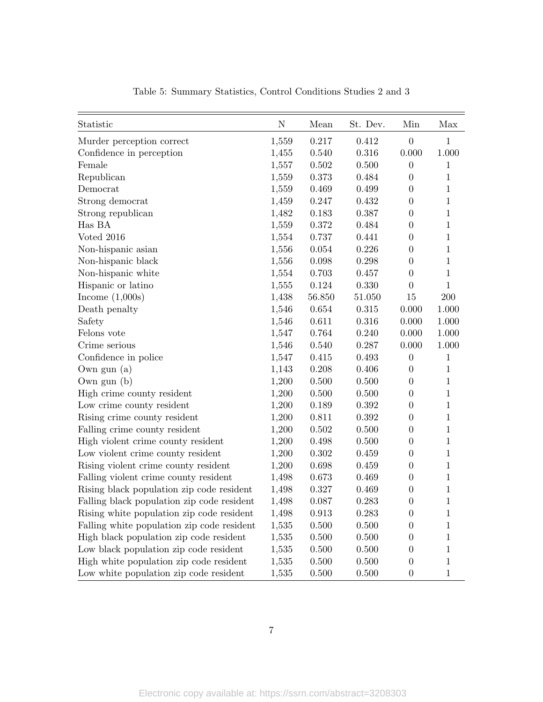| Statistic                                  | N     | Mean   | St. Dev. | Min              | Max          |
|--------------------------------------------|-------|--------|----------|------------------|--------------|
| Murder perception correct                  | 1,559 | 0.217  | 0.412    | $\boldsymbol{0}$ | $\mathbf 1$  |
| Confidence in perception                   | 1,455 | 0.540  | 0.316    | 0.000            | 1.000        |
| Female                                     | 1,557 | 0.502  | 0.500    | $\boldsymbol{0}$ | $\mathbf{1}$ |
| Republican                                 | 1,559 | 0.373  | 0.484    | $\boldsymbol{0}$ | $\mathbf{1}$ |
| Democrat                                   | 1,559 | 0.469  | 0.499    | $\boldsymbol{0}$ | $\mathbf{1}$ |
| Strong democrat                            | 1,459 | 0.247  | 0.432    | $\boldsymbol{0}$ | $\mathbf{1}$ |
| Strong republican                          | 1,482 | 0.183  | 0.387    | $\boldsymbol{0}$ | $\mathbf{1}$ |
| Has BA                                     | 1,559 | 0.372  | 0.484    | $\boldsymbol{0}$ | $\mathbf{1}$ |
| Voted 2016                                 | 1,554 | 0.737  | 0.441    | $\boldsymbol{0}$ | $\mathbf{1}$ |
| Non-hispanic asian                         | 1,556 | 0.054  | 0.226    | $\boldsymbol{0}$ | $\mathbf{1}$ |
| Non-hispanic black                         | 1,556 | 0.098  | 0.298    | $\boldsymbol{0}$ | $\mathbf{1}$ |
| Non-hispanic white                         | 1,554 | 0.703  | 0.457    | $\boldsymbol{0}$ | $\mathbf{1}$ |
| Hispanic or latino                         | 1,555 | 0.124  | 0.330    | $\boldsymbol{0}$ | $\mathbf{1}$ |
| Income $(1,000s)$                          | 1,438 | 56.850 | 51.050   | 15               | $200\,$      |
| Death penalty                              | 1,546 | 0.654  | 0.315    | 0.000            | 1.000        |
| Safety                                     | 1,546 | 0.611  | 0.316    | 0.000            | 1.000        |
| Felons vote                                | 1,547 | 0.764  | 0.240    | 0.000            | 1.000        |
| Crime serious                              | 1,546 | 0.540  | 0.287    | 0.000            | 1.000        |
| Confidence in police                       | 1,547 | 0.415  | 0.493    | $\boldsymbol{0}$ | $\mathbf{1}$ |
| Own gun $(a)$                              | 1,143 | 0.208  | 0.406    | $\boldsymbol{0}$ | $\mathbf{1}$ |
| Own gun $(b)$                              | 1,200 | 0.500  | 0.500    | $\theta$         | $\mathbf{1}$ |
| High crime county resident                 | 1,200 | 0.500  | 0.500    | $\boldsymbol{0}$ | $\mathbf{1}$ |
| Low crime county resident                  | 1,200 | 0.189  | 0.392    | $\overline{0}$   | $\mathbf{1}$ |
| Rising crime county resident               | 1,200 | 0.811  | 0.392    | $\boldsymbol{0}$ | $\mathbf{1}$ |
| Falling crime county resident              | 1,200 | 0.502  | 0.500    | $\boldsymbol{0}$ | $\mathbf{1}$ |
| High violent crime county resident         | 1,200 | 0.498  | 0.500    | $\boldsymbol{0}$ | $\mathbf{1}$ |
| Low violent crime county resident          | 1,200 | 0.302  | 0.459    | $\boldsymbol{0}$ | $\mathbf{1}$ |
| Rising violent crime county resident       | 1,200 | 0.698  | 0.459    | $\boldsymbol{0}$ | $\mathbf{1}$ |
| Falling violent crime county resident      | 1,498 | 0.673  | 0.469    | $\overline{0}$   | $\mathbf{1}$ |
| Rising black population zip code resident  | 1,498 | 0.327  | 0.469    | $\boldsymbol{0}$ | $\mathbf{1}$ |
| Falling black population zip code resident | 1,498 | 0.087  | 0.283    | $\boldsymbol{0}$ | $1\,$        |
| Rising white population zip code resident  | 1,498 | 0.913  | 0.283    | $\boldsymbol{0}$ | $\perp$      |
| Falling white population zip code resident | 1,535 | 0.500  | 0.500    | $\boldsymbol{0}$ | $\mathbf{1}$ |
| High black population zip code resident    | 1,535 | 0.500  | 0.500    | $\boldsymbol{0}$ | 1            |
| Low black population zip code resident     | 1,535 | 0.500  | 0.500    | $\boldsymbol{0}$ | 1            |
| High white population zip code resident    | 1,535 | 0.500  | 0.500    | $\boldsymbol{0}$ | $\mathbf{1}$ |
| Low white population zip code resident     | 1,535 | 0.500  | 0.500    | $\boldsymbol{0}$ | $\mathbf{1}$ |

Table 5: Summary Statistics, Control Conditions Studies 2 and 3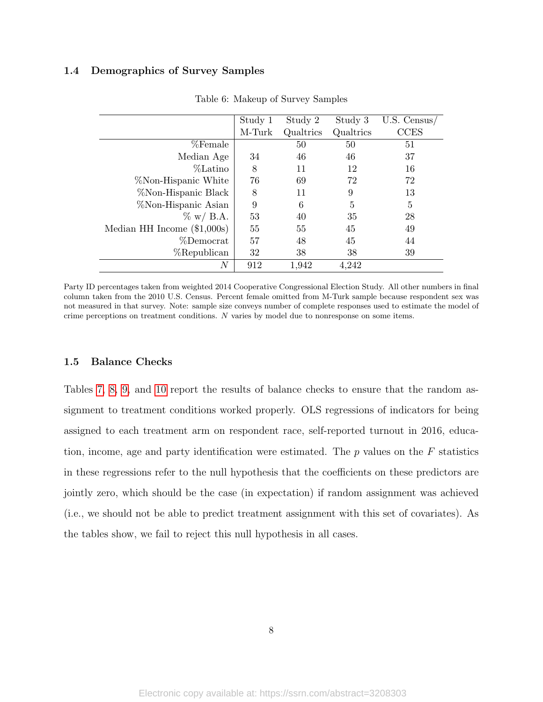### <span id="page-52-0"></span>1.4 Demographics of Survey Samples

|                               | Study 1 | Study 2   | Study 3   | $U.S.$ Census/ |
|-------------------------------|---------|-----------|-----------|----------------|
|                               | M-Turk  | Qualtrics | Qualtrics | <b>CCES</b>    |
| %Female                       |         | 50        | 50        | 51             |
| Median Age                    | 34      | 46        | 46        | 37             |
| %Latino                       | 8       | 11        | 12        | 16             |
| <i>%</i> Non-Hispanic White   | 76      | 69        | 72        | 72             |
| %Non-Hispanic Black           | 8       | 11        | 9         | 13             |
| %Non-Hispanic Asian           | 9       | 6         | 5         | 5              |
| $\%$ w/ B.A.                  | 53      | 40        | 35        | 28             |
| Median HH Income $(\$1,000s)$ | 55      | 55        | 45        | 49             |
| %Democrat                     | 57      | 48        | 45        | 44             |
| %Republican                   | 32      | 38        | 38        | 39             |
| N                             | 912     | 1,942     | 4,242     |                |

Table 6: Makeup of Survey Samples

Party ID percentages taken from weighted 2014 Cooperative Congressional Election Study. All other numbers in final column taken from the 2010 U.S. Census. Percent female omitted from M-Turk sample because respondent sex was not measured in that survey. Note: sample size conveys number of complete responses used to estimate the model of crime perceptions on treatment conditions. N varies by model due to nonresponse on some items.

#### <span id="page-52-1"></span>1.5 Balance Checks

Tables [7,](#page-53-0) [8,](#page-53-1) [9,](#page-53-2) and [10](#page-53-3) report the results of balance checks to ensure that the random assignment to treatment conditions worked properly. OLS regressions of indicators for being assigned to each treatment arm on respondent race, self-reported turnout in 2016, education, income, age and party identification were estimated. The  $p$  values on the  $F$  statistics in these regressions refer to the null hypothesis that the coefficients on these predictors are jointly zero, which should be the case (in expectation) if random assignment was achieved (i.e., we should not be able to predict treatment assignment with this set of covariates). As the tables show, we fail to reject this null hypothesis in all cases.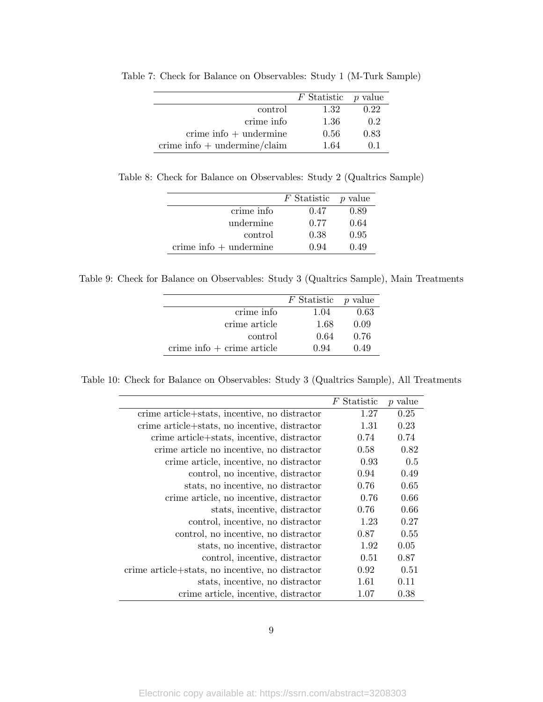|                                               | $F$ Statistic $p$ value |      |
|-----------------------------------------------|-------------------------|------|
| control                                       | 1.32                    | 0.22 |
| crime info                                    | 1.36                    | 0.2  |
| $\text{ crime info} + \text{undermine}$       | 0.56                    | 0.83 |
| $\text{ crime info} + \text{undermine/claim}$ | 1.64                    | 01   |

<span id="page-53-0"></span>Table 7: Check for Balance on Observables: Study 1 (M-Turk Sample)

<span id="page-53-1"></span>Table 8: Check for Balance on Observables: Study 2 (Qualtrics Sample)

|                                         | F Statistic | $p$ value |
|-----------------------------------------|-------------|-----------|
| crime info                              | 0.47        | 0.89      |
| undermine                               | 0.77        | 0.64      |
| control                                 | 0.38        | 0.95      |
| $\text{ crime info} + \text{undermine}$ | 0.94        | 0.49      |
|                                         |             |           |

<span id="page-53-2"></span>Table 9: Check for Balance on Observables: Study 3 (Qualtrics Sample), Main Treatments

|                                       | $F$ Statistic $p$ value |      |
|---------------------------------------|-------------------------|------|
| crime info                            | 1.04                    | 0.63 |
| crime article                         | 1.68                    | 0.09 |
| control                               | 0.64                    | 0.76 |
| $\alpha$ crime info $+$ crime article | 0.94                    | 0.49 |

<span id="page-53-3"></span>Table 10: Check for Balance on Observables: Study 3 (Qualtrics Sample), All Treatments

|                                                  | F Statistic | p value |
|--------------------------------------------------|-------------|---------|
| crime article+stats, incentive, no distractor    | 1.27        | 0.25    |
| crime article+stats, no incentive, distractor    | 1.31        | 0.23    |
| crime article+stats, incentive, distractor       | 0.74        | 0.74    |
| crime article no incentive, no distractor        | 0.58        | 0.82    |
| crime article, incentive, no distractor          | 0.93        | 0.5     |
| control, no incentive, distractor                | 0.94        | 0.49    |
| stats, no incentive, no distractor               | 0.76        | 0.65    |
| crime article, no incentive, distractor          | 0.76        | 0.66    |
| stats, incentive, distractor                     | 0.76        | 0.66    |
| control, incentive, no distractor                | 1.23        | 0.27    |
| control, no incentive, no distractor             | 0.87        | 0.55    |
| stats, no incentive, distractor                  | 1.92        | 0.05    |
| control, incentive, distractor                   | 0.51        | 0.87    |
| crime article+stats, no incentive, no distractor | 0.92        | 0.51    |
| stats, incentive, no distractor                  | 1.61        | 0.11    |
| crime article, incentive, distractor             | 1.07        | 0.38    |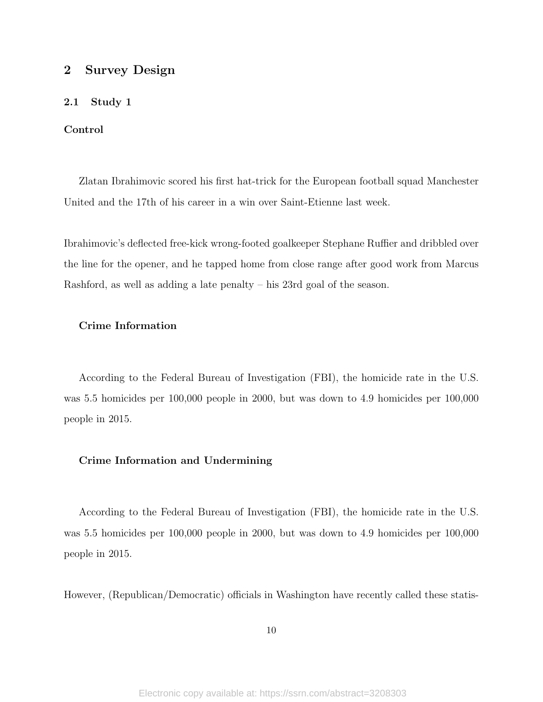# <span id="page-54-0"></span>2 Survey Design

# <span id="page-54-1"></span>2.1 Study 1

#### Control

Zlatan Ibrahimovic scored his first hat-trick for the European football squad Manchester United and the 17th of his career in a win over Saint-Etienne last week.

Ibrahimovic's deflected free-kick wrong-footed goalkeeper Stephane Ruffier and dribbled over the line for the opener, and he tapped home from close range after good work from Marcus Rashford, as well as adding a late penalty – his 23rd goal of the season.

# Crime Information

According to the Federal Bureau of Investigation (FBI), the homicide rate in the U.S. was 5.5 homicides per 100,000 people in 2000, but was down to 4.9 homicides per 100,000 people in 2015.

#### Crime Information and Undermining

According to the Federal Bureau of Investigation (FBI), the homicide rate in the U.S. was 5.5 homicides per 100,000 people in 2000, but was down to 4.9 homicides per 100,000 people in 2015.

However, (Republican/Democratic) officials in Washington have recently called these statis-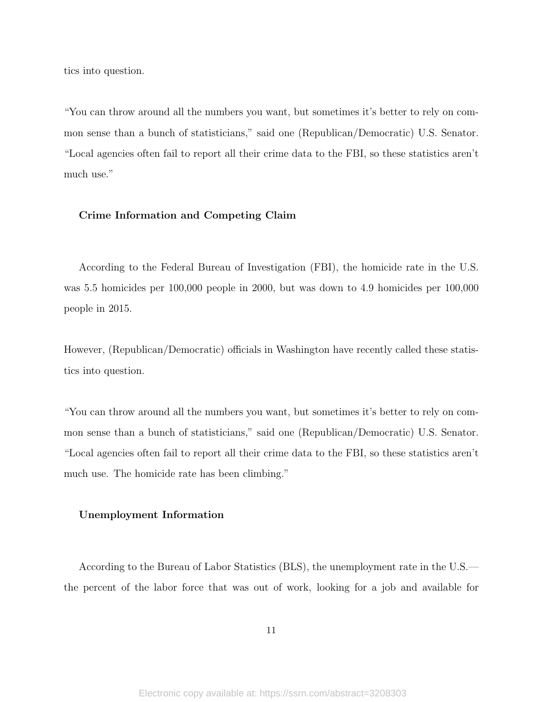tics into question.

"You can throw around all the numbers you want, but sometimes it's better to rely on common sense than a bunch of statisticians," said one (Republican/Democratic) U.S. Senator. "Local agencies often fail to report all their crime data to the FBI, so these statistics aren't much use."

#### Crime Information and Competing Claim

According to the Federal Bureau of Investigation (FBI), the homicide rate in the U.S. was 5.5 homicides per 100,000 people in 2000, but was down to 4.9 homicides per 100,000 people in 2015.

However, (Republican/Democratic) officials in Washington have recently called these statistics into question.

"You can throw around all the numbers you want, but sometimes it's better to rely on common sense than a bunch of statisticians," said one (Republican/Democratic) U.S. Senator. "Local agencies often fail to report all their crime data to the FBI, so these statistics aren't much use. The homicide rate has been climbing."

#### Unemployment Information

According to the Bureau of Labor Statistics (BLS), the unemployment rate in the U.S. the percent of the labor force that was out of work, looking for a job and available for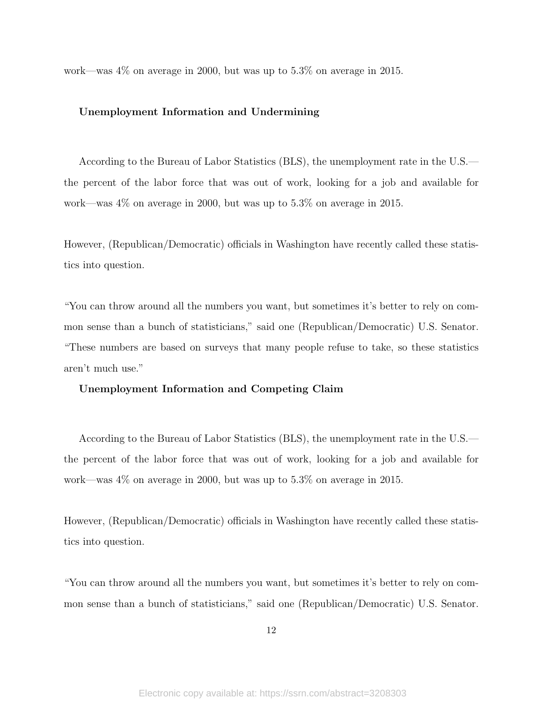work—was 4% on average in 2000, but was up to 5.3% on average in 2015.

#### Unemployment Information and Undermining

According to the Bureau of Labor Statistics (BLS), the unemployment rate in the U.S. the percent of the labor force that was out of work, looking for a job and available for work—was 4% on average in 2000, but was up to 5.3% on average in 2015.

However, (Republican/Democratic) officials in Washington have recently called these statistics into question.

"You can throw around all the numbers you want, but sometimes it's better to rely on common sense than a bunch of statisticians," said one (Republican/Democratic) U.S. Senator. "These numbers are based on surveys that many people refuse to take, so these statistics aren't much use."

#### Unemployment Information and Competing Claim

According to the Bureau of Labor Statistics (BLS), the unemployment rate in the U.S. the percent of the labor force that was out of work, looking for a job and available for work—was 4% on average in 2000, but was up to 5.3% on average in 2015.

However, (Republican/Democratic) officials in Washington have recently called these statistics into question.

"You can throw around all the numbers you want, but sometimes it's better to rely on common sense than a bunch of statisticians," said one (Republican/Democratic) U.S. Senator.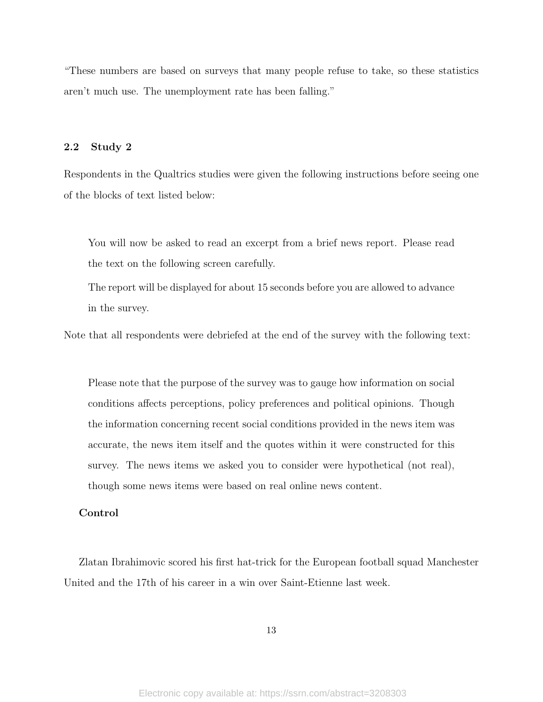"These numbers are based on surveys that many people refuse to take, so these statistics aren't much use. The unemployment rate has been falling."

# <span id="page-57-0"></span>2.2 Study 2

Respondents in the Qualtrics studies were given the following instructions before seeing one of the blocks of text listed below:

You will now be asked to read an excerpt from a brief news report. Please read the text on the following screen carefully.

The report will be displayed for about 15 seconds before you are allowed to advance in the survey.

Note that all respondents were debriefed at the end of the survey with the following text:

Please note that the purpose of the survey was to gauge how information on social conditions affects perceptions, policy preferences and political opinions. Though the information concerning recent social conditions provided in the news item was accurate, the news item itself and the quotes within it were constructed for this survey. The news items we asked you to consider were hypothetical (not real), though some news items were based on real online news content.

### Control

Zlatan Ibrahimovic scored his first hat-trick for the European football squad Manchester United and the 17th of his career in a win over Saint-Etienne last week.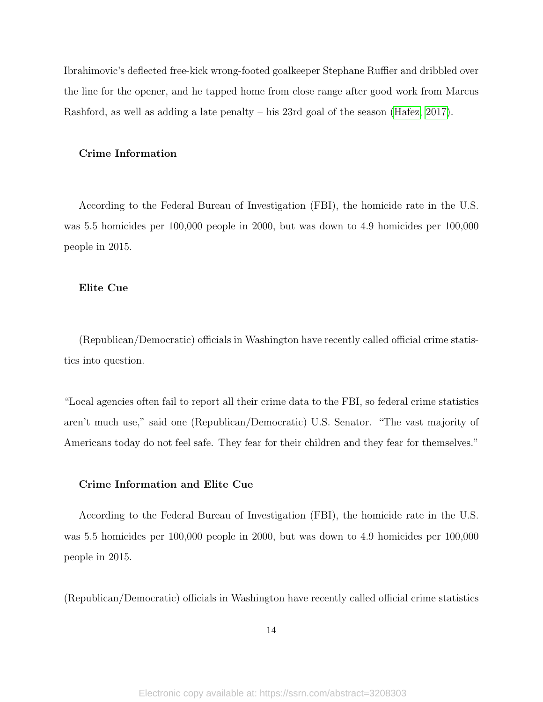Ibrahimovic's deflected free-kick wrong-footed goalkeeper Stephane Ruffier and dribbled over the line for the opener, and he tapped home from close range after good work from Marcus Rashford, as well as adding a late penalty – his 23rd goal of the season [\(Hafez, 2017\)](#page-90-7).

#### Crime Information

According to the Federal Bureau of Investigation (FBI), the homicide rate in the U.S. was 5.5 homicides per 100,000 people in 2000, but was down to 4.9 homicides per 100,000 people in 2015.

#### Elite Cue

(Republican/Democratic) officials in Washington have recently called official crime statistics into question.

"Local agencies often fail to report all their crime data to the FBI, so federal crime statistics aren't much use," said one (Republican/Democratic) U.S. Senator. "The vast majority of Americans today do not feel safe. They fear for their children and they fear for themselves."

#### Crime Information and Elite Cue

According to the Federal Bureau of Investigation (FBI), the homicide rate in the U.S. was 5.5 homicides per 100,000 people in 2000, but was down to 4.9 homicides per 100,000 people in 2015.

(Republican/Democratic) officials in Washington have recently called official crime statistics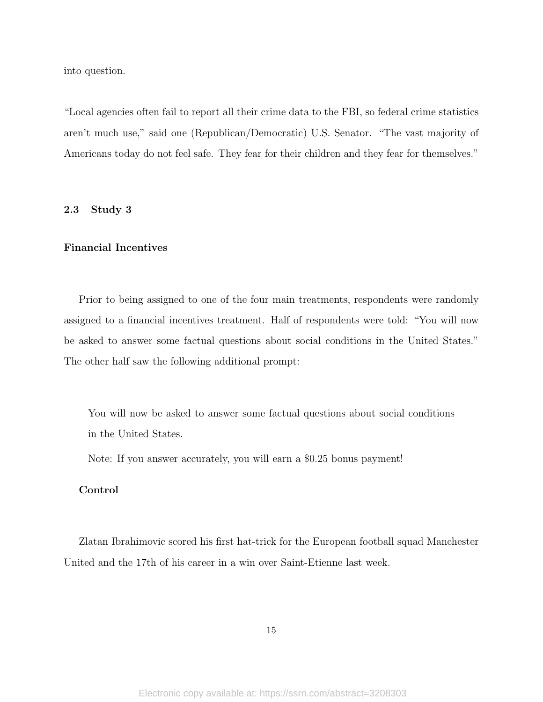into question.

"Local agencies often fail to report all their crime data to the FBI, so federal crime statistics aren't much use," said one (Republican/Democratic) U.S. Senator. "The vast majority of Americans today do not feel safe. They fear for their children and they fear for themselves."

# <span id="page-59-0"></span>2.3 Study 3

## Financial Incentives

Prior to being assigned to one of the four main treatments, respondents were randomly assigned to a financial incentives treatment. Half of respondents were told: "You will now be asked to answer some factual questions about social conditions in the United States." The other half saw the following additional prompt:

You will now be asked to answer some factual questions about social conditions in the United States.

Note: If you answer accurately, you will earn a \$0.25 bonus payment!

### Control

Zlatan Ibrahimovic scored his first hat-trick for the European football squad Manchester United and the 17th of his career in a win over Saint-Etienne last week.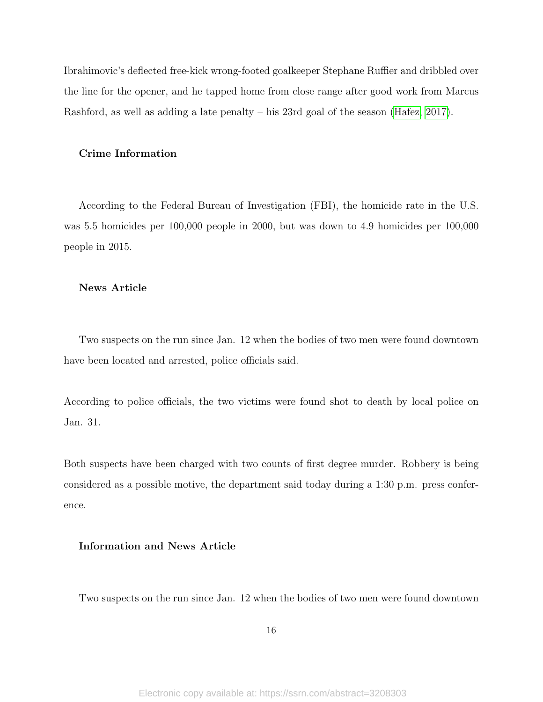Ibrahimovic's deflected free-kick wrong-footed goalkeeper Stephane Ruffier and dribbled over the line for the opener, and he tapped home from close range after good work from Marcus Rashford, as well as adding a late penalty – his 23rd goal of the season [\(Hafez, 2017\)](#page-90-7).

#### Crime Information

According to the Federal Bureau of Investigation (FBI), the homicide rate in the U.S. was 5.5 homicides per 100,000 people in 2000, but was down to 4.9 homicides per 100,000 people in 2015.

#### News Article

Two suspects on the run since Jan. 12 when the bodies of two men were found downtown have been located and arrested, police officials said.

According to police officials, the two victims were found shot to death by local police on Jan. 31.

Both suspects have been charged with two counts of first degree murder. Robbery is being considered as a possible motive, the department said today during a 1:30 p.m. press conference.

## Information and News Article

Two suspects on the run since Jan. 12 when the bodies of two men were found downtown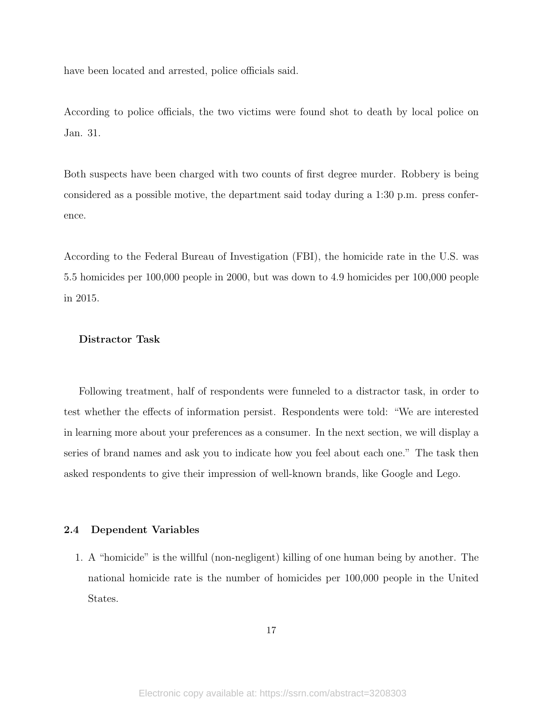have been located and arrested, police officials said.

According to police officials, the two victims were found shot to death by local police on Jan. 31.

Both suspects have been charged with two counts of first degree murder. Robbery is being considered as a possible motive, the department said today during a 1:30 p.m. press conference.

According to the Federal Bureau of Investigation (FBI), the homicide rate in the U.S. was 5.5 homicides per 100,000 people in 2000, but was down to 4.9 homicides per 100,000 people in 2015.

#### Distractor Task

Following treatment, half of respondents were funneled to a distractor task, in order to test whether the effects of information persist. Respondents were told: "We are interested in learning more about your preferences as a consumer. In the next section, we will display a series of brand names and ask you to indicate how you feel about each one." The task then asked respondents to give their impression of well-known brands, like Google and Lego.

#### <span id="page-61-0"></span>2.4 Dependent Variables

1. A "homicide" is the willful (non-negligent) killing of one human being by another. The national homicide rate is the number of homicides per 100,000 people in the United States.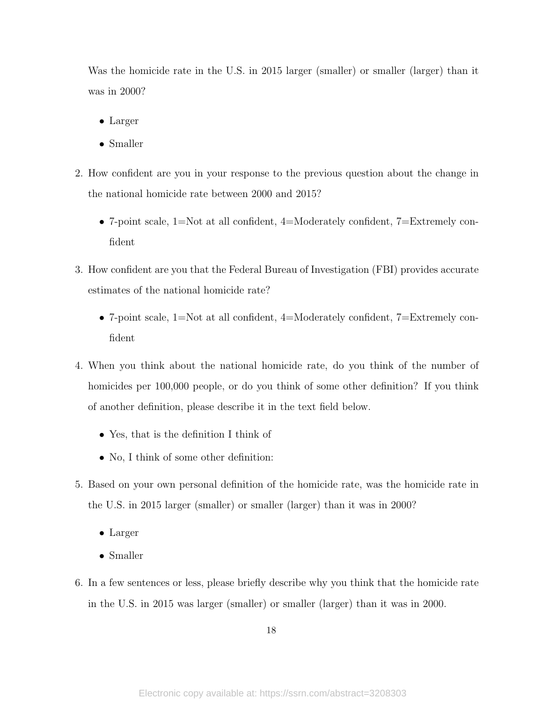Was the homicide rate in the U.S. in 2015 larger (smaller) or smaller (larger) than it was in 2000?

- Larger
- Smaller
- 2. How confident are you in your response to the previous question about the change in the national homicide rate between 2000 and 2015?
	- 7-point scale, 1=Not at all confident, 4=Moderately confident, 7=Extremely confident
- 3. How confident are you that the Federal Bureau of Investigation (FBI) provides accurate estimates of the national homicide rate?
	- 7-point scale,  $1=Not$  at all confident,  $4=Moderately$  confident,  $7=Extremely$  confident
- 4. When you think about the national homicide rate, do you think of the number of homicides per 100,000 people, or do you think of some other definition? If you think of another definition, please describe it in the text field below.
	- Yes, that is the definition I think of
	- No, I think of some other definition:
- 5. Based on your own personal definition of the homicide rate, was the homicide rate in the U.S. in 2015 larger (smaller) or smaller (larger) than it was in 2000?
	- Larger
	- Smaller
- 6. In a few sentences or less, please briefly describe why you think that the homicide rate in the U.S. in 2015 was larger (smaller) or smaller (larger) than it was in 2000.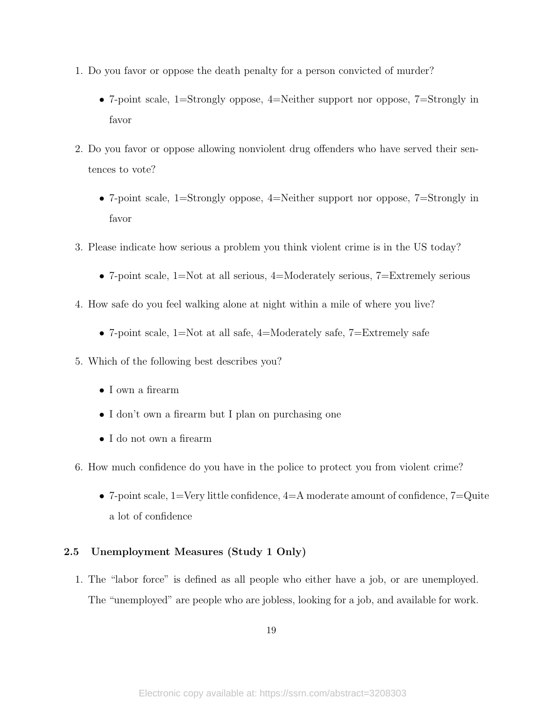- 1. Do you favor or oppose the death penalty for a person convicted of murder?
	- 7-point scale, 1=Strongly oppose, 4=Neither support nor oppose, 7=Strongly in favor
- 2. Do you favor or oppose allowing nonviolent drug offenders who have served their sentences to vote?
	- 7-point scale, 1=Strongly oppose, 4=Neither support nor oppose, 7=Strongly in favor
- 3. Please indicate how serious a problem you think violent crime is in the US today?
	- 7-point scale,  $1=Not$  at all serious,  $4=Moderately$  serious,  $7=Extremely$  serious
- 4. How safe do you feel walking alone at night within a mile of where you live?
	- 7-point scale, 1=Not at all safe, 4=Moderately safe, 7=Extremely safe
- 5. Which of the following best describes you?
	- I own a firearm
	- I don't own a firearm but I plan on purchasing one
	- I do not own a firearm
- 6. How much confidence do you have in the police to protect you from violent crime?
	- 7-point scale,  $1$ =Very little confidence,  $4$ =A moderate amount of confidence,  $7$ =Quite a lot of confidence

# <span id="page-63-0"></span>2.5 Unemployment Measures (Study 1 Only)

1. The "labor force" is defined as all people who either have a job, or are unemployed. The "unemployed" are people who are jobless, looking for a job, and available for work.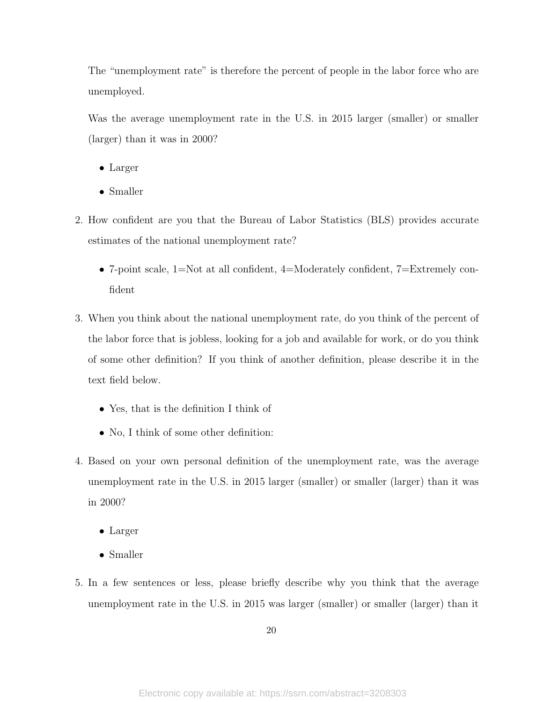The "unemployment rate" is therefore the percent of people in the labor force who are unemployed.

Was the average unemployment rate in the U.S. in 2015 larger (smaller) or smaller (larger) than it was in 2000?

- Larger
- Smaller
- 2. How confident are you that the Bureau of Labor Statistics (BLS) provides accurate estimates of the national unemployment rate?
	- 7-point scale,  $1=Not$  at all confident,  $4=Moderately$  confident,  $7=Extremely$  confident
- 3. When you think about the national unemployment rate, do you think of the percent of the labor force that is jobless, looking for a job and available for work, or do you think of some other definition? If you think of another definition, please describe it in the text field below.
	- Yes, that is the definition I think of
	- No, I think of some other definition:
- 4. Based on your own personal definition of the unemployment rate, was the average unemployment rate in the U.S. in 2015 larger (smaller) or smaller (larger) than it was in 2000?
	- Larger
	- Smaller
- 5. In a few sentences or less, please briefly describe why you think that the average unemployment rate in the U.S. in 2015 was larger (smaller) or smaller (larger) than it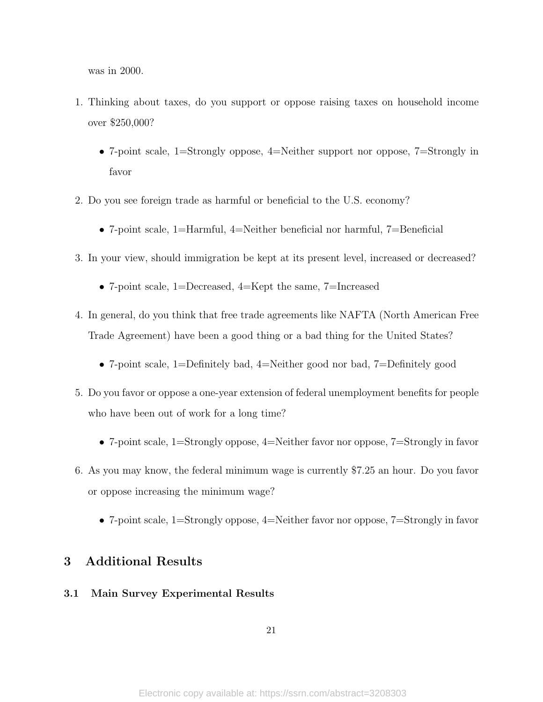was in 2000.

- 1. Thinking about taxes, do you support or oppose raising taxes on household income over \$250,000?
	- 7-point scale, 1=Strongly oppose, 4=Neither support nor oppose, 7=Strongly in favor
- 2. Do you see foreign trade as harmful or beneficial to the U.S. economy?
	- 7-point scale, 1=Harmful, 4=Neither beneficial nor harmful, 7=Beneficial
- 3. In your view, should immigration be kept at its present level, increased or decreased?
	- 7-point scale, 1=Decreased, 4=Kept the same, 7=Increased
- 4. In general, do you think that free trade agreements like NAFTA (North American Free Trade Agreement) have been a good thing or a bad thing for the United States?
	- 7-point scale, 1=Definitely bad, 4=Neither good nor bad, 7=Definitely good
- 5. Do you favor or oppose a one-year extension of federal unemployment benefits for people who have been out of work for a long time?
	- 7-point scale, 1=Strongly oppose, 4=Neither favor nor oppose, 7=Strongly in favor
- 6. As you may know, the federal minimum wage is currently \$7.25 an hour. Do you favor or oppose increasing the minimum wage?
	- 7-point scale, 1=Strongly oppose, 4=Neither favor nor oppose, 7=Strongly in favor

# <span id="page-65-0"></span>3 Additional Results

# <span id="page-65-1"></span>3.1 Main Survey Experimental Results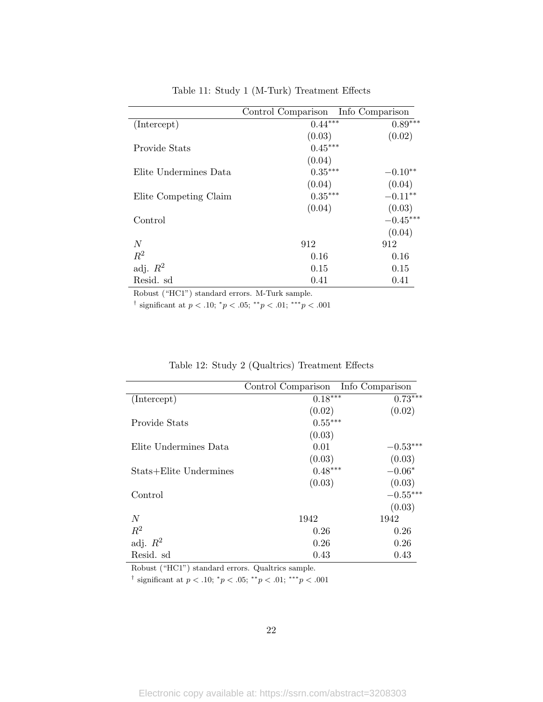|                       | Control Comparison Info Comparison |            |
|-----------------------|------------------------------------|------------|
| (Intercept)           | $0.44***$                          | $0.89***$  |
|                       | (0.03)                             | (0.02)     |
| Provide Stats         | $0.45***$                          |            |
|                       | (0.04)                             |            |
| Elite Undermines Data | $0.35***$                          | $-0.10**$  |
|                       | (0.04)                             | (0.04)     |
| Elite Competing Claim | $0.35***$                          | $-0.11***$ |
|                       | (0.04)                             | (0.03)     |
| Control               |                                    | $-0.45***$ |
|                       |                                    | (0.04)     |
| N                     | 912                                | 912        |
| $R^2$                 | 0.16                               | 0.16       |
| adj. $R^2$            | 0.15                               | 0.15       |
| Resid. sd             | 0.41                               | 0.41       |

Table 11: Study 1 (M-Turk) Treatment Effects

Robust ("HC1") standard errors. M-Turk sample.

<sup>†</sup> significant at  $p < .10$ ;  ${}^*p < .05$ ;  ${}^{**}p < .01$ ;  ${}^{***}p < .001$ 

|  |  |  |  |  |  | Table 12: Study 2 (Qualtrics) Treatment Effects |  |
|--|--|--|--|--|--|-------------------------------------------------|--|
|--|--|--|--|--|--|-------------------------------------------------|--|

|                        | Control Comparison Info Comparison |            |
|------------------------|------------------------------------|------------|
| (Intercept)            | $0.18***$                          | $0.73***$  |
|                        | (0.02)                             | (0.02)     |
| Provide Stats          | $0.55***$                          |            |
|                        | (0.03)                             |            |
| Elite Undermines Data  | 0.01                               | $-0.53***$ |
|                        | (0.03)                             | (0.03)     |
| Stats+Elite Undermines | $0.48***$                          | $-0.06*$   |
|                        | (0.03)                             | (0.03)     |
| Control                |                                    | $-0.55***$ |
|                        |                                    | (0.03)     |
| N                      | 1942                               | 1942       |
| $R^2$                  | 0.26                               | 0.26       |
| adj. $R^2$             | 0.26                               | 0.26       |
| Resid. sd              | 0.43                               | 0.43       |

Robust ("HC1") standard errors. Qualtrics sample.

<sup>†</sup> significant at  $p < .10$ ;  ${}^*p < .05$ ;  ${}^{**}p < .01$ ;  ${}^{***}p < .001$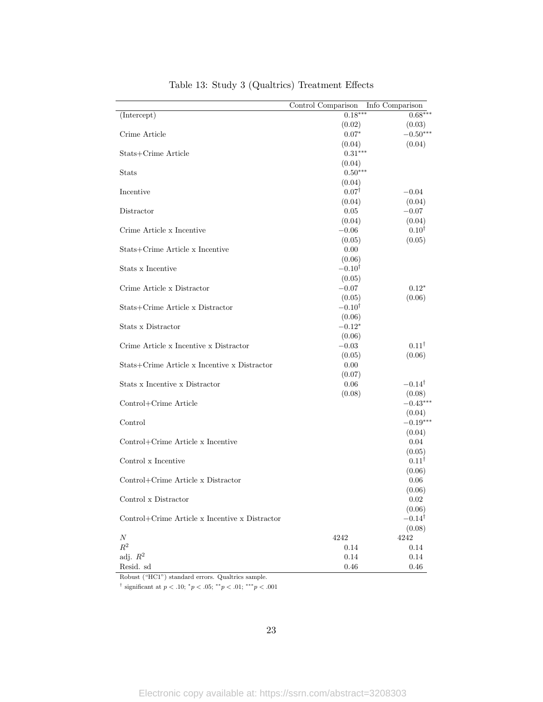|                                                | Control Comparison | Info Comparison            |
|------------------------------------------------|--------------------|----------------------------|
| (Intercept)                                    | $0.18***$          | $0.68***$                  |
|                                                | (0.02)             | (0.03)                     |
| Crime Article                                  | $0.07*$            | $-0.50***$                 |
|                                                | (0.04)             | (0.04)                     |
| Stats+Crime Article                            | $0.31***$          |                            |
|                                                | (0.04)             |                            |
| <b>Stats</b>                                   | $0.50***$          |                            |
|                                                | (0.04)             |                            |
| Incentive                                      | $0.07^{\dagger}$   | $-0.04$                    |
|                                                | (0.04)             | (0.04)                     |
| Distractor                                     | 0.05               | $-0.07$                    |
|                                                | (0.04)             | (0.04)                     |
| Crime Article x Incentive                      | $-0.06$            | $0.10^{\dagger}$           |
|                                                | (0.05)             | (0.05)                     |
| Stats+Crime Article x Incentive                | 0.00               |                            |
|                                                | (0.06)             |                            |
| Stats x Incentive                              | $-0.10^{\dagger}$  |                            |
|                                                | (0.05)             |                            |
| Crime Article x Distractor                     | $-0.07$            | $0.12*$                    |
|                                                | (0.05)             | (0.06)                     |
| Stats+Crime Article x Distractor               | $-0.10^{\dagger}$  |                            |
|                                                | (0.06)             |                            |
| Stats x Distractor                             | $-0.12*$           |                            |
|                                                | (0.06)             |                            |
| Crime Article x Incentive x Distractor         | $-0.03$            | $0.11^{\dagger}$           |
|                                                | (0.05)             | (0.06)                     |
| Stats+Crime Article x Incentive x Distractor   | 0.00               |                            |
|                                                | (0.07)             |                            |
| Stats x Incentive x Distractor                 | 0.06               | $-0.14^{\dagger}$          |
|                                                | (0.08)             | (0.08)                     |
| Control+Crime Article                          |                    | $-0.43***$                 |
|                                                |                    | (0.04)<br>$-0.19***$       |
| Control                                        |                    |                            |
| Control+Crime Article x Incentive              |                    | (0.04)<br>0.04             |
|                                                |                    |                            |
| Control x Incentive                            |                    | (0.05)<br>$0.11^{\dagger}$ |
|                                                |                    |                            |
| Control+Crime Article x Distractor             |                    | (0.06)                     |
|                                                |                    | 0.06<br>(0.06)             |
| Control x Distractor                           |                    | $0.02\,$                   |
|                                                |                    | (0.06)                     |
| Control+Crime Article x Incentive x Distractor |                    | $-0.14^{\dagger}$          |
|                                                |                    | (0.08)                     |
| Ν                                              | 4242               | 4242                       |
| $\mathbb{R}^2$                                 | 0.14               | 0.14                       |
| adj. $R^2$                                     | 0.14               | 0.14                       |
| Resid. sd                                      | 0.46               | 0.46                       |
|                                                |                    |                            |

# Table 13: Study 3 (Qualtrics) Treatment Effects

Robust ("HC1") standard errors. Qualtrics sample.

<sup>†</sup> significant at  $p < .10$ ;  ${}^*p < .05$ ;  ${}^{**}p < .01$ ;  ${}^{***}p < .001$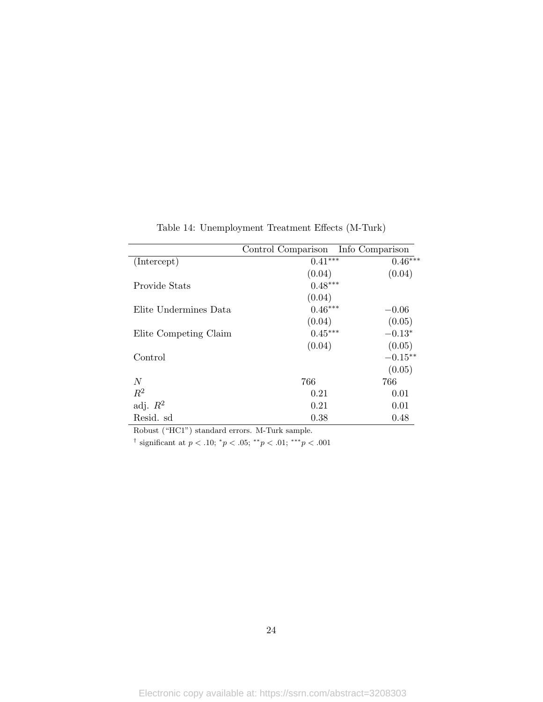|                       | Control Comparison | Info Comparison |
|-----------------------|--------------------|-----------------|
| (Intercept)           | $0.41***$          | $0.46***$       |
|                       | (0.04)             | (0.04)          |
| Provide Stats         | $0.48***$          |                 |
|                       | (0.04)             |                 |
| Elite Undermines Data | $0.46***$          | $-0.06$         |
|                       | (0.04)             | (0.05)          |
| Elite Competing Claim | $0.45***$          | $-0.13*$        |
|                       | (0.04)             | (0.05)          |
| Control               |                    | $-0.15***$      |
|                       |                    | (0.05)          |
| N                     | 766                | 766             |
| $R^2$                 | 0.21               | 0.01            |
| adj. $R^2$            | 0.21               | 0.01            |
| Resid. sd             | 0.38               | 0.48            |

Table 14: Unemployment Treatment Effects (M-Turk)

Robust ("HC1") standard errors. M-Turk sample.

<sup>†</sup> significant at  $p < .10$ ;  ${}^*p < .05$ ;  ${}^{**}p < .01$ ;  ${}^{***}p < .001$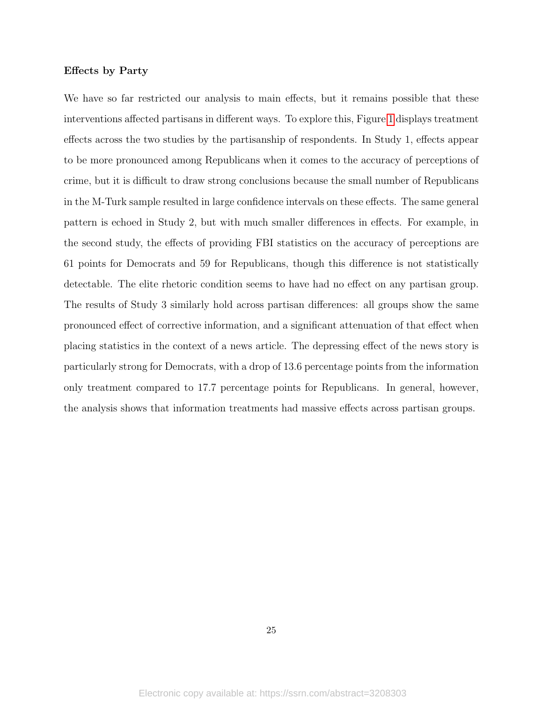#### Effects by Party

We have so far restricted our analysis to main effects, but it remains possible that these interventions affected partisans in different ways. To explore this, Figure [1](#page-70-0) displays treatment effects across the two studies by the partisanship of respondents. In Study 1, effects appear to be more pronounced among Republicans when it comes to the accuracy of perceptions of crime, but it is difficult to draw strong conclusions because the small number of Republicans in the M-Turk sample resulted in large confidence intervals on these effects. The same general pattern is echoed in Study 2, but with much smaller differences in effects. For example, in the second study, the effects of providing FBI statistics on the accuracy of perceptions are 61 points for Democrats and 59 for Republicans, though this difference is not statistically detectable. The elite rhetoric condition seems to have had no effect on any partisan group. The results of Study 3 similarly hold across partisan differences: all groups show the same pronounced effect of corrective information, and a significant attenuation of that effect when placing statistics in the context of a news article. The depressing effect of the news story is particularly strong for Democrats, with a drop of 13.6 percentage points from the information only treatment compared to 17.7 percentage points for Republicans. In general, however, the analysis shows that information treatments had massive effects across partisan groups.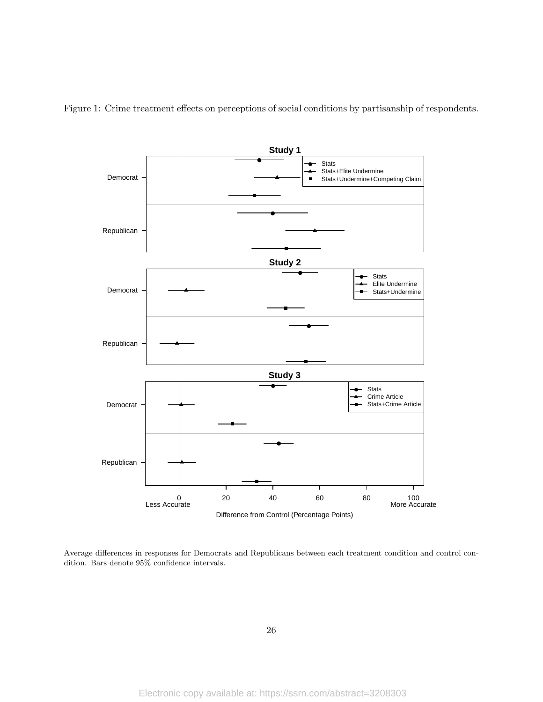<span id="page-70-0"></span>Figure 1: Crime treatment effects on perceptions of social conditions by partisanship of respondents.



Average differences in responses for Democrats and Republicans between each treatment condition and control condition. Bars denote 95% confidence intervals.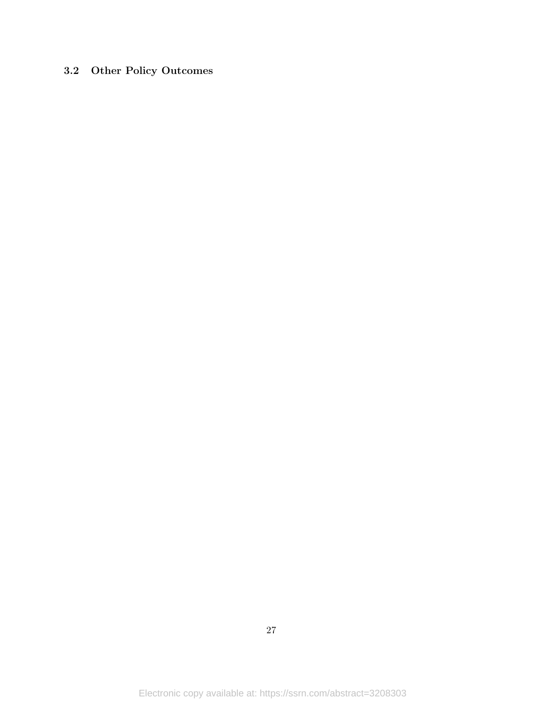# <span id="page-71-0"></span>3.2 Other Policy Outcomes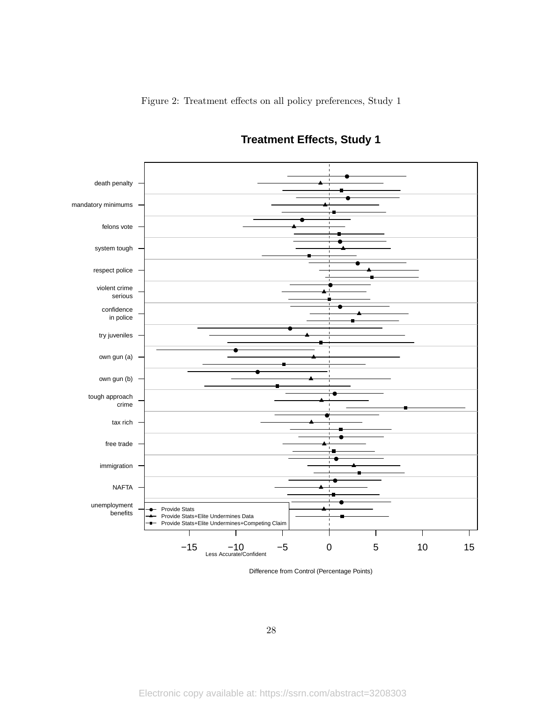

# **Treatment Effects, Study 1**

Difference from Control (Percentage Points)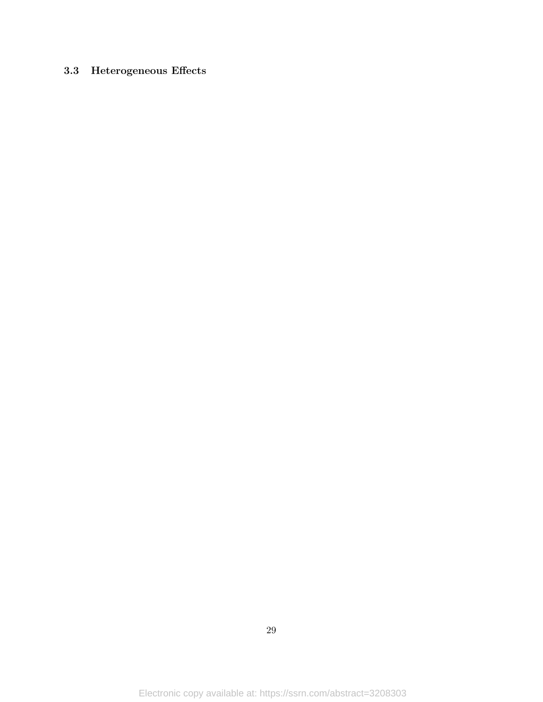# 3.3 Heterogeneous Effects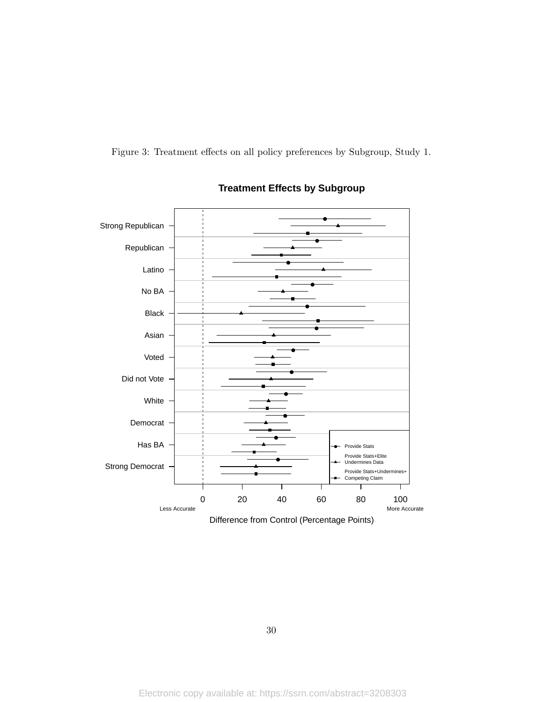Figure 3: Treatment effects on all policy preferences by Subgroup, Study 1.



## **Treatment Effects by Subgroup**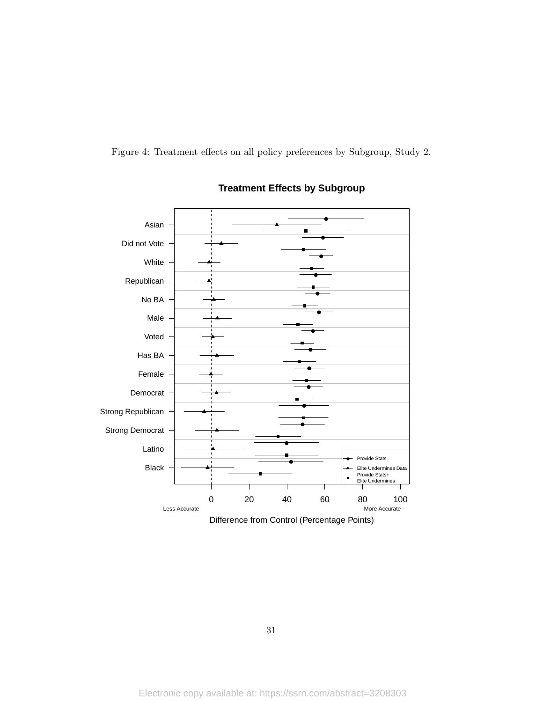Figure 4: Treatment effects on all policy preferences by Subgroup, Study 2.



## **Treatment Effects by Subgroup**

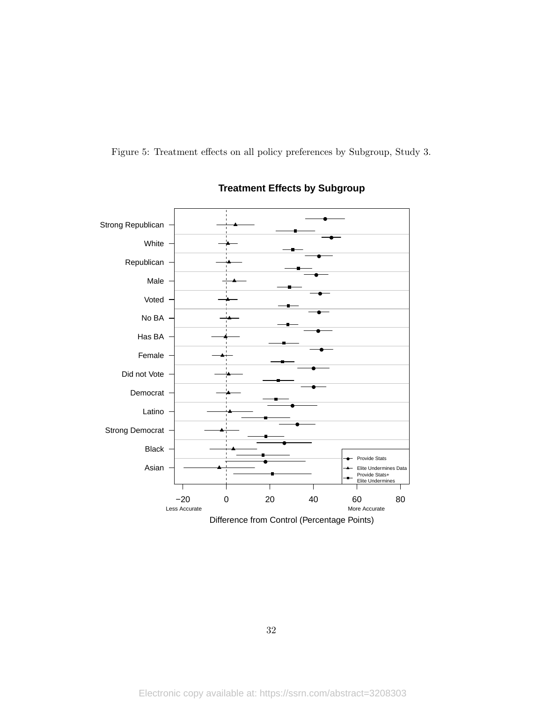Figure 5: Treatment effects on all policy preferences by Subgroup, Study 3.



## **Treatment Effects by Subgroup**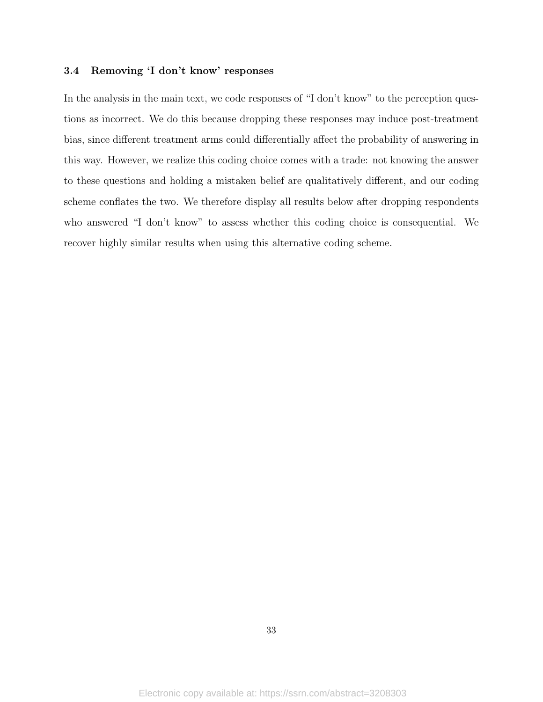#### 3.4 Removing 'I don't know' responses

In the analysis in the main text, we code responses of "I don't know" to the perception questions as incorrect. We do this because dropping these responses may induce post-treatment bias, since different treatment arms could differentially affect the probability of answering in this way. However, we realize this coding choice comes with a trade: not knowing the answer to these questions and holding a mistaken belief are qualitatively different, and our coding scheme conflates the two. We therefore display all results below after dropping respondents who answered "I don't know" to assess whether this coding choice is consequential. We recover highly similar results when using this alternative coding scheme.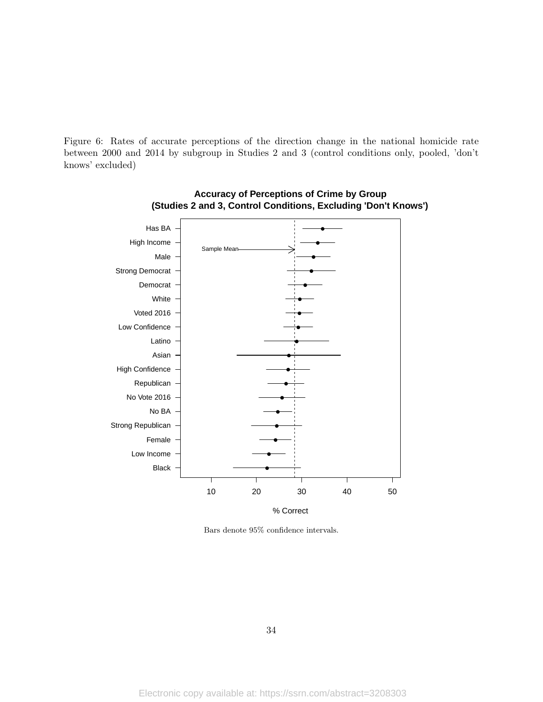Figure 6: Rates of accurate perceptions of the direction change in the national homicide rate between 2000 and 2014 by subgroup in Studies 2 and 3 (control conditions only, pooled, 'don't knows' excluded)





Bars denote 95% confidence intervals.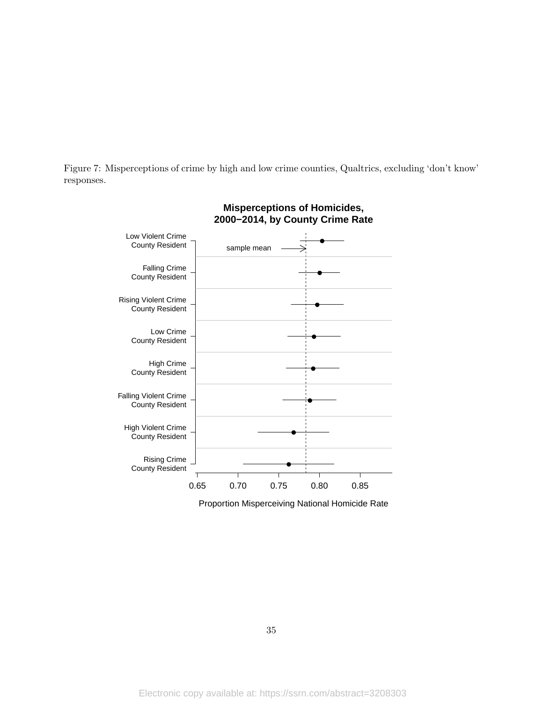Figure 7: Misperceptions of crime by high and low crime counties, Qualtrics, excluding 'don't know' responses.



Proportion Misperceiving National Homicide Rate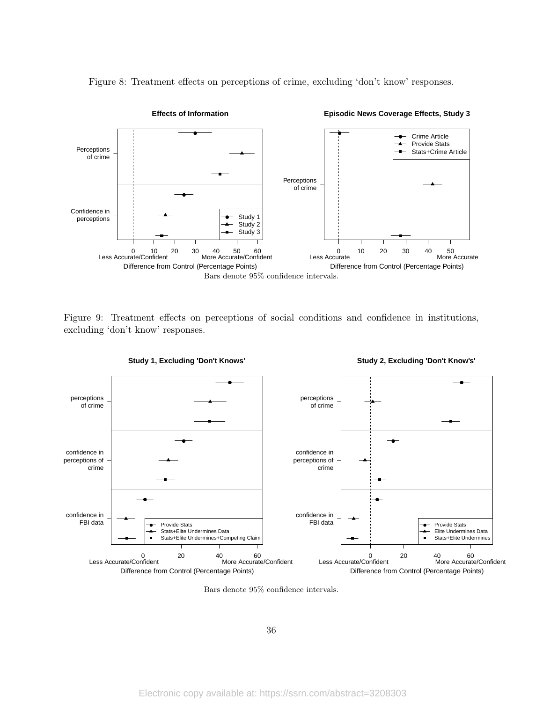

Figure 8: Treatment effects on perceptions of crime, excluding 'don't know' responses.

Figure 9: Treatment effects on perceptions of social conditions and confidence in institutions, excluding 'don't know' responses.



**Study 1, Excluding 'Don't Knows'**



Bars denote 95% confidence intervals.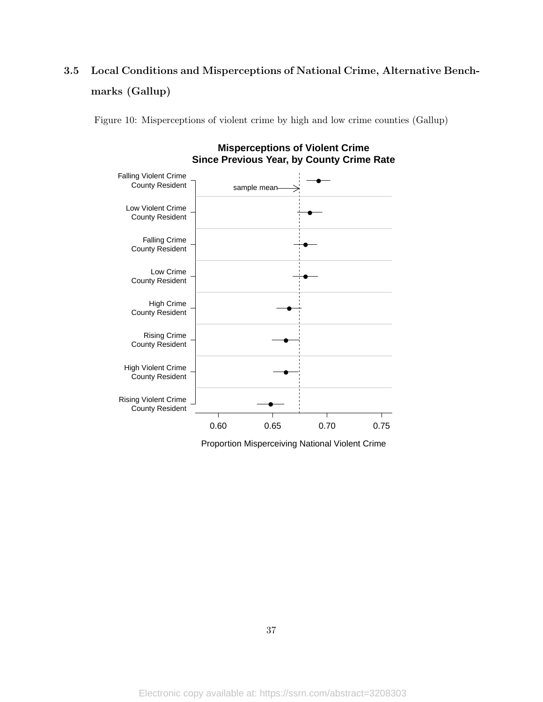# 3.5 Local Conditions and Misperceptions of National Crime, Alternative Benchmarks (Gallup)

Figure 10: Misperceptions of violent crime by high and low crime counties (Gallup)



**Misperceptions of Violent Crime Since Previous Year, by County Crime Rate**

Proportion Misperceiving National Violent Crime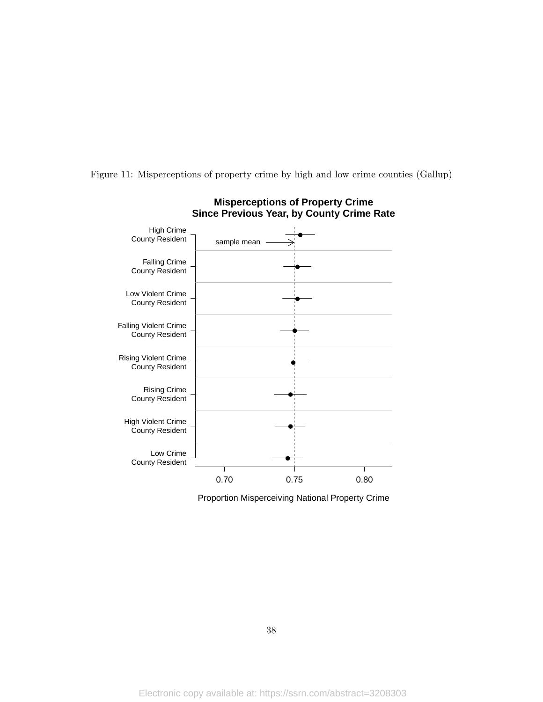Figure 11: Misperceptions of property crime by high and low crime counties (Gallup)



**Misperceptions of Property Crime**

Proportion Misperceiving National Property Crime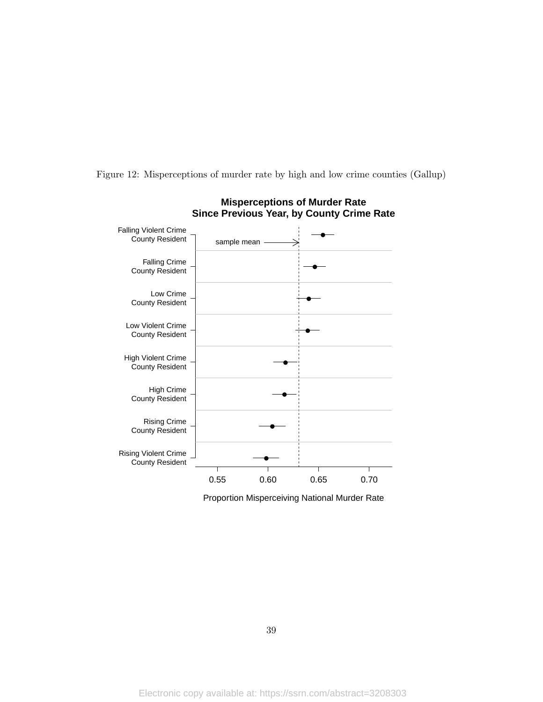Figure 12: Misperceptions of murder rate by high and low crime counties (Gallup)



**Misperceptions of Murder Rate**

Proportion Misperceiving National Murder Rate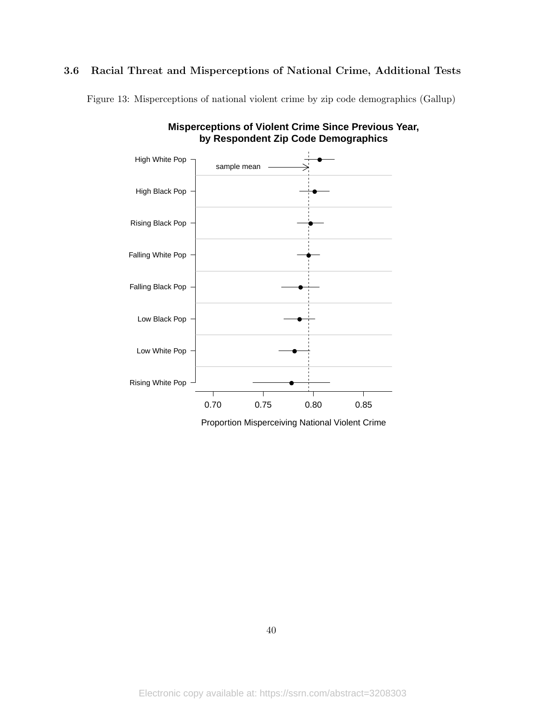#### 3.6 Racial Threat and Misperceptions of National Crime, Additional Tests

Figure 13: Misperceptions of national violent crime by zip code demographics (Gallup)



**Misperceptions of Violent Crime Since Previous Year, by Respondent Zip Code Demographics**

Proportion Misperceiving National Violent Crime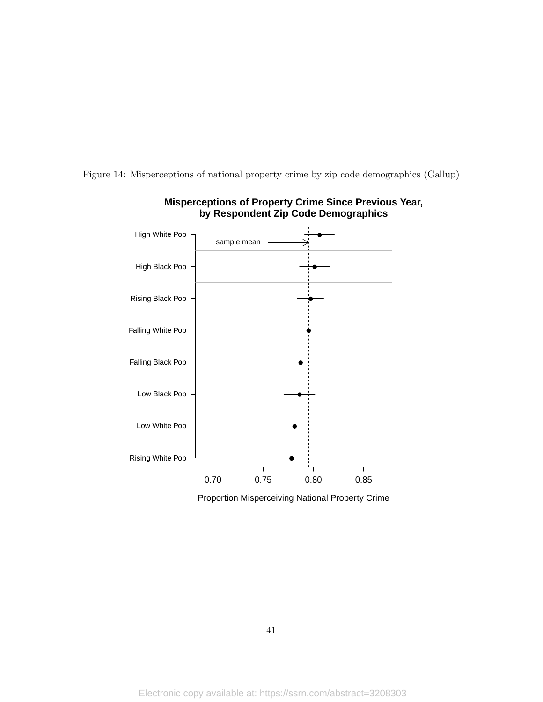Figure 14: Misperceptions of national property crime by zip code demographics (Gallup)



### **Misperceptions of Property Crime Since Previous Year, by Respondent Zip Code Demographics**

Proportion Misperceiving National Property Crime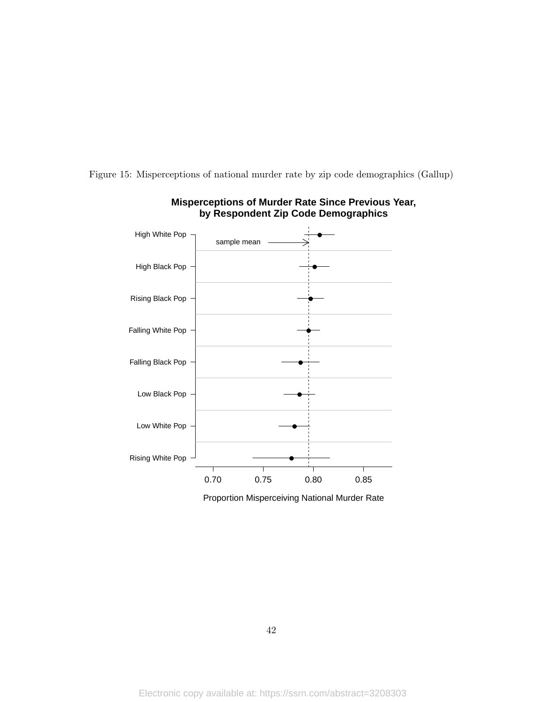



### **Misperceptions of Murder Rate Since Previous Year, by Respondent Zip Code Demographics**

Proportion Misperceiving National Murder Rate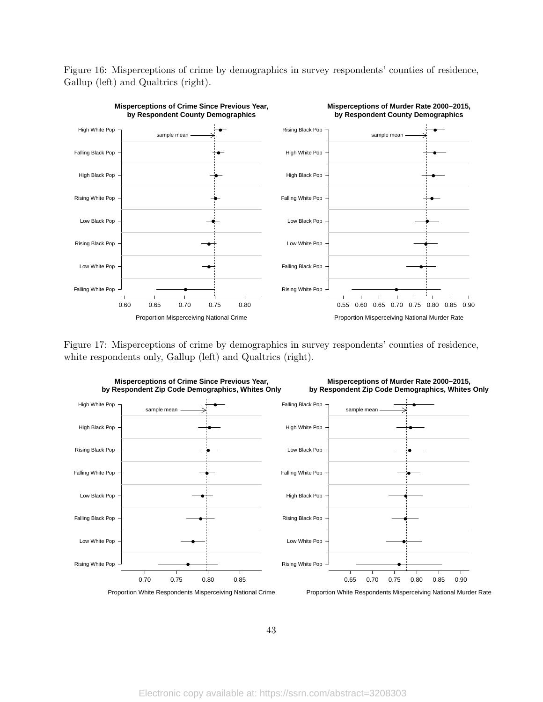Figure 16: Misperceptions of crime by demographics in survey respondents' counties of residence, Gallup (left) and Qualtrics (right).



Figure 17: Misperceptions of crime by demographics in survey respondents' counties of residence, white respondents only, Gallup (left) and Qualtrics (right).



43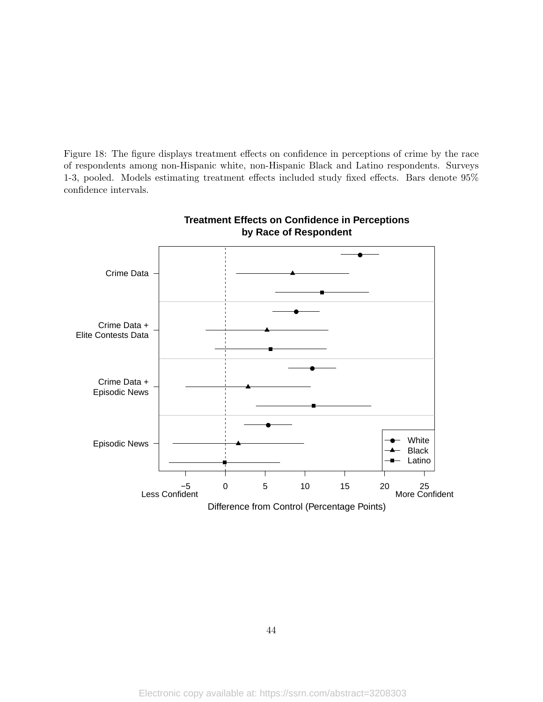Figure 18: The figure displays treatment effects on confidence in perceptions of crime by the race of respondents among non-Hispanic white, non-Hispanic Black and Latino respondents. Surveys 1-3, pooled. Models estimating treatment effects included study fixed effects. Bars denote 95% confidence intervals.



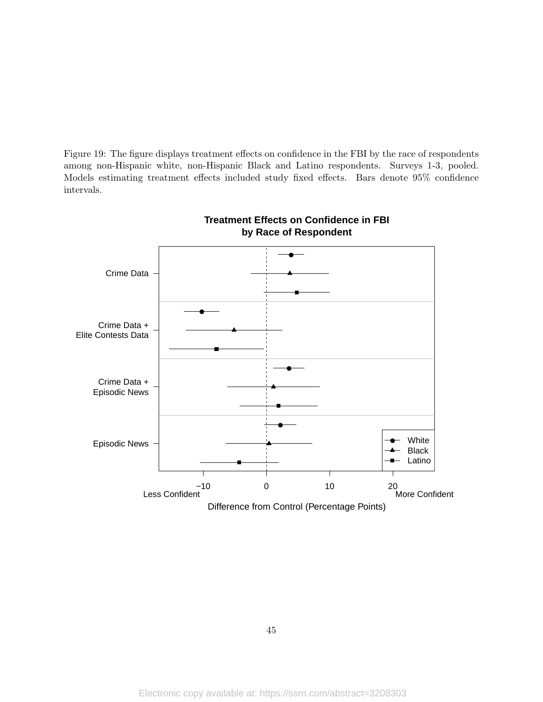Figure 19: The figure displays treatment effects on confidence in the FBI by the race of respondents among non-Hispanic white, non-Hispanic Black and Latino respondents. Surveys 1-3, pooled. Models estimating treatment effects included study fixed effects. Bars denote 95% confidence intervals.



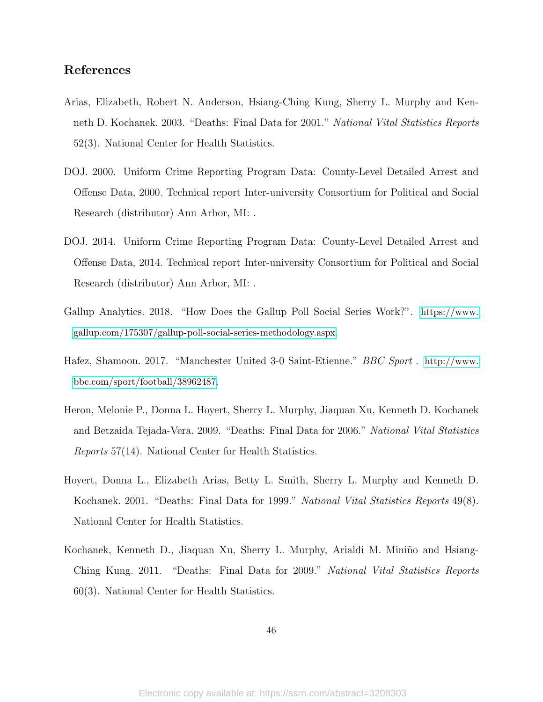### References

- Arias, Elizabeth, Robert N. Anderson, Hsiang-Ching Kung, Sherry L. Murphy and Kenneth D. Kochanek. 2003. "Deaths: Final Data for 2001." National Vital Statistics Reports 52(3). National Center for Health Statistics.
- DOJ. 2000. Uniform Crime Reporting Program Data: County-Level Detailed Arrest and Offense Data, 2000. Technical report Inter-university Consortium for Political and Social Research (distributor) Ann Arbor, MI: .
- DOJ. 2014. Uniform Crime Reporting Program Data: County-Level Detailed Arrest and Offense Data, 2014. Technical report Inter-university Consortium for Political and Social Research (distributor) Ann Arbor, MI: .
- Gallup Analytics. 2018. "How Does the Gallup Poll Social Series Work?". [https://www.](https://www.gallup.com/175307/gallup-poll-social-series-methodology.aspx) [gallup.com/175307/gallup-poll-social-series-methodology.aspx](https://www.gallup.com/175307/gallup-poll-social-series-methodology.aspx).
- Hafez, Shamoon. 2017. "Manchester United 3-0 Saint-Etienne." BBC Sport . [http://www.](http://www.bbc.com/sport/football/38962487) [bbc.com/sport/football/38962487](http://www.bbc.com/sport/football/38962487).
- Heron, Melonie P., Donna L. Hoyert, Sherry L. Murphy, Jiaquan Xu, Kenneth D. Kochanek and Betzaida Tejada-Vera. 2009. "Deaths: Final Data for 2006." National Vital Statistics Reports 57(14). National Center for Health Statistics.
- Hoyert, Donna L., Elizabeth Arias, Betty L. Smith, Sherry L. Murphy and Kenneth D. Kochanek. 2001. "Deaths: Final Data for 1999." National Vital Statistics Reports 49(8). National Center for Health Statistics.
- Kochanek, Kenneth D., Jiaquan Xu, Sherry L. Murphy, Arialdi M. Miniño and Hsiang-Ching Kung. 2011. "Deaths: Final Data for 2009." National Vital Statistics Reports 60(3). National Center for Health Statistics.

46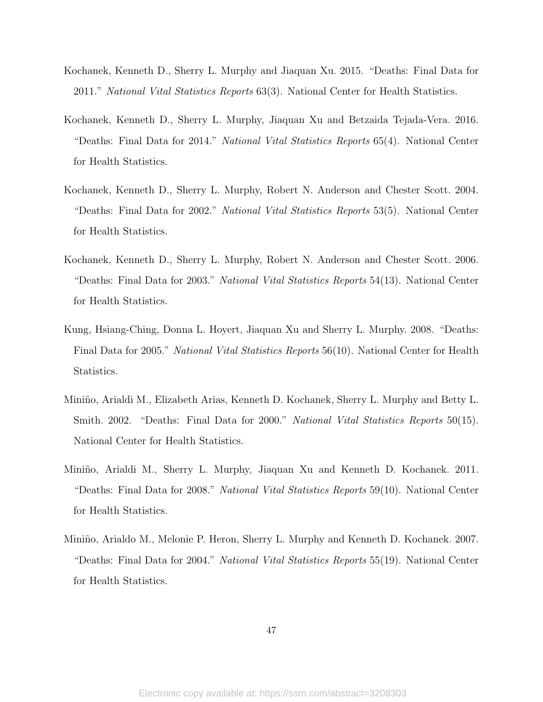- Kochanek, Kenneth D., Sherry L. Murphy and Jiaquan Xu. 2015. "Deaths: Final Data for 2011." National Vital Statistics Reports 63(3). National Center for Health Statistics.
- Kochanek, Kenneth D., Sherry L. Murphy, Jiaquan Xu and Betzaida Tejada-Vera. 2016. "Deaths: Final Data for 2014." National Vital Statistics Reports 65(4). National Center for Health Statistics.
- Kochanek, Kenneth D., Sherry L. Murphy, Robert N. Anderson and Chester Scott. 2004. "Deaths: Final Data for 2002." National Vital Statistics Reports 53(5). National Center for Health Statistics.
- Kochanek, Kenneth D., Sherry L. Murphy, Robert N. Anderson and Chester Scott. 2006. "Deaths: Final Data for 2003." National Vital Statistics Reports 54(13). National Center for Health Statistics.
- Kung, Hsiang-Ching, Donna L. Hoyert, Jiaquan Xu and Sherry L. Murphy. 2008. "Deaths: Final Data for 2005." National Vital Statistics Reports 56(10). National Center for Health Statistics.
- Miniño, Arialdi M., Elizabeth Arias, Kenneth D. Kochanek, Sherry L. Murphy and Betty L. Smith. 2002. "Deaths: Final Data for 2000." National Vital Statistics Reports 50(15). National Center for Health Statistics.
- Miniño, Arialdi M., Sherry L. Murphy, Jiaquan Xu and Kenneth D. Kochanek. 2011. "Deaths: Final Data for 2008." National Vital Statistics Reports 59(10). National Center for Health Statistics.
- Miniño, Arialdo M., Melonie P. Heron, Sherry L. Murphy and Kenneth D. Kochanek. 2007. "Deaths: Final Data for 2004." National Vital Statistics Reports 55(19). National Center for Health Statistics.

47